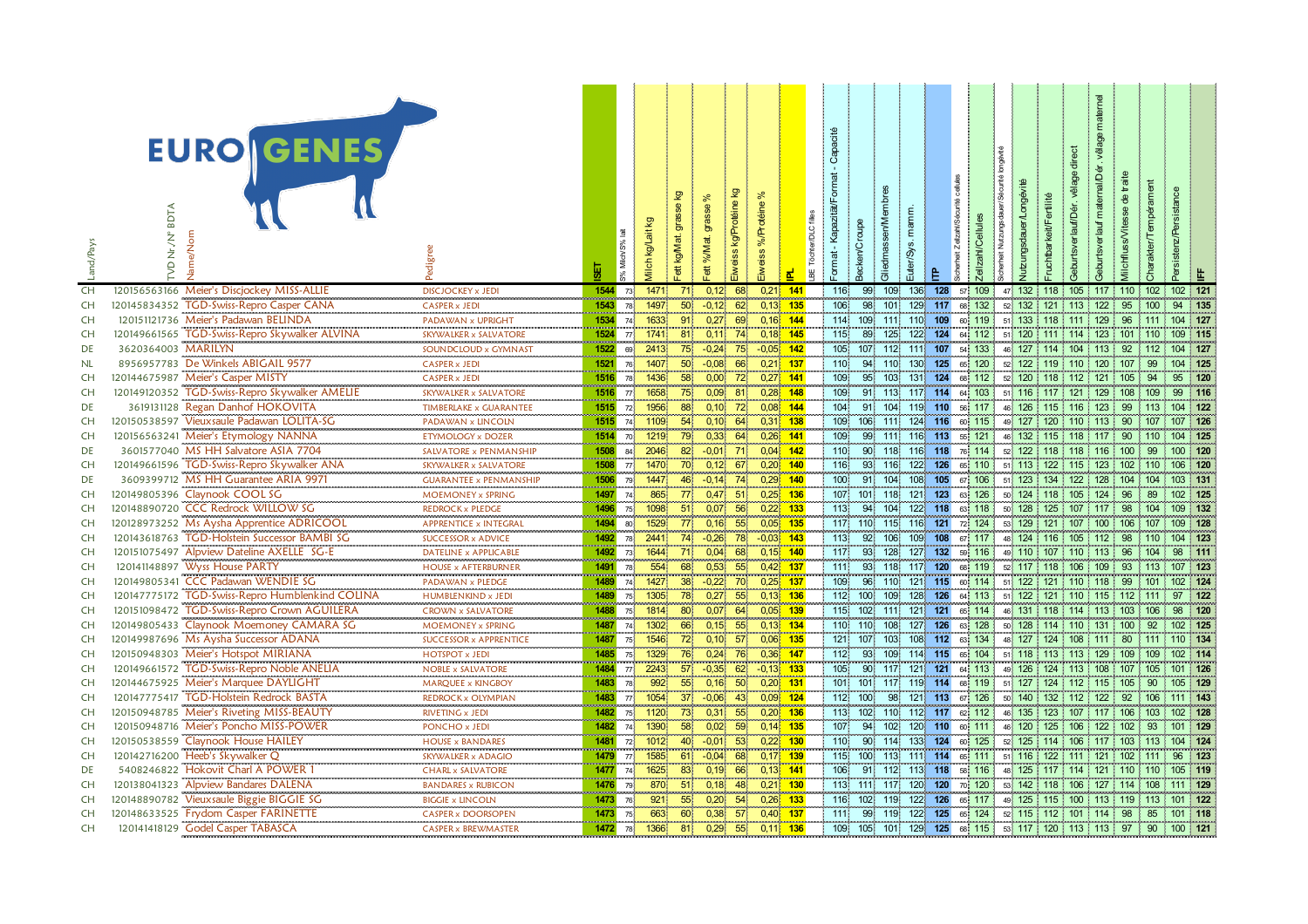| .and/Pays              | <b>EURO GENES</b><br><b>BDTA</b><br>VD Nr./N°<br>lame/Norr                              | Pedigree                                                | Щ                         | 氙<br>% Milch/S%       | ettkgM<br>ilch                                                | న్<br>ট্য<br>ಕ<br>ett %M; | eine<br>kg/Pr<br>weiss | otéine<br>%/Pr<br>weiss  | er/DLC<br>BE Töcht | Capacité<br>ormat<br>KapazitätF<br>ormat | දි          | liedmassen/M |                        | icher<br>ļΔ. | ellzahl/Cel      | utzungsda |                                                         |                 |             |                    |  |
|------------------------|-----------------------------------------------------------------------------------------|---------------------------------------------------------|---------------------------|-----------------------|---------------------------------------------------------------|---------------------------|------------------------|--------------------------|--------------------|------------------------------------------|-------------|--------------|------------------------|--------------|------------------|-----------|---------------------------------------------------------|-----------------|-------------|--------------------|--|
| CH                     | 120156563166 Meier's Discjockey MISS-ALLIE                                              | <b>DISCJOCKEY x JEDI</b>                                | 1544                      | 73 <sup>1</sup>       | 1471<br>71                                                    | 0.12                      | 68                     | $0,21$ 141               |                    | 116                                      | 99          | 109          | 136                    | 128          | 57 109           | 47 132    | $118$ 105 117 110 102                                   |                 |             | 102 121            |  |
| CH                     | 120145834352 TGD-Swiss-Repro Casper CANA                                                | <b>CASPER x JEDI</b>                                    | 1543                      | 78                    | 1497<br>50                                                    | $-0.12$                   | 62                     | $0.13 - 135$             |                    | 106                                      | 98          | 101          | 129                    | 117          | 68 132           | 52 132    | 121 113 122                                             | 95              | 100         | 94 135             |  |
| <b>CH</b>              | 120151121736 Meier's Padawan BELINDA                                                    | PADAWAN x UPRIGHT                                       | 1534                      | 74 <sup>1</sup>       | 1633<br>91                                                    | 0,27                      | 69                     | $0,16$ 144               |                    | 114                                      | 109         | 111          | 110 109                |              | 60 119           |           | 51 133 118 111 129                                      | 96              | 111 104 127 |                    |  |
| CH                     | 120149661565 TGD-Swiss-Repro Skywalker ALVINA                                           | SKYWALKER x SALVATORE                                   | 1524                      | 77 <sup>1</sup>       | 1741<br>81                                                    | 0,11                      | 74                     | $0,18$ 145               |                    | 115                                      | 89          | 125          | 122                    | 124          | 64 112           |           | 51 120 111 114 123                                      | 101 110         |             | 109 115            |  |
| DE                     | 3620364003 MARILYN                                                                      | SOUNDCLOUD x GYMNAST                                    | 1522                      | 69                    | 75<br>2413                                                    | $-0.24$                   | 75                     | $-0.05$ 142              |                    | 105                                      | 107         | 112          | 111 107                |              | 54 133           | 46 127    | 114 104 113 92 112                                      |                 |             | 104 127            |  |
| NL                     | 8956957783 De Winkels ABIGAIL 9577                                                      | <b>CASPER x JEDI</b>                                    | 1521                      | 76                    | 50 <sup>°</sup><br>1407                                       | $-0.08$                   | 66                     | $0,21$ 137               |                    | 110                                      | 94          | 110          | 130                    | 125          | 65 120           |           | 52 122 119 110 120                                      | 107             | 99          | 104 125            |  |
| <b>CH</b><br>CH        | 120144675987 Meier's Casper MISTY                                                       | <b>CASPER x JEDI</b>                                    | 1516<br>1516              | 78 <sup>1</sup>       | 58<br>1436<br>75                                              | 0,00                      | 72<br>81               | $0,27$ 141               |                    | 109<br>109                               | 95          | 103<br>113   | 131 124                |              | 68 112           |           | 52 120 118 112 121 105 94<br>51 116 117 121 129 108 109 |                 |             | 95 120<br>99 116   |  |
| DE                     | 120149120352 TGD-Swiss-Repro Skywalker AMELIE<br>3619131128 Regan Danhof HOKOVITA       | SKYWALKER x SALVATORE<br>TIMBERLAKE x GUARANTEE         | 1515                      | 77 <sup>1</sup>       | 1658<br>1956<br>88                                            | 0,09<br>0,10              | 72                     | $0,28$ 148<br>$0,08$ 144 |                    | 104                                      | 91<br>91    | 104          | 117 114<br>119 110     |              | 64 103<br>56 117 | 46 126    | 115 116 123                                             | 99 113 104 122  |             |                    |  |
| <b>CH</b>              | 120150538597 Vieuxsaule Padawan LOLITA-SG                                               | PADAWAN x LINCOLN                                       | 1515                      | 72 <sup>1</sup><br>74 | 54<br>1109                                                    | 0,10                      | 64                     | $0,31$ 138               |                    | 109                                      | 106         | 111          | 124 116                |              | 60 115           |           | 49 127 120 110 113                                      | 90 107          |             | 107 126            |  |
| CH                     | 120156563241 Meier's Etymology NANNA                                                    | ETYMOLOGY x DOZER                                       | 1514                      | 70 <sup>1</sup>       | 1219<br>79                                                    | 0,33                      | 64                     | $0,26$ 141               |                    | 109                                      | 99          | 111          | 116 113                |              | 55 121           |           | 46 132 115 118 117                                      | - 90            | 110         | 104 125            |  |
| DE                     | 3601577040 MS HH Salvatore ASIA 7704                                                    | SALVATORE x PENMANSHIP                                  | 1508                      | 84                    | 2046<br>82                                                    | $-0,01$                   | - 71.                  | $0,04$ 142               |                    | 110                                      | 90          | 118          | 116 118                |              | 76 114           | 52 122    | 118 118 116                                             | 100             | 99          | 100 120            |  |
| <b>CH</b>              | 120149661596 TGD-Swiss-Repro Skywalker ANA                                              | SKYWALKER x SALVATORE                                   | 1508                      | 77                    | 70<br>1470                                                    | 0.12                      | 67                     | $0,20$ 140               |                    | 116                                      | 93          | 116          | 122                    | 126          | 65 110           |           | 51 113 122 115 123                                      | 102 110 106 120 |             |                    |  |
| DE                     | 3609399712 MS HH Guarantee ARIA 9971                                                    | <b>GUARANTEE x PENMANSHIP</b>                           | 1506                      | 79                    | 1447<br>46                                                    |                           | $-0,14$ 74             | $0,29$ 140               |                    | 100                                      | 91          | 104          | 108 105                |              | 67 106           |           | 51 123 134 122 128 104 104 103 131                      |                 |             |                    |  |
| CH                     | 120149805396 Claynook COOL SG                                                           | MOEMONEY x SPRING                                       | 1497                      | 74                    | 77 <sub>1</sub><br>865                                        |                           | $0,47$ 51              | $0,25$ 136               |                    | 107                                      | 101         | 118          | 121 123                |              | 63 126           |           | 50 124 118 105 124 96 89                                |                 |             | 102 125            |  |
| CH                     | 120148890720 CCC Redrock WILLOW SG                                                      | REDROCK x PLEDGE                                        | 1496                      | 75 <sub>1</sub>       | 1098<br>51                                                    | 0,07                      | 56.                    | $0,22$ 133               |                    | 113                                      | 94          | 104          | 122 118                |              | 63 118           | 50 128    | 125 107 117 98 104                                      |                 |             | 109 132            |  |
| CH                     | 120128973252 Ms Aysha Apprentice ADRICOOL                                               | APPRENTICE x INTEGRAI                                   | 1494                      | 80                    | 77<br>1529                                                    | 0,16                      | 55                     | $0,05$ 135               |                    | 117                                      | 110         | 115          | 116 121                |              | 72 124           |           | 53 129 121 107 100 106 107                              |                 |             | 109 128            |  |
| CH                     | TGD-Holstein Successor BAMBI SG<br>120143618763                                         | <b>SUCCESSOR x ADVICE</b>                               | 1492                      | 78                    | 2441<br>74                                                    | $-0,26$                   | 78                     | $-0.03$ 143              |                    | 113                                      | 92          | 106          | 109 <sub>1</sub>       | 108          | 67 117           | 48 124    | 116 105 112                                             | 98              | 110         | 104 123            |  |
| CH                     | 120151075497 Alpview Dateline AXELLE SG-E                                               | DATELINE x APPLICABLE                                   | <b>CONTRACTOR</b><br>1492 | 73 <sup>°</sup>       | 71<br>1644                                                    | 0,04                      | 68                     | $0,15$ 140               |                    | $117$                                    | 93          | 128          | 127 132                |              | 59 116           |           | 49 110 107 110 113 96 104                               |                 |             | 98 111             |  |
| CH                     | 120141148897 Wyss House PARTY                                                           | <b>HOUSE x AFTERBURNER</b>                              | 1491                      | 78                    | 68<br>554                                                     | 0,53                      | 55                     | 0,42 137                 |                    | 111                                      |             | 93 118       | 117 120                |              | 68 119           |           | 52 117 118 106 109                                      | 93              | 113         | 107 123            |  |
| CH                     | 120149805341 CCC Padawan WENDIE SG                                                      | PADAWAN x PLEDGE                                        | 1489                      | 74                    | 38<br>1427                                                    | $-0.22$                   | 70                     | $0,25$ 137               |                    | 109                                      | 96          | 110          | 121 115                |              | 60 114           |           | 51 122 121 110 118 99                                   |                 | 101         | 102 124            |  |
| CH                     | TGD-Swiss-Repro Humblenkind COLINA<br>120147775172                                      | <b>HUMBLENKIND x JEDI</b>                               | 1489                      | 75.                   | 1305<br>78                                                    | 0,27                      | 55                     | $0,13$ 136               |                    | 112.                                     | 100.        | 109          | 128 126                |              | 64 113           |           | 51 122 121 110 115 112 111                              |                 |             | 97 122             |  |
| CH                     | 120151098472 TGD-Swiss-Repro Crown AGUILERA<br>120149805433 Claynook Moemoney CAMARA SG | CROWN x SALVATORE<br>,,,,,,,,,,,,,,,,,,,,,,,,,,,,,,,,,, | 1488<br>.                 | 75 <sup>1</sup>       | 1814<br>80                                                    | 0,07                      | 64                     | 0,05                     | 139                | 115                                      | 102         | 111          | 121 121                |              | 65 114           | 46 131    | 118 114 113                                             | 103 106         |             | 98 120             |  |
| CH                     |                                                                                         | MOEMONEY x SPRING                                       | 1487                      | 74                    | 1302<br>66                                                    | 0,15                      | 55                     | 0,13                     | $-134$             |                                          | 110 110     | 108          | 127 126                |              | 63 128           | 50 128    | $114$ 110 131 100                                       |                 | 92          | 102 125            |  |
| CH                     | 120149987696 Ms Aysha Successor ADANA                                                   | SUCCESSOR x APPRENTICE                                  | 1487                      | 75                    | 72<br>1546                                                    |                           | $0,10$ 57              | 0,06 135                 |                    |                                          | 121 107 103 |              | 108 112                |              | 63 134           | 48 127    | 124 108 111 80 111                                      |                 |             | 110 134            |  |
| <b>CH</b>              | 120150948303 Meier's Hotspot MIRIANA                                                    | <b>HOTSPOT x JEDI</b>                                   | 1485                      | 75 <sup>1</sup>       | 1329<br>76                                                    | 0,24                      | 76                     | $0,36$ 147               |                    | 112                                      | 93          | 109          | 114 115                |              | 65 104           |           | 51 118 113 113 129                                      | 109 109         |             | 102 114            |  |
| <b>CH</b>              | 120149661572 TGD-Swiss-Repro Noble ANELIA                                               | <b>NOBLE x SALVATORE</b>                                | 1484                      | 77 <sup>1</sup>       | 2243<br>57                                                    | $-0.35$                   | 62                     | $-0,13$ 133              |                    | 105                                      |             | 90 117       | 121                    | 121          | 64 113           | 49 126    | 124 113 108                                             | 107 105         |             | 101 126            |  |
| <b>CH</b>              | 120144675925 Meier's Marquee DAYLIGHT                                                   | MARQUEE x KINGBOY                                       | 1483                      | 78.                   | 55<br>992                                                     | 0,16                      | 50                     | $0,20$ 131               |                    | 101                                      | 101         | 117          | 119 114                |              | 68 119           | 51 127    | 124 112 115                                             | 105             | 90          | 105 129            |  |
| <b>CH</b>              | <b>TGD-Holstein Redrock BASTA</b><br>120147775417                                       | REDROCK x OLYMPIAN                                      | 1483<br>1482              | 77 <sup>1</sup>       | 37<br>1054<br>73                                              | $-0.06$                   | 43                     | $0.09$ 124               |                    | 112<br>113                               | 100.<br>102 | 98<br>110    | 121 113<br>112 117     |              | 67 126           |           | 50 140 132 112 122<br>46 135 123 107 117                | 92              | 106         | 111 143<br>102 128 |  |
| <b>CH</b><br><b>CH</b> | 120150948785 Meier's Riveting MISS-BEAUTY<br>120150948716 Meier's Poncho MISS-POWER     | RIVETING x JEDI                                         |                           | 75 <sub>1</sub>       | 1120                                                          | 0,31                      | 55<br>59               | $0,20$ 136               |                    |                                          |             |              |                        |              | 62 112           |           | 46 120 125 106 122 102 93                               | 106 103         |             | 101 129            |  |
| <b>CH</b>              | 120150538559 Claynook House HAILEY                                                      | PONCHO x JEDI<br><b>HOUSE x BANDARES</b>                | 1482<br>1481              | 74<br>72 <sub>1</sub> | 1390<br>58<br>1012<br>40                                      | 0,02<br>$-0,01$           | 53                     | $0,14$ 135<br>$0,22$ 130 |                    | 107<br>110                               | 94<br>90    | 114          | 102 120 110<br>133 124 |              | 60 111<br>60 125 |           | 52 125 114 106 117 103 113                              |                 |             | 104 124            |  |
| <b>CH</b>              | 120142716200 Heeb's Skywalker Q                                                         | SKYWALKER x ADAGIO                                      | 1479                      | 77 <sup>1</sup>       | 1585<br>61                                                    | $-0,04$                   | 68                     | $0,17$ 139               |                    | 115                                      | 100         | 113          | 111 114                |              | 65 111           |           | 51 116 122 111 121 102 111                              |                 |             | 96 123             |  |
| DE                     | 5408246822 Hokovit Charl A POWER 1                                                      | <b>CHARL x SALVATORE</b>                                | 1477                      | 74 <sup>1</sup>       | 1625<br>83                                                    | 0,19                      | 66                     | $0,13$ 141               |                    | 106                                      |             | 91 112       | 113 118                |              | 58 116           | 48 125    | 117 114 121                                             | $110$ 110       |             | 105 119            |  |
| <b>CH</b>              | 120138041323 Alpview Bandares DALENA                                                    | <b>BANDARES x RUBICON</b>                               | 1476                      | 79                    | 51<br>870                                                     | 0,18                      | 48                     | $0,21$ 130               |                    | 113                                      | 111.        | 117          | 120 120                |              | 70 120           |           | 53 142 118 106 127                                      | 114 108         |             | 111 129            |  |
| <b>CH</b>              | 120148890782 Vieuxsaule Biggie BIGGIE SG                                                | <b>BIGGIE x LINCOLN</b>                                 | 1473                      | 76 <sup>1</sup>       | 921<br>55                                                     | 0,20                      | 54                     | $0,26$ 133               |                    | 116                                      | 102         | 119          | $122 -$                | 126          | 65 117           |           | 49 125 115 100 113 119 113 101 122                      |                 |             |                    |  |
| <b>CH</b>              | 120148633525 Frydom Casper FARINETTE                                                    | CASPER x DOORSOPEN                                      | 1473                      | 75                    | 60<br>663.                                                    | 0,38                      | 57                     | $0,40$ 137               |                    | 111                                      | 99          | 119.         | 122 125                |              | 65 124           |           | 52 115 112 101 114 98 85                                |                 |             | $101$ 118          |  |
| CH                     | 120141418129 Godel Casper TABASCA                                                       | <b>CASPER x BREWMASTER</b>                              |                           | 1472 78               | 1366<br>$\overline{81}$<br><b><i><u>ALCOHOL: 2005</u></i></b> | 0,29                      | 55                     | $0.11 - 136$             |                    | 109                                      |             |              | 105 101 129 125        |              |                  |           | 68 115 53 117 120 113 113 97 90 100 121                 |                 |             |                    |  |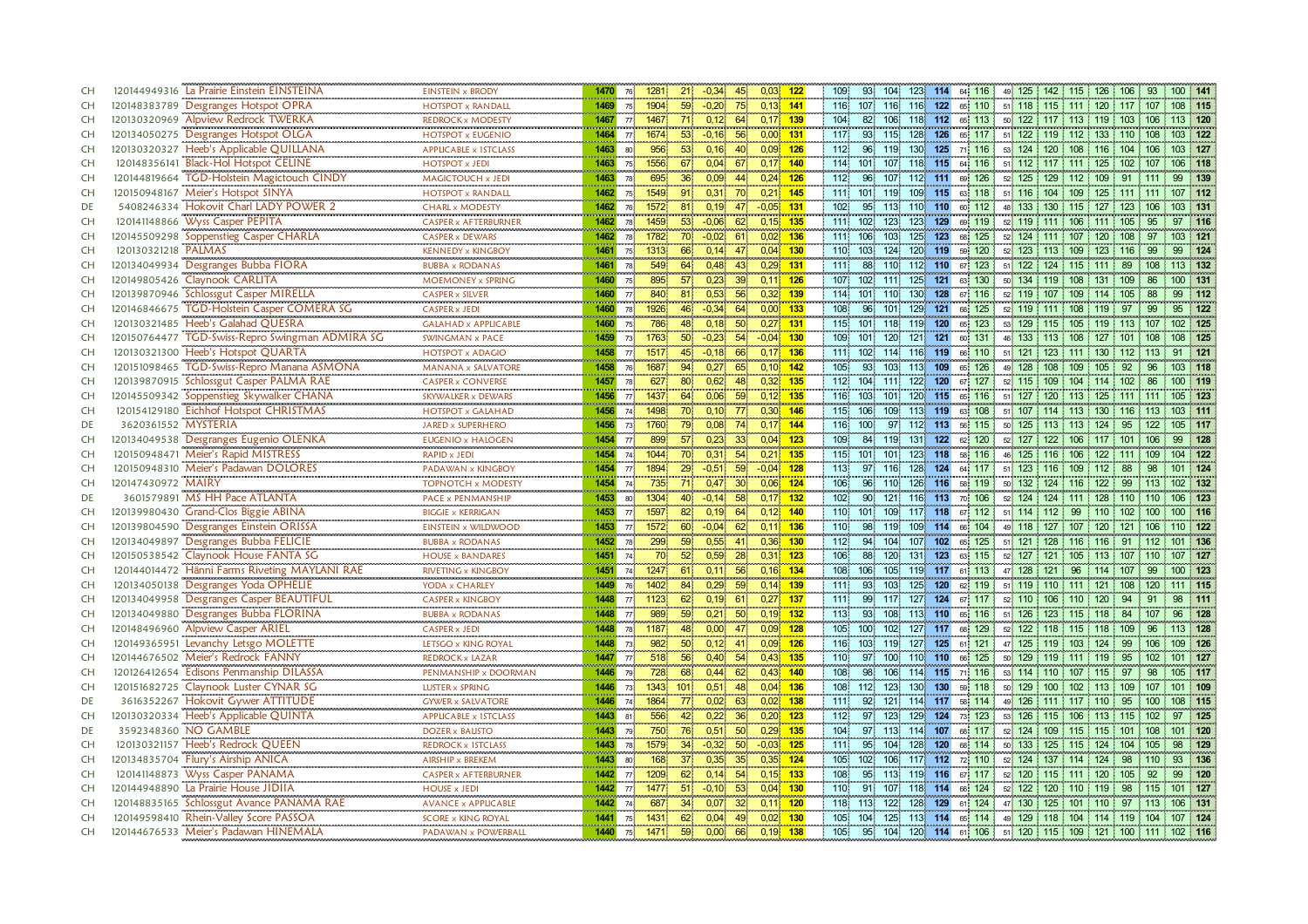| <b>CH</b> | 120144949316 La Prairie Einstein EINSTEINA         | <b>EINSTEIN x BRODY</b>         | 1470    | 76 <sup>1</sup> | 1281                           | 21<br>$-0,34$              | 45              | $0,03$ 122                  | 93.<br>109                 | 104 123 114 64 116      |         |                | 49 125 142 115 126 106 93 100 141                     |         |                |          |           |
|-----------|----------------------------------------------------|---------------------------------|---------|-----------------|--------------------------------|----------------------------|-----------------|-----------------------------|----------------------------|-------------------------|---------|----------------|-------------------------------------------------------|---------|----------------|----------|-----------|
| CH        | 120148383789 Desgranges Hotspot OPRA               | <br><b>HOTSPOT x RANDALL</b>    | 1469    |                 | 75 1904                        | 59<br>$-0,20$              | 75              | $0,13$ 141                  | 116 107 116 116 122 65 110 |                         |         |                | 51 118 115 111 120 117 107 108 115                    |         |                |          |           |
| <b>CH</b> | 120130320969 Alpview Redrock TWERKA                | REDROCK x MODESTY               | 1467    |                 | 77 1467                        | 0,12<br>71.                | 64              | $0.17$ 139                  | 104<br>82                  | 106                     |         | 118 112 65 113 | 50 122 117 113 119 103 106                            |         |                |          | 113 120   |
| <b>CH</b> | 120134050275 Desgranges Hotspot OLGA               | <b>HOTSPOT x EUGENIO</b>        | 1464    |                 | 77 1674                        | 53<br>$-0,16$              | 56              | $0,00$ 131                  | 117<br>93                  | 115                     | 128 126 | 65 117         | 51 122 119 112 133 110 108                            |         |                |          | 103 122   |
| <b>CH</b> | 120130320327 Heeb's Applicable QUILLANA            | APPLICABLE x 1STCLASS           | 1463    | 80              | 956                            | 53 <sup>°</sup><br>0,16    | 40              | $0,09$ 126                  | 112<br>96                  | 119                     |         | 130 125 71 116 | 53 124 120 108 116 104 106                            |         |                |          | 103 127   |
| <b>CH</b> | 120148356141 Black-Hol Hotspot CELINE              | <b>HOTSPOT x JEDI</b>           | 1463    | 75 <sup>1</sup> | 1556                           | 0,04<br>67                 | 67              | $0,17$ 140                  | 114<br>101                 | 118<br>107              | 115     | 64 116         | 51 112 117 111 125 102 107                            |         |                |          | 106 118   |
| <b>CH</b> | 120144819664 TGD-Holstein Magictouch CINDY         | MAGICTOUCH x JEDI               | 1463    | 78 <sup>1</sup> | 695                            | 36 <sup>2</sup><br>0,09    | 44              | $0,24$ 126                  | 96<br>112                  | 107 112 111 69 126      |         |                | 52 125 129 112 109 91 111                             |         |                |          | 99 139    |
| <b>CH</b> | 120150948167 Meier's Hotspot SINYA                 | <b>HOTSPOT x RANDALL</b>        | 1462    | 75 <sup>1</sup> | 1549<br>91                     | 0,31                       | 70              | $0,21$ 145                  | 101<br>111                 | 119                     | 109 115 | 63 118         | 51 116 104 109                                        |         | 125 111 111    |          | 107 112   |
| DE        | 5408246334 Hokovit Charl LADY POWER 2              | <b>CHARL x MODESTY</b>          | 1462    | 76 <sup>1</sup> | 1572<br>81                     | 0, 19                      | 47              | $-0,05$ 131                 | 102 <sub>1</sub><br>95     | 113.                    | 110 110 | 112<br>60      | 48 133                                                | 130 115 | 127<br>123 106 |          | 103 131   |
| <b>CH</b> | 120141148866 Wyss Casper PEPITA                    | CASPER x AFTERBURNER            | 1462    | 78              | and the company of the<br>1459 | 53 <sup>1</sup><br>$-0,06$ | 62              | <b>DOM NO</b><br>$0,15$ 135 | 111 102                    | 123                     | 123 129 | 69 119         | 52 119 111 106 111 105                                |         |                | 95       | 97 116    |
| <b>CH</b> | 120145509298 Soppenstieg Casper CHARLA             | <b>CASPER x DEWARS</b>          | 1462    | 78.             | 1782                           | 70<br>$-0.02$              | 61              | $0,02$ 136                  | 111 106                    | 103 <sub>1</sub><br>125 | 123     | 68 125         | 52 124 111 107 120 108                                |         |                | 97       | 103 121   |
| <b>CH</b> | 120130321218 PALMAS                                | <br><b>KENNEDY x KINGBOY</b>    | 1461    | 75 <sup>1</sup> | 1313                           | 0,14<br>66                 | -475            | $0,04$ 130                  | 110 103                    | 124                     | 120 119 | 59 120         | 52 123 113 109 123 116                                |         |                | -99      | 124<br>99 |
| <b>CH</b> | 120134049934 Desgranges Bubba FIORA                | <b>BUBBA x RODANAS</b>          | 1461    | 78 <sup>°</sup> | 549                            | 64<br>0,48                 | 43              | $0,29$ 131                  | 111<br>88                  | 110                     | 112 110 | 67 123         | 51 122 124 115 111                                    |         | 89 108         |          | 113 132   |
| <b>CH</b> | 120149805426 Claynook CARLITA                      | MOEMONEY x SPRING               | 1460    | 75              | 895                            | 0,23<br>57 <sub>1</sub>    | 39 <sup>°</sup> | $0,11$ 126                  | 107 102                    | 1111                    | 125 121 | 130<br>63      | 50 134 119 108 131 109                                |         |                | 86       | 100 131   |
| CH        | 120139870946 Schlossgut Casper MIRELLA             | <br><b>CASPER x SILVER</b>      | 1460    | 77              | 840                            | 0,53<br>$81^{\circ}$       | 56              | $0,32$ 139                  | 101<br>114                 | 130<br>$110^{\circ}$    | 128     | 67 116         | 52 119 107 109 114 105                                |         |                | 99<br>88 | $-112$    |
| CH        | 120146846675 TGD-Holstein Casper COMERA SG         | <br><b>CASPER x JEDI</b>        |         |                 | $1460$ 78 1926                 | 46 <sup>1</sup><br>$-0,34$ | 64              | $0,00$ 133                  | 108<br>96                  | 101                     |         | 129 121 68 125 | 52 119 111 108 119 97                                 |         |                | 99       | 122<br>95 |
| CH        | 120130321485 Heeb's Galahad QUESRA                 | <b>GALAHAD x APPLICABLE</b>     | 1460    | 75 <sup>1</sup> | 786                            | 48<br>0,18                 | 50 <sub>o</sub> | $0,27$ 131                  | 115 101 118 119 120 65 123 |                         |         |                | 53 129 115 105 119 113 107                            |         |                |          | 102 125   |
| <b>CH</b> | 120150764477<br>TGD-Swiss-Repro Swingman ADMIRA SG | <b>SWINGMAN x PACE</b>          | 1459    | $73 -$          | 1763                           | 50 <sup>1</sup><br>$-0.23$ | 54              | $-0.04$ 130                 | 109<br>101                 | 120 <sup>1</sup>        | 121 121 | 131<br>60.     | 46 133 113 108                                        |         | 127 101 108    |          | 08 125    |
| CH        | 120130321300 Heeb's Hotspot QUARTA                 | <br><b>HOTSPOT x ADAGIO</b>     | 1458    | 77 <sup>1</sup> | 1517                           | 45<br>$-0.18$              | 66              | $0.17$ 136                  | 111 102                    | 114                     | 116 119 | 66 110         | 51 121 123 111 130 112 113                            |         |                |          | 91 121    |
| CH        | 120151098465 TGD-Swiss-Repro Manana ASMONA         | <b>MANANA x SALVATORE</b>       | 1458    | 76              | 1687                           | 0.27<br>94                 | 65              | $0.10$ 142                  | 105<br>93                  | 103                     | 113 109 | 65 126         | 49 128 108 109                                        |         | 105 92         | 96       | 103 118   |
| CH        | 120139870915 Schlossgut Casper PALMA RAE           | <b>CASPER x CONVERSE</b>        | 1457    | 78.             | 627                            | 0,62<br>80                 | 48              | $0,32$ 135                  | 112<br>104                 | 122<br>111              | 120     | 127<br>67      | 52 115 109 104 114 102                                |         |                | 86       | 100 119   |
| CH        | 120145509342 Soppenstieg Skywalker CHANA           | <br>SKYWALKER x DEWARS          | 1456    |                 | 77 1437                        | 64<br>0,06                 | 59              | $0,12$ 135                  | 116 103                    | 101 120 115 65 116      |         |                | 51 127 120 113 125 111 111                            |         |                |          | 105 123   |
| CH        | 120154129180 Eichhof Hotspot CHRISTMAS             | HOTSPOT x GALAHAD               | 1456    | $74^{\circ}$    | 1498                           | 70 <sub>1</sub><br>0, 10   | 77              | $0,30$ 146                  | 115<br>106                 | 109                     | 113 119 | 108<br>63      | 51 107                                                | 114 113 | 130<br>116 113 |          | 103 111   |
| DE        | 3620361552 MYSTERIA                                | <b>JARED x SUPERHERO</b>        | 1456    | 73              | 1760                           | 79<br>0,08                 | 74              | $0,17$ 144                  | 116 100                    | 97                      | 112 113 | 56 115         | 50 125 113 113 124 95                                 |         |                | 122      | 105 117   |
| <b>CH</b> | 120134049538 Desgranges Eugenio OLENKA             | <b>EUGENIO x HALOGEN</b>        | 1454 77 |                 | 899                            | 57<br>0,23                 | 33              | $0,04$ 123                  | 109<br>84                  | 119 131 122 62 120      |         |                | 52 127 122 106 117 101 106                            |         |                |          | 99<br>128 |
| CH        | 120150948471 Meier's Rapid MISTRESS                | <b>RAPID x JEDI</b>             | 1454    | 74              | 1044                           | 70<br>0.31                 | 54              | $0,21$ 135                  | 115 101                    | 101                     | 123 118 | 58 116         | 46 125 116 106                                        |         | 122<br>111 109 |          | 104 122   |
| <b>CH</b> | 120150948310 Meier's Padawan DOLORES               | PADAWAN x KINGBOY               | 1454 77 |                 | 1894                           | 29<br>$-0,51$              | 59              | $-0.04$ 128                 | 113<br>97.                 | 116                     |         | 128 124 64 117 | $51\,$ 123   116   109   112   88                     |         |                | -98      | 101 124   |
| CH        | 120147430972 MAIRY                                 | TOPNOTCH x MODESTY              | 1454    | 74              | 735                            | 0,47<br>71.                | 30 <sup>1</sup> | $0,06$ 124                  | 106<br>96                  | 110                     |         | 126 116 58 119 | 50 132 124 116 122 99 113                             |         |                |          | 102 132   |
| DE        | 3601579891 MS HH Pace ATLANTA                      | <b>PACE x PENMANSHIP</b>        | 1453    | 80              | 1304                           | $-0,14$<br>40              | 58              | $0,17$ 132                  | 102 <sub>1</sub><br>90     | 121                     | 116 113 | 70 106         | 52 124 124 111 128 110 110                            |         |                |          | 106 123   |
| CH        | 120139980430 Grand-Clos Biggie ABINA               | <b>BIGGIE x KERRIGAN</b>        | 1453    | 77 <sup>1</sup> | 1597                           | 0,19<br>82                 | 64.             | $0,12$ 140                  | 110 101                    | 109                     | 117 118 | 67 112         | 51 114 112 99 110 102 100                             |         |                |          | 100 116   |
| <b>CH</b> | 120139804590 Desgranges Einstein ORISSA            | <b>EINSTEIN x WILDWOOD</b>      | 1453    | 77 <sup>1</sup> | 1572                           | 60<br>$-0.04$              | 62 <sup>1</sup> | $0,11$ 136                  | 98<br>110                  | 119                     |         | 109 114 66 104 | 49 118 127 107 120 121 106                            |         |                |          | 110 122   |
| <b>CH</b> | 120134049897 Desgranges Bubba FELICIE              | <b>BUBBA x RODANAS</b>          | 1452    | 78              | 299                            | 59<br>0,55                 | 41              | $0,36$ 130                  | 112<br>94                  | 104                     | 107 102 | 65 125         | 51 121 128 116 116 91 112                             |         |                |          | 101 136   |
| <b>CH</b> | 120150538542 Claynook House FANTA SG               | <b>HOUSE x BANDARES</b>         | 1451    | 74              | 70 <sup>1</sup>                | 52<br>0,59                 | 28              | $0,31$ 123                  | 106<br>88                  | 120                     | 131 123 | 63 115         | 52 127 121 105 113 107 110                            |         |                |          | 107 127   |
| <b>CH</b> | 120144014472 Hänni Farms Riveting MAYLANI RAE      | RIVETING x KINGBOY              | 1451    | 74              | 1247                           | 0,11<br>61 <sup>1</sup>    | 56              | $0,16$ 134                  | 108<br>106 <sup>1</sup>    | 105                     |         | 119 117 61 113 | 47 128 121 96                                         |         | $114$ 107      | 99       | 100 123   |
| <b>CH</b> | 120134050138 Desgranges Yoda OPHELIE               | YODA x CHARLEY                  | 1449    | 76              | 1402                           | 0,29<br>84 <sup>1</sup>    | 59 <sup>°</sup> | $0,14$ 139                  | 111<br>93                  | 103 <sub>1</sub><br>125 | 120     | 62 119         | 51 119 110 111 121 108 120                            |         |                |          | 111 115   |
| <b>CH</b> | 120134049958 Desgranges Casper BEAUTIFUL           | <b>CASPER x KINGBOY</b>         | 1448    | 77 <sup>1</sup> | 1123                           | 62<br>0,19                 | 61              | $0.27$ 137                  | 99<br>111                  | 117                     | 127 124 | 67 117         | 52 110 106 110 120 94 91                              |         |                |          | 98 111    |
| CH        | 120134049880 Desgranges Bubba FLORINA              | <b>BUBBA x RODANAS</b>          | 1448    | 77              | 989                            | 59<br>0,21                 | 50 <sub>1</sub> | $0,19$ 132                  | 113<br>93                  | 108                     | 113 110 | 65 116         | 51 126 123 115 118 84 107                             |         |                |          | 96 128    |
| CH        | 120148496960 Alpview Casper ARIEL                  | <b>CASPER x JEDI</b>            | 1448    | 78              | 1187                           | 0,00<br>48                 | 47              | $0,09$ 128                  | 105<br>100                 | 102                     |         | 127 117 68 129 | 52 122 118 115 118 109                                |         |                | 96       | 113 128   |
| CH        | 120149365951 Levanchy Letsgo MOLETTE               | LETSGO x KING ROYAL             | 1448    | 73.             | 982                            | 0,12<br>50 <sub>1</sub>    | 41              | $0,09$ 126                  | 116<br>103                 | 119                     | 127 125 | 61 121         | 47 125 119 103 124 99 106                             |         |                |          | 109 126   |
| CH        | 120144676502 Meier's Redrock FANNY                 | REDROCK x LAZAR                 | 1447    | 77 <sub>1</sub> | 518                            | 56<br>0,40                 | 54              | $0,43$ 135                  | 110.<br>97                 | 100                     | 110 110 | 125<br>66      | 50 129 119 111 119                                    |         | 95             | 102      | 101 127   |
| CH        | 120126412654 Edisons Penmanship DILASSA            | PENMANSHIP x DOORMAN            | 1446    | 79              | 728                            | 68<br>0,44                 | 62              | $0,43$ 140                  | 108<br>98                  | 106                     |         | 114 115 71 116 | 53 114 110 107 115 97                                 |         |                | 98       | 105 117   |
| <b>CH</b> | 120151682725 Claynook Luster CYNAR SG              | LUSTER x SPRING                 | 1446    | 73 <sup>1</sup> | 1343 101                       | 0,51                       | 48.             | $0,04$ 136                  | 108<br>112                 | 123 <sup>1</sup>        | 130 130 | 59 118         | 50 129 100 102 113 109 107                            |         |                |          | 101 109   |
| DE        | 3616352267 Hokovit Gywer ATTITUDE                  | <b>GYWER x SALVATORE</b>        | 1446 74 |                 | 1864                           | 771<br>0,02                | 63              | $0.02$ 138                  | 92<br>111.                 | 121 114 117 58 114      |         |                | 49 126 111 117 110 95 100                             |         |                |          | 108 115   |
| CH        | 120130320334 Heeb's Applicable QUINTA              | <b>APPLICABLE x 1STCLASS</b>    | 1443    | 81              | 556                            | 0.22<br>42 <sub>1</sub>    | 36 <sup>°</sup> | $0.20$ 123                  | 112<br>97                  | 123 <sub>1</sub>        | 129 124 | 73 123         | 53 126 115 106 113 115 102                            |         |                |          | 97 125    |
| DE        | 3592348360 NO GAMBLE                               | <b>DOZER x BALISTO</b>          | 1443    | 79              | 750                            | 76<br>0,51                 | 50              | $0.29 - 135$                | 104<br>97                  | 113                     | 114 107 | 68 117         | 52 124 109 115 115 101 108                            |         |                |          | 101 120   |
| CH        | 120130321157 Heeb's Redrock OUEEN                  | <b>REDROCK x 1STCLASS</b>       | 1443    | <b>78</b>       | 1579                           | 34 <sup>°</sup><br>$-0,32$ | 50 <sup>°</sup> | $-0.03$ 125                 | 95<br>111                  | 104                     | 128 120 | 68 114         | 50 133 125 115 124 104 105                            |         |                |          | 98 129    |
| CH        | 120134835704 Flury's Airship ANICA                 | AIRSHIP x BREKEM                | 1443    | 80 <sup>1</sup> | 168                            | 0,35<br>37 <sup>°</sup>    | 35 <sup>°</sup> | $0,35$ 124                  | 102<br>105                 | 106                     |         | 117 112 72 110 | 52 124 137 114 124 98                                 |         |                | 1110     | 93 136    |
| CH        | <b>Wyss Casper PANAMA</b><br>120141148873          | <b>CASPER x AFTERBURNER</b><br> | 1442    | 77              | 1209                           | 62<br>0,14                 | 54              | $0,15$ 133                  | 108<br>95                  | 113                     | 119 116 | 67 117         | 52 120 115 111 120 105                                |         |                | 92<br>99 | 120       |
| <b>CH</b> | 120144948890 La Prairie House JIDIIA               | <b>HOUSE x JEDI</b>             | 1442    | 77              | 1477                           | $-0,10$<br>51 <sup>°</sup> | 53              | $0,04$ 130                  | 110<br>91                  | 107                     |         | 118 114 66 124 | 52 122 120 110 119 98 115                             |         |                |          | 101 127   |
| <b>CH</b> | 120148835165 Schlossgut Avance PANAMA RAE          | <b>AVANCE x APPLICABLE</b>      | 1442 74 |                 | 687                            | 0,07<br>34 <sup>1</sup>    | 32 <sub>1</sub> | $0,11$ 120                  | 118 113                    | $122^{1}$               | 128 129 | 61 124         | 47 130 125 101 110 97 113                             |         |                |          | 106 131   |
| <b>CH</b> | 120149598410 Rhein-Valley Score PASSOA             | <b>SCORE x KING ROYAL</b>       | 1441 75 |                 | 1431                           | 62<br>0.04                 | 0.02<br>49.     | 130                         | 105<br>104                 | 125.                    |         | 113 114 65 114 | 49 129 118 104 114 119 104                            |         |                |          | 107 124   |
| CH        | 120144676533 Meier's Padawan HINEMALA              | PADAWAN x POWERBALL             |         |                 | 1440 75 1471                   | 59<br>0,00                 | 66              | $0,19$ 138                  | 105<br>95                  |                         |         |                | 104 120 114 61 106 51 120 115 109 121 100 111 102 116 |         |                |          |           |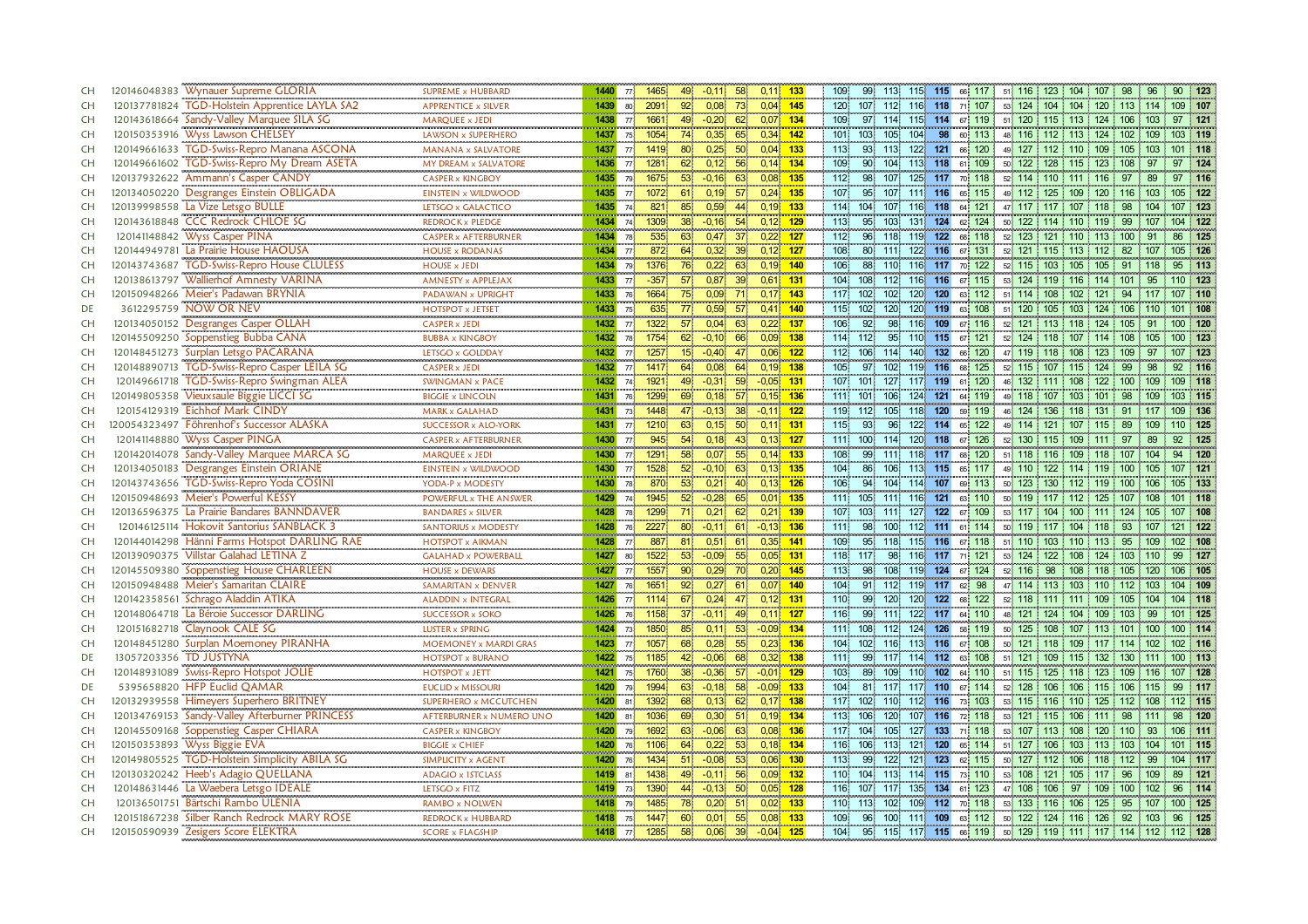| <b>CH</b> | 120146048383 Wynauer Supreme GLORIA                                                         | <b>SUPREME x HUBBARD</b>       | 1440 |                                   | 49<br>$-0,11$<br>58<br>77 1465                                | $0,11$ 133                 | 99 113<br>51 116 123 104 107 98 96<br>90 123<br>109<br>115 115 66 117                                       |
|-----------|---------------------------------------------------------------------------------------------|--------------------------------|------|-----------------------------------|---------------------------------------------------------------|----------------------------|-------------------------------------------------------------------------------------------------------------|
| <b>CH</b> | 120137781824 TGD-Holstein Apprentice LAYLA SA2                                              | <br><b>APPRENTICE x SILVER</b> | 1439 | 80 <sup>1</sup>                   | 0,08<br>73<br>0,04<br>2091<br>92 <sub>1</sub>                 | 145                        | 120 107 112 116 118 71 107<br>53 124 104 104 120 113 114<br>109 107                                         |
| <b>CH</b> | 120143618664 Sandy-Valley Marquee SILA SG                                                   | <b>MAROUEE x JEDI</b>          | 1438 | 77                                | 1661<br>49<br>$-0,20$<br>0.07<br>62                           | 134                        | 109<br>97.<br>114.<br>115 114 67 119<br>51 120 115 113 124 106<br>103<br>97<br>121                          |
| CH        | 120150353916 Wyss Lawson CHELSEY                                                            | LAWSON x SUPERHERO             | 1437 |                                   | 0.35<br>75 1054<br>74<br>65<br>0.34                           | 142                        | 98<br>101<br>103 <sub>1</sub><br>105 <sup>1</sup><br>104<br>60 113<br>48 116 112 113 124 102 109<br>103 119 |
| <b>CH</b> | TGD-Swiss-Repro Manana ASCONA<br>120149661633                                               | <b>MANANA x SALVATORE</b>      | 1437 |                                   | 0,25<br>77 1419<br>80<br>50 <sup>°</sup>                      | $0,04$ 133                 | 113<br>93<br>122 121 66 120<br>113<br>49 127 112 110 109 105 103<br>101 118                                 |
| <b>CH</b> | TGD-Swiss-Repro My Dream ASETA<br>120149661602                                              | MY DREAM x SALVATORE           | 1436 | 77                                | 1281<br>62<br>0,12<br>56                                      | $0,14$ 134                 | 109<br>90<br>104<br>113<br>118<br>61 109<br>50 122 128 115 123 108<br>97<br>97<br>124                       |
| <b>CH</b> | <u>gananan gugudan ng</u><br>120137932622 Ammann's Casper CANDY                             | <b>CASPER x KINGBOY</b>        | 1435 | n e d <mark>i</mark><br><b>79</b> | 53 <sup>°</sup><br>$-0,16$<br>1675<br>63                      | <u>anana</u><br>$0,08$ 135 | <b>DOM: N</b><br>112<br>98<br>107<br>125 117 70 118<br>52 114 110 111 116 97 89<br>97 116                   |
| <b>CH</b> | 120134050220 Desgranges Einstein OBLIGADA                                                   | EINSTEIN x WILDWOOD            | 1435 | 77 <sup>1</sup>                   | 0,19<br>57 <sup>2</sup><br>1072<br>61.                        | $0,24$ 135                 | 107<br>107<br>111 116<br>65 115<br>49 112 125 109<br>105 122<br>95<br>120 116 103                           |
| <b>CH</b> | 120139998558 La Vize Letsgo BULLE                                                           | LETSGO x GALACTICO             | 1435 | 74 <sup>1</sup>                   | 821<br>0,59<br>0,19<br>85                                     | 133                        | 114<br>104<br>107<br>116 118<br>64 121<br>47 117 117 107<br>98<br>104<br>107 123<br>118                     |
| <b>CH</b> | 120143618848 CCC Redrock CHLOE SG                                                           | REDROCK x PLEDGE               | 1434 | 74 <sup>°</sup>                   | 1309<br>38 <sup>°</sup><br>$-0,16$<br>54                      | $0,12$ 129                 | 95<br>131 124 62 124<br>113<br>103 <sub>1</sub><br>50 122 114 110 119<br>99 107<br>104 122                  |
| <b>CH</b> | 120141148842 Wyss Casper PINA                                                               | <b>CASPER x AFTERBURNER</b>    | 1434 | 78                                | 535<br>63<br>0.47<br>0.22<br>37                               | 127                        | 112<br>122<br>96<br>118<br>119<br>68 118<br>52 123 121<br>$110$ 113<br>125<br>100                           |
| <b>CH</b> | 120144949781 La Prairie House HAOUSA                                                        | <br><b>HOUSE x RODANAS</b>     | 1434 | 77 <sup>1</sup>                   | 64<br>0.32<br>872.<br>39 <sup>1</sup>                         | $0,12$ 127                 | 108<br>80<br>122 116<br>105 126<br>1111<br>67 131<br>52 121 115 113 112<br>-82<br>107                       |
| <b>CH</b> | 120143743687<br><b>TGD-Swiss-Repro House CLULESS</b>                                        | <b>HOUSE x JEDI</b>            | 1434 | <b>79</b>                         | 1376<br>76<br>0,22<br>63                                      | $0,19$ 140                 | 106<br>88<br>110<br>116<br>117<br>70 122<br>52 115 103 105 105<br>91<br>113<br>95<br>: 118                  |
| <b>CH</b> | 120138613797<br><b>Wallierhof Amnesty VARINA</b>                                            | <b>AMNESTY x APPLEJAX</b>      | 1433 | 77                                | $-357$<br>57 <sub>1</sub><br>0,87<br>39                       | $0,61$ 131                 | 104<br>108<br>112<br>116 116<br>67 115<br>53 124 119 116 114 101<br>95<br>110 123                           |
| <b>CH</b> | 120150948266 Meier's Padawan BRYNIA                                                         | <br>PADAWAN x UPRIGHT          | 1433 | 76                                | 0.09<br>1664<br>75<br>71.                                     | $0.17$ 143                 | 117 102<br>102<br>120<br>120<br>63 112<br>51 114 108 102<br>121<br>-94<br>107 110                           |
| DE        | 3612295759 NOW OR NEV                                                                       | <br><b>HOTSPOT x JETSET</b>    | 1433 | 75                                | $\overline{77}$<br>635<br>0,59<br>57 <sub>1</sub>             | $0.41$ 140                 | 120 119 63 108<br>120<br>51 120 105 103 124 106 110<br>115 102<br>101 108                                   |
| CH        | <b>Desgranges Casper OLLAH</b><br>120134050152                                              | <b>CASPER x JEDI</b>           | 1432 |                                   | 77 1322<br>57<br>0,04<br>63                                   | $0,22$ 137                 | 106<br>92<br>98<br>116 109 67 116<br>52 121 113 118 124 105 91<br>100 120                                   |
| <b>CH</b> | 120145509250 Soppenstieg Bubba CANA<br>120148451273 Surplan Letsgo PACARANA<br>120145509250 | BUBBA x KINGBOY                | 1432 | 78                                | 1754<br>0.09 <sup>1</sup><br>62 <sup>1</sup><br>$-0.10$<br>66 | 138                        | 114 112<br>95 <sup>1</sup><br>110 115<br>67 121<br>52 124<br>$118$ 107<br>108<br>$00 \quad 123$<br>114      |
| <b>CH</b> |                                                                                             | LETSGO x GOLDDAY               | 1432 | 77                                | 1257<br>15 <sup>1</sup><br>$-0.40$<br>0.06<br>47.             | 122                        | 132<br>112 106<br>114.<br>140<br>66 120<br>47 119 118 108<br>109<br>97<br>107 123<br>-123                   |
| <b>CH</b> | 120148890713<br>TGD-Swiss-Repro Casper LEILA SG                                             | <b>CASPER x JEDI</b>           | 1432 |                                   | 64<br>0.08<br>64<br>$77 \quad 1417$                           | $0.19$ 138                 | 105<br>97<br>102<br>119 116<br>68 125<br>99<br>98<br>92<br>52 115<br>107 115<br>124<br>116<br>÷             |
| CH        | TGD-Swiss-Repro Swingman ALEA<br>120149661718                                               | SWINGMAN x PACE                | 1432 | 74 <sub>1</sub>                   | 1921<br>$-0,31$<br>$-0.05$<br>49<br>59                        | 131                        | 107<br>101<br>127<br>117 119<br>61 120<br>46 132 111<br>108<br>122 100 109<br>109 118                       |
| CH        | 120149805358 Vieuxsaule Biggie LICCI SG                                                     | <b>BIGGIE x LINCOLN</b>        | 1431 | 76 <sup>°</sup>                   | 1299<br>69<br>0,18<br>57 <sub>1</sub>                         | $0,15$ 136                 | 111 101<br>106<br>124<br>121 64 119<br>49 118 107 103 101<br>98<br>103 115<br>109                           |
| CH        | 120154129319 Eichhof Mark CINDY                                                             | <b>MARK x GALAHAD</b><br>      | 1431 | 73 <sup>1</sup>                   | 1448<br>$-0,13$<br>$-0,11$<br>47<br>38                        | 122                        | 119<br>118 120<br>59 119<br>46 124<br>112<br>105<br>136<br>109 136<br>118<br>131<br>91                      |
| <b>CH</b> | 120054323497 Föhrenhof's Successor ALASKA                                                   | <b>SUCCESSOR x ALO-YORK</b>    | 1431 | 77                                | 1210<br>0,15<br>50<br>63                                      | $0,11$ 131                 | 115<br>93<br>122 114 65 122<br>96.<br>49 114 121 107<br>110 125<br>89<br>115<br>109                         |
| <b>CH</b> | 120141148880 Wyss Casper PINGA                                                              | <b>CASPER x AFTERBURNER</b>    | 1430 | 77                                | 54<br>0,18<br>945<br>43<br>0.13                               | 127                        | 120 118 67 126<br>52 130 115 109 111<br>111 100<br>114<br>97<br>89<br>92<br>125                             |
| <b>CH</b> | 120142014078 Sandy-Valley Marquee MARCA SG                                                  | <b>MAROUEE x JEDI</b>          | 1430 | $77^{\circ}$                      | 1291<br>58<br>0.07<br>55                                      | $0.14$ 133                 | 99<br>118 117<br>108<br>1111<br>68 120<br>51 118 116 109 118<br>104<br>94<br>120<br>107 -                   |
| <b>CH</b> | 120134050183 Desgranges Einstein ORIANE                                                     | EINSTEIN x WILDWOOD            | 1430 | 77                                | 52 <sup>2</sup><br>$-0.10$<br>1528<br>63.                     | $0.13 - 135$               | 104<br>86<br>106<br>113 115<br>65 117<br>49 110 122 114 119 100 105<br>107 121                              |
| CH        | 120143743656 TGD-Swiss-Repro Yoda COSINI                                                    | YODA-P x MODESTY               | 1430 | 78                                | 53<br>870<br>0,21<br>40                                       | $0,13$ 126                 | 106<br>94<br>104<br>50 123 130 112 119 100 106<br>114 107<br>69 113<br>105 133                              |
| CH        | 120150948693 Meier's Powerful KESSY                                                         | POWERFUL x THE ANSWER          | 1429 | 74                                | 52 <sup>°</sup><br>1945<br>$-0,28$<br>65                      | $0,01$ 135                 | 111 105<br>116 121<br>63 110<br>50 119 117 112 125 107 108<br>111<br>101 118                                |
| CH        | 120136596375 La Prairie Bandares BANNDAVER                                                  | <b>BANDARES x SILVER</b>       | 1428 | 78                                | 1299<br>$71^{\circ}$<br>0,21<br>62                            | $0,21$ 139                 | 107 103<br>127 122 67 109<br>53 117 104 100 111 124 105<br>111<br>107 108                                   |
| CH        | 120146125114 Hokovit Santorius SANBLACK 3                                                   | SANTORIUS x MODESTY            | 1428 | 76 <sup>°</sup>                   | 2227<br>80<br>$-0,11$<br>61                                   | $-0,13$ 136                | 111<br>98<br>112 111 61 114<br>50 119 117 104 118 93<br>100<br>121 122<br>107                               |
| CH        | 120144014298 Hänni Farms Hotspot DARLING RAE                                                | <b>HOTSPOT x AIKMAN</b>        | 1428 | 77 <sup>1</sup>                   | 887<br>81<br>0,51<br>61                                       | $0,35$ 141                 | 109<br>115 116 67 118<br>95<br>118<br>51 110 103 110 113 95<br>109<br>$102 - 108$                           |
| <b>CH</b> | 120139090375 Villstar Galahad LETINA Z                                                      | <b>GALAHAD x POWERBALL</b>     | 1427 | 80 <sub>1</sub>                   | 1522<br>$-0.09$<br>55<br>0,05<br>53 <sup>°</sup>              | 131                        | 118 117<br>98<br>116 117 71 121<br>53 124 122 108 124 103 110<br>99<br>127                                  |
| CH        | 120145509380 Soppenstieg House CHARLEEN                                                     | <b>HOUSE x DEWARS</b>          | 1427 | 77 <sup>1</sup>                   | 1557<br>90 <sup>°</sup><br>0,29<br>70                         | $0,20$ 145                 | 113<br>98<br>108<br>119 124 67 124<br>52 116 98 108 118 105 120<br>106 105                                  |
| CH        | 120150948488 Meier's Samaritan CLAIRE                                                       | SAMARITAN x DENVER             | 1427 | 76 <sup>1</sup>                   | 92<br>1651<br>0,27<br>61.                                     | $0,07$ 140                 | 104<br>91 112<br>119 117<br>98<br>47 114 113 103 110 112 103<br>104 109<br>62 <sub>1</sub>                  |
| CH        | 120142358561 Schrago Aladdin ATIKA                                                          | ALADDIN x INTEGRAL             | 1426 |                                   | 0,24<br>$77$ 1114<br>67<br>-47.                               | $0,12$ 131                 | 110<br>99<br>120<br>120 122<br>68 122<br>52 118 111 111 109 105 104<br>104 118                              |
| CH        | 120148064718 La Béroie Successor DARLING                                                    | <b>SUCCESSOR x SOKO</b>        | 1426 | 76                                | 1158<br>37 <sup>2</sup><br>$-0,11$<br>49                      | $0,11$ 127                 | 116<br>99<br>122 117 64 110<br>111<br>48 121 124 104 109 103 99<br>101 125                                  |
| CH        | 120151682718 Claynook CALE SG                                                               | LUSTER x SPRING                | 1424 | 73 <sup>1</sup>                   | 1850<br>85<br>0,11<br>53 <sup>°</sup>                         | $-0,09$ 134                | 124<br>112<br>126<br>58 119<br>50 125 108 107 113 101<br>111 108<br>100<br>100 114                          |
| CH        | 120148451280 Surplan Moemoney PIRANHA                                                       | MOEMONEY x MARDI GRAS          | 1423 | 77 <sup>1</sup>                   | 0,28<br>55<br>1057<br>68                                      | $0,23$ 136                 | 50 121 118 109<br>104<br>102<br>116<br>113 116<br>67 108<br>117 114 102<br>102 116                          |
| DE        | 13057203356 TD JUSTYNA                                                                      | <b>HOTSPOT x BURANO</b>        | 1422 |                                   | $-0.06$<br>75 1185<br>42<br>68                                | $0,32$ 138                 | 111<br>99<br>117<br>114 112 63 108<br>51 121 109 115 132 130 111<br>100 113                                 |
| <b>CH</b> | 120148931089 Swiss-Repro Hotspot JOLIE                                                      | <b>HOTSPOT x JETT</b>          | 1421 |                                   | 75 1760<br>$-0,36$<br>$-0.01$<br>38 <sup>1</sup><br>57        | 129                        | 103<br>89<br>109<br>110 102 64 110<br>51 115 125 118 123 109 116<br>107 128                                 |
| DE        | 5395658820 HFP Euclid QAMAR                                                                 | <b>EUCLID x MISSOURI</b><br>   | 1420 | 79 <sup>1</sup>                   | $-0.09$<br>1994<br>63<br>$-0,18$<br>58                        | 133                        | 104<br>117 110<br>81 117<br>67 114<br>52 128 106 106 115 106 115<br>99<br>117                               |
| <b>CH</b> | 120132939558 Himeyers Superhero BRITNEY                                                     | SUPERHERO x MCCUTCHEN          | 1420 | 81                                | 1392<br>68<br>0,13<br>62                                      | $0,17$ 138                 | 117<br>110<br>102.<br>112 116<br>73 103<br>112 115<br>53 115 116 110 125 112 108                            |
| <b>CH</b> | 120134769153 Sandy-Valley Afterburner PRINCESS                                              | AFTERBURNER x NUMERO UNO       | 1420 | 81                                | 0,30<br>69<br>1036<br>$-51$                                   | $0,19$ 134                 | 113<br>53 121 115 106 111 98 111<br>106<br>120<br>107 116<br>72 118<br>98<br>120                            |
| <b>CH</b> | 120145509168 Soppenstieg Casper CHIARA                                                      | <b>CASPER x KINGBOY</b>        | 1420 | 79                                | 1692<br>63<br>$-0,06$<br>63                                   | $0,08$ 136                 | 117 104<br>105<br>127 133<br>71 118<br>53 107 113 108 120 110 93<br>106 111                                 |
| <b>CH</b> | Wyss Biggie EVA<br>120150353893                                                             | <b>BIGGIE x CHIEF</b>          | 1420 | <b>76</b>                         | 0,22<br>1106<br>53<br>64                                      | $0,18$ 134                 | 51 127 106 103<br>116 106<br>121<br>120<br>65 114<br>113 103 104<br>101 115<br>113.                         |
| <b>CH</b> | TGD-Holstein Simplicity ABILA SG<br>120149805525                                            | SIMPLICITY x AGENT             | 1420 | 76                                | 1434<br>51<br>$-0,08$<br>53                                   | $0,06$ 130                 | 113<br>99<br>122<br>121<br>123<br>50 127 112 106 118 112<br>99<br>104 117<br>62 115                         |
| <b>CH</b> | Heeb's Adagio QUELLANA<br>120130320242                                                      | ADAGIO x 15TCLASS              | 1419 | 81                                | 1438<br>49<br>$-0.11$<br>56<br>0,09                           | 132                        | 110 104<br>113<br>114 115<br>73 110<br>53 108<br>121<br>105<br>96<br>109<br>89<br>121<br>117                |
| <b>CH</b> | 120148631446 La Waebera Letsgo IDEALE                                                       | LETSGO x FITZ                  | 1419 | 73                                | 0,05<br>1390<br>44<br>$-0,13$<br>50                           | 128                        | 116 107 117<br>134 61 123<br>135<br>47 108 106 97<br>$109$ 100 102<br>96<br>114                             |
| <b>CH</b> | 120136501751 Bärtschi Rambo ULENIA                                                          | RAMBO x NOLWEN                 | 1418 |                                   | 79 1485<br>78<br>0,20<br>51 <sup>°</sup>                      | $0,02$ 133                 | 110 113<br>102<br>109 112<br>70 118<br>53 133 116 106<br>125<br>95<br>107<br>100 125                        |
| <b>CH</b> | 120151867238 Silber Ranch Redrock MARY ROSE                                                 | REDROCK x HUBBARD              | 1418 | 75                                | 1447<br>60<br>0,01<br>55%                                     | $0.08$ 133                 | 109<br>96<br>100<br>111 109<br>50 122 124 116 126 92 103<br>63 112<br>96 125                                |
| <b>CH</b> | 120150590939 Zesigers Score ELEKTRA                                                         | <b>SCORE x FLAGSHIP</b>        | 1418 |                                   | 77 1285<br>58<br>0,06<br>39                                   | $-0.04$ 125                | 104<br>95<br>115 117 115 66 119 50 129 119 111 117 114 112 112 128                                          |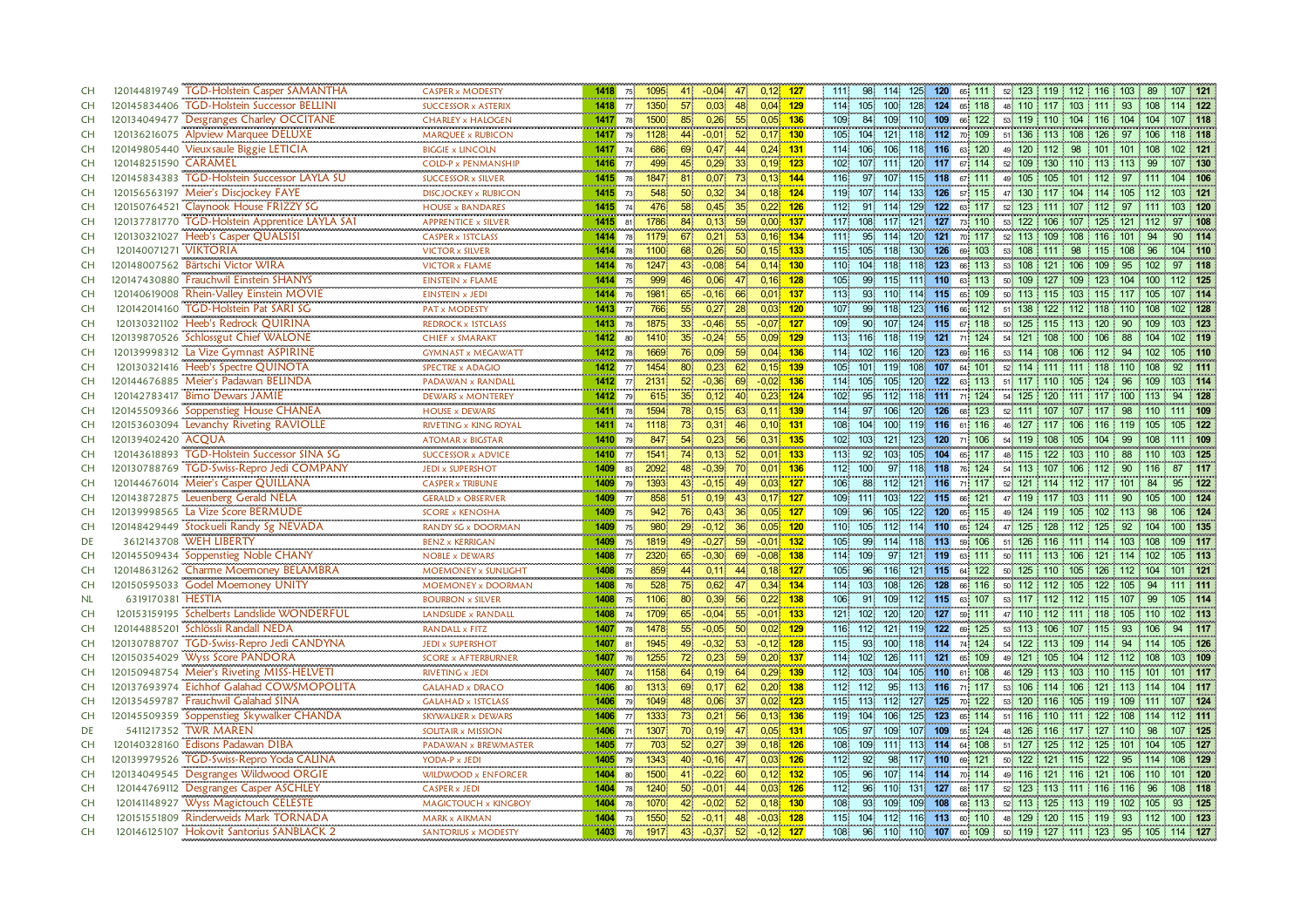| <b>CH</b> |                       | 120144819749 TGD-Holstein Casper SAMANTHA                                        | <b>CASPER x MODESTY</b><br>                           | 1418 75     |                 | 1095         | 41              | $-0.04$                  | $0,12$ 127<br>47              |     | 111:             | 98           | 114                    | 125 120 |                        | 65 111 |            | 52 123 119 112 116 103 89                            |        |                |     | 107 121   |
|-----------|-----------------------|----------------------------------------------------------------------------------|-------------------------------------------------------|-------------|-----------------|--------------|-----------------|--------------------------|-------------------------------|-----|------------------|--------------|------------------------|---------|------------------------|--------|------------|------------------------------------------------------|--------|----------------|-----|-----------|
| CH        |                       | 120145834406 TGD-Holstein Successor BELLINI                                      | SUCCESSOR x ASTERIX                                   |             |                 | 1418 77 1350 | 57 <sup>1</sup> | 0.03                     | $0,04$ 129<br>48              |     |                  | 114 105      | 100                    |         | 128 124 65 118         |        |            | 48 110 117 103 111 93 108                            |        |                |     | 114 122   |
| <b>CH</b> |                       | 120134049477 Desgranges Charley OCCITANE                                         | <b>CHARLEY x HALOGEN</b>                              | 1417        | 78 <sup>1</sup> | 1500         | $85^{\circ}$    | 0,26                     | $0.05$ 136<br>55              |     | 109              | 84           | 109                    | 110 109 |                        | 66 122 |            | 53 119 110 104 116 104 104                           |        |                |     | 107 118   |
| <b>CH</b> |                       | 120136216075 Alpview Marquee DELUXE                                              | MARQUEE x RUBICON                                     | 1417        | 79              | 1128         | 44.             | $-0,01$                  | 52<br>$0,17$ 130              |     | 105              | 104          | 121                    |         | 118 112 70 109         |        |            | 51 136 113 108 126 97 106                            |        |                |     | 118 118   |
| <b>CH</b> |                       | 120149805440 Vieuxsaule Biggie LETICIA                                           | <b>BIGGIE x LINCOLN</b>                               | 1417 74     |                 | 686          | 69              | 0,47                     | 44<br>$0,24$ 131              |     | 114.             | 106          | 106                    | 118 116 |                        | 63 120 |            | 49 120 112 98 101 101 108                            |        |                |     | 102 121   |
| <b>CH</b> | 120148251590 CARAMEL  |                                                                                  | <b>COLD-P x PENMANSHIP</b><br>                        | $1416$ $77$ |                 | 499          | 45 <sup>1</sup> | 0,29                     | 33<br>$0,19$ 123              |     | 102 <sub>1</sub> | 107          | 111!                   | 120 117 |                        | 67 114 |            | 52 109 130 110 113 113                               |        | 99             |     | 107 130   |
| CH        |                       | 120145834383 TGD-Holstein Successor LAYLA SU                                     | SUCCESSOR x SILVER                                    | 1415 78     |                 | 1847         | 81              | 0,07                     | $0,13$ 144<br>73              |     | $\frac{1}{16}$   | 97           | 107                    |         | 115 118 67 111         |        |            | 49 105 105 101 112 97 111                            |        |                |     | 104 106   |
| <b>CH</b> |                       | 120156563197 Meier's Discjockey FAYE                                             | <b>DISCJOCKEY x RUBICON</b>                           | 1415 73     |                 | 548          | 50 <sub>1</sub> | 0,32                     | 34<br>$0,18$ 124              |     | 119              | 107          | 114.                   |         | 133 126 57 115         |        |            | 47 130 117 104 114 105 112                           |        |                |     | 03 121    |
| CH        |                       | 120150764521 Claynook House FRIZZY SG                                            | <b>HOUSE x BANDARES</b><br>,,,,,,,,,,,,,,,,,,,,,,,,,, | 1415        | 74              | 476          | 58              | 0.45                     | 35<br>0.22                    | 126 | 112              | 91           | 114                    | 129     | 122                    | 63 117 |            | 52 123 111 107                                       | 112    | 97             |     | 03 120    |
| CH        |                       | 120137781770 TGD-Holstein Apprentice LAYLA SAT                                   | <b>APPRENTICE x SILVER</b>                            | 1415 81     |                 | 1786         | 84 <sup>1</sup> | 0,13                     | $0,00$ 137<br>59              |     | 117              | 108          | 117.                   |         | 121 127 73 110         |        |            | 53 122 106 107 125                                   |        | 121 112        | 97  | $-108$    |
| <b>CH</b> |                       | 120130321027 Heeb's Casper QUALSISI                                              | <b>CASPER x 1STCLASS</b><br>                          | 1414 78     |                 | 1179         | 67              | 0,21                     | 53<br>$0,16$ 134              |     | 111              | 95           | 114%                   | 120     | 121                    | 70 117 |            | 52 113 109 108 116 101                               |        | 94             |     | 90 114    |
| <b>CH</b> | 120140071271 VIKTORIA |                                                                                  | VICTOR x SILVER                                       | 1414        | 78 <sup>1</sup> | 1100         | 68.             | 0,26                     | 50 <sub>1</sub><br>$0,15$ 133 |     |                  | 115 105      | 118                    | 130 126 |                        | 69 103 |            | 53 108 111 98                                        |        | 115 108<br>-96 |     | 104 110   |
| <b>CH</b> |                       | 120148007562 Bärtschi Victor WIRA                                                | <b>VICTOR x FLAME</b>                                 | 1414 76     |                 | 1247         | 43.             | $-0,08$                  | $0,14$ 130<br>54 <sup>1</sup> |     | $110^\circ$      | 104          | 118                    | 118     | 123                    | 66 113 |            | 53 108 121 106 109                                   |        | 95 102         |     | 97 118    |
| CH        |                       | 120147430880 Frauchwil Einstein SHANYS                                           | <b>EINSTEIN x FLAME</b><br>                           | 1414        | 75              | 999          | 46 <sub>1</sub> | 0,06                     | $0,16$ 128<br>47              |     | 105              | 99           | 115                    | 111     | 110                    | 63 113 | 50 109 127 | 109                                                  |        | 123 104 100    |     |           |
| <b>CH</b> |                       | 120140619008 Rhein-Valley Einstein MOVIE                                         | EINSTEIN x JEDI                                       | 1414 76     |                 | 1981         | 65              | $-0,16$                  | $0,01$ 137<br>66              |     | 113              | 93           | 110                    | 114 115 | 65                     | 109    |            | 50 113 115 103                                       | -115   |                |     |           |
| <b>CH</b> |                       | 120142014160 TGD-Holstein Pat SARI SG                                            | PAT x MODESTY<br>,,,,,,,,,,,,,,,,,,,,,,,,             | 1413 77     |                 | 766          | 55              | 0,27                     | 28<br>$0,03$ 120              |     | 107 <sub>1</sub> | 99           | 118                    |         | 123 116 66 112         |        |            | 51 138 122 112 118 110 108                           |        |                |     | 02 128    |
| <b>CH</b> |                       | 120130321102 Heeb's Redrock QUIRINA                                              | REDROCK x 1STCLASS<br>,,,,,,,,,,,,,,,,,,,,,,,,,,      | 1413        |                 | 78 1875      | 33 <sup>1</sup> | $-0.46$                  | 55<br>$-0.07$ 127             |     | $109 -$          | $90^{\circ}$ | 107                    |         | 124 115 67 118         |        |            | 50 125 115 113 120 90                                |        | $-109$         |     | 103 123   |
| <b>CH</b> |                       | 120139870526 Schlossgut Chief WALONE                                             | <b>CHIEF x SMARAKT</b>                                | 1412 80     |                 | 1410         | 35 <sub>1</sub> | $-0,24$                  | $0,09$ 129<br>55 <sub>1</sub> |     |                  | 113 116 118  |                        |         | 119 121 71 124         |        |            | 54 121 108 100 106 88                                |        |                |     |           |
| <b>CH</b> |                       | 120139998312 La Vize Gymnast ASPIRINE                                            | <b>GYMNAST x MEGAWATT</b>                             | 1412        | 78.             | 1669.        | 76.             | 0,09                     | $0,04$ 136<br>59 <sub>1</sub> |     | 114              | 102          | 116                    | 120 123 |                        | 69 116 |            | 53 114 108 106 112 94 102                            |        |                |     | 105 110   |
| <b>CH</b> |                       | 120130321416 Heeb's Spectre QUINOTA                                              | SPECTRE x ADAGIO                                      | $1412$ $77$ |                 | 1454         | 80              | 0,23                     | 62<br>$0,15$ 139              |     | 105              | 101.         | 119 <sub>1</sub>       |         | 108 107 64 101         |        |            | 52 114 111 111 118 110 108                           |        |                | 92  | 111       |
| CH        |                       | 120144676885 Meier's Padawan BELINDA                                             | PADAWAN x RANDALL                                     | 1412        | 77.             | 2131         | 52 <sub>1</sub> | $-0,36$                  | 69<br>$-0.02$                 | 136 | 114.             | 105          | 105                    | 120     | 122<br>63 <sup>1</sup> | 113    | 51 117     | 110 105                                              | 124    | 96             |     | 03 114    |
| CH        |                       | 120142783417 Bimo Dewars JAMIE                                                   | <b>DEWARS x MONTEREY</b>                              | 1412 79     |                 | 615          | 35 <sub>1</sub> | 0,12                     | $0,23$ 124<br>40              |     | 102 <sub>1</sub> | 95           | 112.                   | 118     | 111 71 124             |        |            | 54 125 120 111 117 100 113                           |        |                | 94  | 128       |
| CH        |                       | 120145509366 Soppenstieg House CHANEA<br>120153603094 Levanchy Riveting RAVIOLLE | <b>HOUSE x DEWARS</b>                                 | 1411        | 78              | 1594         | 78              | 0,15                     | 63<br>$0,11$ 139              |     | 114              | 97           | 106                    | 120     | 126                    | 68 123 | 52 111     | 107 107                                              | 117    | 98             |     | 111 109   |
| <b>CH</b> |                       |                                                                                  | RIVETING x KING ROYAL                                 | 1411 74     |                 | 1118         | 73              | 0,31                     | $0,10$ 131<br>46.             |     | 108              | 104          | 100                    |         | 119 116 61 116         |        |            | 46 127 117 106                                       |        | 116 119 105    |     | 105 122   |
| CH        | 120139402420 ACOUA    |                                                                                  | <b>ATOMAR x BIGSTAR</b>                               | 1410 79     |                 | 847          | 54 <sub>1</sub> | 0.23                     | 56<br>$0.31$ 135              |     |                  | 102 103      | 121                    |         | 123 120 71 106         |        |            | 54 119 108 105                                       | 104    | 99             | 108 | 111 109   |
| CH        |                       | 120143618893 TGD-Holstein Successor SINA SG                                      | SUCCESSOR x ADVICE                                    | $1410$ $77$ |                 | 1541         | 741             | 0.13                     | 52 <sub>2</sub><br>$0,01$ 133 |     | 113              | 92           | 103                    | 105 104 |                        | 65 117 |            | 48 115 122 103 110 88                                |        |                |     | 103 125   |
| CH        | 120130788769          | TGD-Swiss-Repro Jedi COMPANY                                                     | <b>JEDI x SUPERSHOT</b>                               | 1409        | 83 <sup>1</sup> | 2092         | 48              | $-0,39$                  | $0,01$ 136<br>70              |     | 112              | 100          | 97                     |         | 118 118 76 124         |        |            | 54 113 107 106 112 90 116                            |        |                | 87  | 117       |
| CH        |                       | 120144676014 Meier's Casper QUILLANA                                             | <b>CASPER x TRIBUNE</b>                               | 1409        |                 | 79 1393      | 43 <sup>°</sup> | $-0,15$                  | $0.03$ 127<br>49              |     | 106              | 88           | 112                    |         | 121 116 71 117         |        |            | 52 121 114 112 117 101                               |        |                | 84  | 95 122    |
| CH        |                       | 120143872875 Leuenberg Gerald NELA                                               | <b>GERALD x OBSERVER</b>                              | 1409 77     |                 | 858          | 51 <sup>1</sup> | 0,19                     | $0,17$ 127<br>43              |     | 109              | 111          | 103                    |         | 122 115 66 121         |        |            | 47 119 117 103 111                                   |        | 90 105         |     | 100 124   |
| CH        |                       | 120139998565 La Vize Score BERMUDE                                               | <b>SCORE x KENOSHA</b>                                | 1409        | 75              | 942          | 76              | 0,43                     | 36<br>$0,05$ 127              |     | 109              | 96           | 105                    | 122 120 |                        | 65 115 |            | 49 124 119 105 102 113                               |        | 98             |     | 106 124   |
| CH        |                       | 120148429449 Stockueli Randy Sg NEVADA                                           | RANDY SG x DOORMAN                                    | 1409        | 75              | 980          | 29 <sup>°</sup> | $-0,12$                  | 36<br>$0,05$ 120              |     | 110              | 105          | 112                    | 114 110 |                        | 65 124 |            | 47 125 128 112 125                                   |        | 92<br>104      |     | 100 135   |
| DE        |                       | 3612143708 WEH LIBERTY                                                           | <b>BENZ x KERRIGAN</b>                                | 1409        | 75 <sup>1</sup> | 1819         | 49              | $-0.27$                  | 59<br>$-0.01$ 132             |     | 105              | 99           | 114                    | 118 113 |                        | 59 106 |            | 51 126 116 111 114 103 108                           |        |                |     | 109 117   |
| <b>CH</b> |                       | 120145509434 Soppenstieg Noble CHANY                                             | <b>NOBLE x DEWARS</b>                                 | 1408        | 77              | 2320         | 65              | $-0,30$                  | 69<br>$-0.08$ 138             |     | 114              | 109          | 97                     | 121     | 119                    | 63 111 |            | 50 111 113 106 121                                   |        | 114            | 102 | 105 113   |
| CH        |                       | 120148631262 Charme Moemoney BELAMBRA                                            | MOEMONEY x SUNLIGHT                                   | 1408        | 75              | 859          | 44              | 0,11                     | $0,18$ 127<br>44              |     | 105              | 96           | 116                    | 121     | 115 64 122             |        |            | 50 125 110 105 126                                   |        | 112 104        |     | 101 121   |
| CH        |                       | 120150595033 Godel Moemoney UNITY                                                | MOEMONEY x DOORMAN                                    | 1408        | 76 <sup>1</sup> | 528          | 75.             | 0,62                     | $0,34$ 134<br>47.             |     | 114              | 103          | 108                    | 126 128 |                        | 66 116 |            | 50 112 112 105 122 105 94                            |        |                |     | 111 : 111 |
| <b>NL</b> | 6319170381 HESTIA     |                                                                                  | <b>BOURBON x SILVER</b>                               | 1408        | 75 <sub>1</sub> | 1106         | 80              | 0,39                     | 56<br>$0.22$ 138              |     | 106              | 91           | 109                    |         | 112 115 63 107         |        |            | 53 117 112 112 115 107                               |        | 99             |     | 105 114   |
| <b>CH</b> |                       | 120153159195 Schelberts Landslide WONDERFUL                                      | LANDSLIDE x RANDALL                                   | 1408        | 74 <sup>1</sup> | 1709         | 65              | $-0.04$                  | 55<br>$-0,01$ 133             |     | 121              | 102          | 120                    | 120 127 |                        | 59 111 |            | 47 110 112 111 118 105 110                           |        |                |     | 102 113   |
| CH        | 120144885201          | Schlössli Randall NEDA                                                           | RANDALL x FITZ                                        | 1407        | <b>78</b>       | 1478         | 55 <sup>°</sup> | $-0.05$                  | 50<br>$0,02$ 129              |     | 116              | 112          | 121                    | 119 122 |                        | 69 125 |            | 53 113 106 107 115                                   |        | 93<br>106      |     | 94 117    |
| CH        |                       | 120130788707 TGD-Swiss-Repro Jedi CANDYNA                                        | <b>JEDI x SUPERSHOT</b>                               | 1407 81     |                 | 1945         | 49              | $-0,32$                  | 53<br>$-0,12$ 128             |     | 115              | 93           | 100                    |         | 118 114 74 124         |        |            | 54 122 113 109                                       | 114 94 | 114            |     | 105 126   |
| <b>CH</b> | 120150354029          | <b>Wyss Score PANDORA</b>                                                        | <b>SCORE x AFTERBURNER</b>                            | 1407        | 76              | 1255         | 72 <sub>1</sub> | 0,23                     | 59<br>$0,20$ 137              |     |                  | 114 102      | 126                    | 111 121 |                        | 65 109 |            | 49 121 105 104 112 112 108                           |        |                |     | 03 109    |
| <b>CH</b> |                       | 120150948754 Meier's Riveting MISS-HELVETI                                       | RIVETING x JEDI                                       | 1407        |                 | 74 1158      | 64              | 0,19                     | 64<br>$0.29$ 139              |     | 112              | 103          | 104                    | 105 110 |                        | 61 108 |            | 46 129 113 103 110 115                               |        | 101            |     | 01 117    |
| CH        |                       | 120137693974 Eichhof Galahad COWSMOPOLITA                                        | <b>GALAHAD x DRACO</b>                                | 1406        | 80              | 1313         | 69              | 0,17                     | 62<br>$0,20$ 138              |     |                  | 112 112      | 95                     | 113 116 |                        | 71 117 |            | 53 106 114 106 121                                   |        | $113$ 114      |     | 104 117   |
| <b>CH</b> |                       | 120135459787 Frauchwil Galahad SINA                                              | <b>GALAHAD x 1STCLASS</b>                             | 1406        | 79.             | 1049         | 48              | 0,06                     | $0,02$ 123<br>37 <sup>°</sup> |     | 115              | 113          | 112                    | 127     | 125                    | 70 122 |            | 53 120 116 105 119 109 111                           |        |                |     | 107 124   |
| <b>CH</b> |                       | 120145509359 Soppenstieg Skywalker CHANDA                                        | SKYWALKER x DEWARS                                    | 1406        | 77 <sup>1</sup> | 1333         | 73              | 0,21                     | $0,13$ 136<br>56              |     | 119              | 104          | 106                    | 125     | 123                    | 65 114 |            | 51 116 110 111 122 108 114                           |        |                |     | 112 111   |
| DE        |                       | 5411217352 TWR MAREN                                                             | SOLITAIR x MISSION                                    | 1406        | 71              | 1307         | 70              | 0,19                     | $0,05$ 131<br>47              |     | 105              | 97           | 109                    | 107 109 |                        | 55 124 |            | 48 126 116 117 127 110 98                            |        |                |     | 107 125   |
| CH        |                       | 120140328160 Edisons Padawan DIBA                                                | PADAWAN x BREWMASTER                                  | 1405        | $77^{\circ}$    | 703          | 52              | 0,27                     | 39<br>$0,18$ 126              |     | 108              | 109          | 111                    | 113 114 |                        | 64 108 |            | 51 127 125 112 125                                   |        | 101 104        |     | 105 127   |
| <b>CH</b> |                       | 120139979526 TGD-Swiss-Repro Yoda CALINA                                         | YODA-P x JEDI                                         | 1405        | 79              | 1343         | 40              | $-0,16$                  | $0,03$ 126<br>47              |     | 112              | 92           | 98                     | 117 110 |                        | 69 121 |            | 50 122 121 115 122                                   |        | 95<br>114      |     | 108 129   |
| <b>CH</b> |                       | 120134049545 Desgranges Wildwood ORGIE                                           | WILDWOOD x ENFORCER                                   | 1404        | 80              | 1500         | 41.             | $-0.22$                  | $0,12$ 132<br>60              |     | 105              | 96           | 107                    | 114 114 | 70 <sup>1</sup>        | 114    | 49 116     | 121<br>116                                           | 121    | $106 \t110$    |     | 120       |
| <b>CH</b> |                       | 120144769112 Desgranges Casper ASCHLEY                                           | <b>CASPER x JEDI</b>                                  | 1404        | 78 <sup>1</sup> | 1240         | 50 <sup>1</sup> | $-0.01$                  | 0,03<br>44                    | 126 | 112              | 96           | 110 <sub>i</sub>       | 131     | 127 68 117             |        |            | 52 123 113 111 116 116                               |        | 96             |     | 108 118   |
| CH        |                       | 120141148927 Wyss Magictouch CELESTE                                             | MAGICTOUCH x KINGBOY                                  |             |                 | 1404 78 1070 | $42^{\circ}$    | $-0.02$                  | 52 <sup>°</sup><br>$0,18$ 130 |     | 108              | 93           | 109                    | 109 108 |                        | 68 113 |            | 52 113 125 113 119 102 105                           |        |                |     | 93 125    |
| <b>CH</b> |                       | 120151551809 Rinderweids Mark TORNADA                                            | <b>MARK x AIKMAN</b>                                  | 1404        | 73              | 1550         | 52              | $-0,11$                  | $-0.03$ 128<br>48             |     | 115              |              | 104 112 116 113 60 110 |         |                        |        |            | 48 129 120 115 119 93 112 100 123                    |        |                |     |           |
| <b>CH</b> |                       | 120146125107 Hokovit Santorius SANBLACK 2                                        | SANTORIUS x MODESTY                                   |             |                 |              |                 | 1403 76 1917 43 -0,37 52 | $-0,12$ 127                   |     | 108              | 96           |                        |         |                        |        |            | 110 110 107 60 109 50 119 127 111 123 95 105 114 127 |        |                |     |           |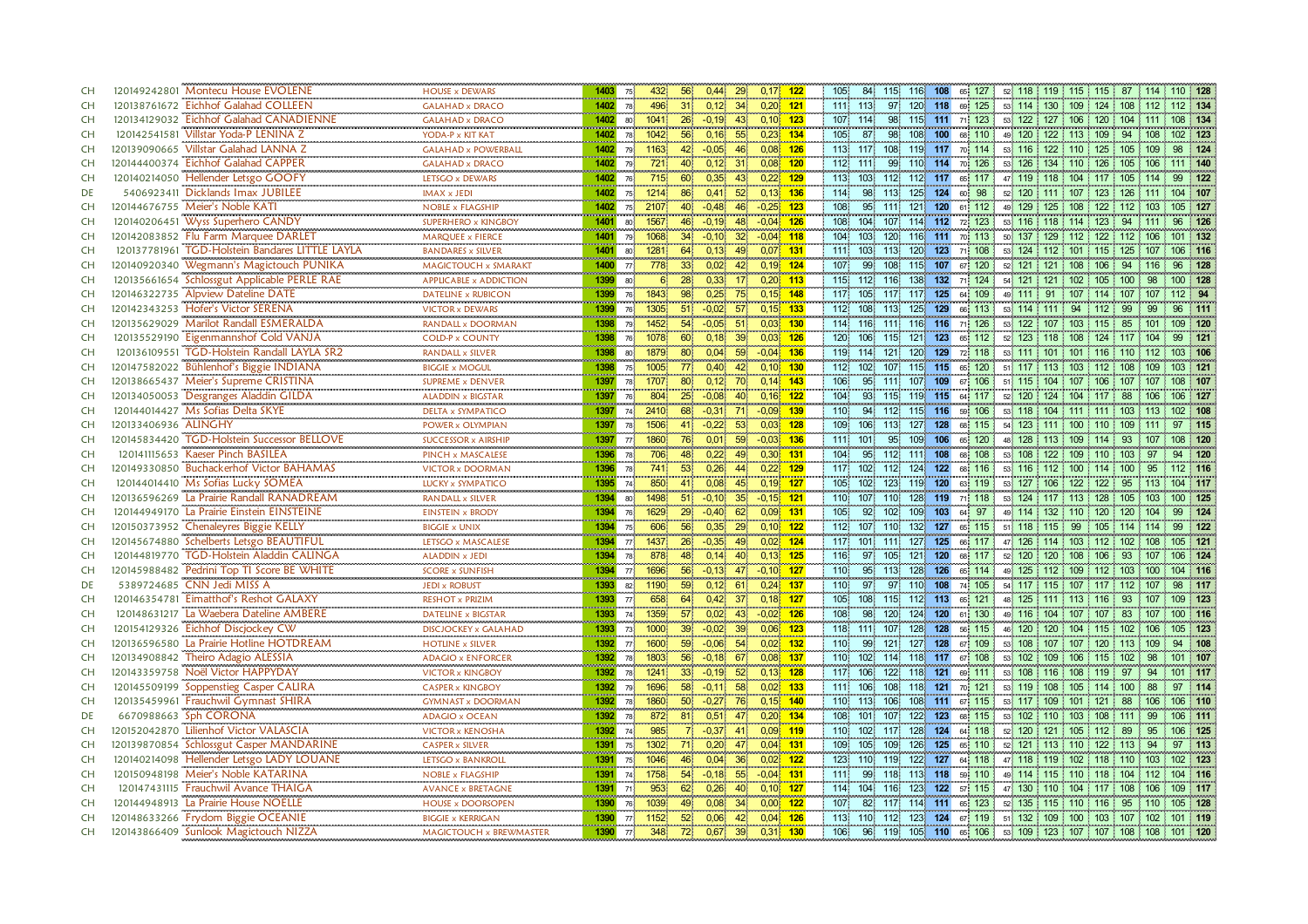| <b>CH</b> | 120149242801 Montecu House EVOLENE<br><b>HOUSE x DEWARS</b><br>                                                   | 0,44<br>29<br>$0.17$ 122<br>115 116 108<br>52 118 119 115 115 87 114 110 128<br>1403<br>432<br>56<br>105<br>84<br>65 127<br>75 <sup>1</sup>                                                       |
|-----------|-------------------------------------------------------------------------------------------------------------------|---------------------------------------------------------------------------------------------------------------------------------------------------------------------------------------------------|
| CH        | 120138761672 Eichhof Galahad COLLEEN<br><b>GALAHAD x DRACO</b>                                                    | $0,20$ 121<br>1402 78<br>496<br>31 <sup>2</sup><br>0.12<br>34'<br>111 113<br>97 120 118 69 125<br>53 114 130 109 124 108 112<br>112 134                                                           |
| <b>CH</b> | 120134129032 Eichhof Galahad CANADIENNE<br><b>GALAHAD x DRACO</b>                                                 | $0,10$ 123<br>53 122 127 106 120 104 111<br>$-0,19$<br>107 114<br>98<br>115 111 71 123<br>108 134<br>1402<br>1041<br>$26^{\circ}$<br>43<br>80 <sup>1</sup>                                        |
| <b>CH</b> | 120142541581 Villstar Yoda-P LENINA Z<br>YODA-P x KIT KAT                                                         | $0,23$ 134<br>1042<br>55<br>105<br>87<br>98.<br>108 100<br>49 120 122 113 109 94 108<br>1402<br>56 <sup>°</sup><br>0,16<br>68 110<br>102 123<br>78                                                |
| <b>CH</b> | 120139090665 Villstar Galahad LANNA Z                                                                             | 113 117<br>53 116 122 110 125 105 109<br>$-0.05$<br>46<br>$0,08$ 126<br>108 119 117 70 114<br>98 124<br><b>GALAHAD x POWERBALL</b><br>1402<br>79.<br>1163<br>42                                   |
| <b>CH</b> | 120144400374 Eichhof Galahad CAPPER<br><b>GALAHAD x DRACO</b>                                                     | $721$<br>$0.08$ 120<br>112 111<br>99<br>110 114<br>70 126<br>53 126 134 110 126<br>111 140<br>1402<br>0,12<br>31<br>105 106<br>79<br>40                                                           |
| <b>CH</b> | <del></del> .<br>120140214050 Hellender Letsgo GOOFY<br>LETSGO x DEWARS                                           | $\frac{1}{715}$<br>$0,22$ 129<br>1402<br>113 103<br>60 <sup>2</sup><br>0,35<br>112 112 117 65 117<br>47 119 118 104 117 105 114<br>122<br>43 <sub>1</sub><br>99<br>76                             |
| DE        | 5406923411 Dicklands Imax JUBILEE<br><b>IMAX x JEDI</b>                                                           | 52<br>1214<br>86<br>0,41<br>$0,13$ 136<br>114<br>98<br>113<br>125 124<br>98<br>52 120 111 107 123 126 111<br>104 107<br>1402<br>75<br>60                                                          |
| <b>CH</b> | 120144676755 Meier's Noble KATI<br><b>NOBLE x FLAGSHIP</b>                                                        | 121<br>108<br>95 <sup>1</sup><br>120<br>1402<br>2107<br>40<br>$-0.48$<br>46<br>$-0.25$<br>123<br>1111<br>112<br>49 129 125 108<br>122<br>112 103<br>105 127<br>75 <sup>1</sup><br>61 <sup>1</sup> |
| <b>CH</b> | <br>120140206451 Wyss Superhero CANDY<br>SUPERHERO x KINGBOY                                                      | $-0.04$ 126<br>104<br>114 112 72 123<br>53 116 118 114 123 94 111<br>1401<br>1567<br>46.<br>$-0,19$<br>48<br>108<br>107.<br>96<br>126<br>80                                                       |
| <b>CH</b> | 120142083852 Flu Farm Marquee DARLET<br>MARQUEE x FIERCE                                                          | 32 <sup>2</sup><br>104 103<br>120<br>50 137 129 112 122 112 106<br>1068<br>34 <sup>°</sup><br>$-0,10$<br>$-0.04$ 118<br>116 111<br>70 113<br>101 132<br>1401<br>79.                               |
| <b>CH</b> | <br>120137781961 TGD-Holstein Bandares LITTLE LAYLA<br><b>BANDARES x SILVER</b>                                   | 120 123<br>$0,07$ 131<br>71 108<br>1281<br>0,13<br>49.<br>111 103<br>113<br>53 124 112 101 115 125 107<br>106 116<br>1401<br>64 <b>CON</b><br>80.                                                 |
| <b>CH</b> | 120140920340 Wegmann's Magictouch PUNIKA                                                                          | 115 107 67 120<br>778<br>33 <sup>1</sup><br>0,02<br>$0,19$ 124<br>107<br>99<br>108<br>52 121 121 108 106<br>94 116<br>MAGICTOUCH x SMARAKT<br>1400 77<br>42<br>96<br>128                          |
| CH        | 120135661654 Schlossgut Applicable PERLE RAE                                                                      | 138 132<br>54 121<br>100 128<br>0,33<br>115 112<br>116<br>71 124<br>121<br>102<br>98<br>APPLICABLE x ADDICTION<br>1399<br>28<br>$0,20$ 113<br>105 100<br>80                                       |
| <b>CH</b> | 120146322735 Alpview Dateline DATE<br>DATELINE x RUBICON                                                          | $\begin{array}{r} 6 \\ 1843 \end{array}$<br><br>0,25<br>98<br>$0,15$ 148<br>1399<br>117<br>125<br>109<br>49 111 91<br>117 105<br>75.<br>117.<br>76.<br>64<br>107<br>114 107 107                   |
| <b>CH</b> | 120142343253 Hofer's Victor SERENA<br><b>VICTOR x DEWARS</b>                                                      | 1305<br>1399<br>57 <sup>°</sup><br>51<br>112 108<br>125 129 66 113<br>53 114 111 94<br>$-0.02$<br>$0,15$ 133<br>113<br>99<br>99<br>112<br>111<br>76<br>96                                         |
| <b>CH</b> | <b>CONTRACTOR</b><br>,,,,,,,,,,,,,,,,,,,,,,,,,,,,,<br>120135629029 Marilot Randall ESMERALDA<br>RANDALL x DOORMAN | 1452<br>$-0.05$<br>$0,03$ 130<br>114 116<br>111 116 116 71 126<br>53 122 107 103 115 85 101<br>1398<br>54 <sup>1</sup><br>51<br>109 120<br>79                                                     |
| <b>CH</b> | 120135529190 Eigenmannshof Cold VANJA<br><b>COLD-P x COUNTY</b>                                                   | 120 106<br>121 123 65 112<br>52 123 118 108 124 117 104<br>1398<br>1078<br>60<br>0,18<br>$0,03$ 126<br>115<br>121<br>76.                                                                          |
| <b>CH</b> | <br>120136109551 TGD-Holstein Randall LAYLA SR2<br>RANDALL x SILVER                                               | 120 129<br>0,04<br>59 <sub>1</sub><br>$-0.04$ 136<br>119 114<br>121<br>53 111 101 101 116 110 112<br>103 106<br>1398<br>1879<br><b>80</b><br>72 118<br>80                                         |
| <b>CH</b> | 120147582022 Bühlenhof's Biggie INDIANA<br><b>BIGGIE x MOGUL</b>                                                  | 1005<br>0,40<br>42<br>$0,10$ 130<br>112 102<br>107<br>115 115 65 120<br>51 117 113 103 112 108 109<br>1398<br>75<br>$77^{\circ}$<br>103 121                                                       |
| CH        | 120138665437 Meier's Supreme CRISTINA<br>SUPREME x DENVER                                                         | 95<br>1707<br>0, 12<br>70<br>$0,14$ 143<br>106 <sub>1</sub><br>1111<br>107 109<br>106<br>51 115 104 107<br>107 107<br>108 107<br>1397<br>78<br>80<br>67<br>106                                    |
| CH        | 120134050053 Desgranges Aladdin GILDA<br><b>ALADDIN x BIGSTAR</b>                                                 | $0,16$ 122<br>119 115 64 117<br>52 120 124 104<br>1397<br>804<br>25<br>$-0,08$<br>40<br>104<br>93.<br>115<br>$117 \t 88$<br>106 127<br>76<br>106                                                  |
| CH        | 120144014427 Ms Sofias Delta SKYE<br><b>DELTA x SYMPATICO</b>                                                     | 2410<br>71<br>$-0,09$ 139<br>110<br>94<br>112<br>115 116<br>59 106<br>53 118 104 111 111<br>1397<br>68<br>$-0,31$<br>103 113<br>$102 \div 108$<br>74                                              |
| <b>CH</b> | <br>120133406936 ALINGHY<br>POWER x OLYMPIAN                                                                      | 1506<br>$0,03$ 128<br>109<br>106<br>113<br>127 128<br>54 123 111 100 110 109 111<br>1397<br>41 <sup>1</sup><br>$-0,22$<br>53 <sup>1</sup><br>68 115<br>97 115<br>78.                              |
| CH        | 120145834420 TGD-Holstein Successor BELLOVE<br><b>SUCCESSOR x AIRSHIP</b>                                         | $95^{\circ}$<br>109 106 65 120<br>48 128 113 109 114 93 107<br>1397<br>1860<br>76<br>0.01<br>59<br>$-0.03$ 136<br>111 101<br>108 120<br>77                                                        |
| CH        | 120141115653 Kaeser Pinch BASILEA<br>PINCH x MASCALESE<br>                                                        | 95<br>112 111 108<br>53 108 122 109 110 103<br>0.22<br>104<br>68 108<br>94 120<br>706<br>48<br>49<br>$0.30$ 131<br>97<br>1396<br>78                                                               |
| CH        | 120149330850 Buchackerhof Victor BAHAMAS<br><b>VICTOR x DOORMAN</b>                                               | $0,22$ 129<br>741<br>112 124 122 68 116<br>0,26<br>117 102<br>53 116 112 100 114 100 95<br>53 <sup>°</sup><br>44<br>112 116<br>1396<br>78.                                                        |
| CH        | 120144014410 Ms Sofias Lucky SOMEA<br><b>LUCKY x SYMPATICO</b>                                                    | 105 102<br>123<br>119 120<br>53 127 106 122 122 95 113 104 117<br>1395<br>850<br>41<br>0,08<br>45<br>$0,19$ 127<br>63 119<br>74                                                                   |
| CH        | 120136596269 La Prairie Randall RANADREAM<br><b>RANDALL x SILVER</b>                                              | 35 <sup>°</sup><br>$-0.15$ 121<br>110 107<br>128 119<br>53 124 117 113 128 105 103<br>1394<br>1498<br>$-0,10$<br>110<br>71 118<br>100 125<br>$51^{\circ}$<br>80 <sup>1</sup>                      |
| CH        | 120144949170 La Prairie Einstein EINSTEINE<br><b>EINSTEIN x BRODY</b>                                             | 64 97<br>49 114 132 110 120 120 104<br>$-0,40$<br>62<br>$0,09$ 131<br>105<br>92<br>102<br>109 103<br>99 124<br>1394<br>1629<br>29 <sup>1</sup><br>76                                              |
| <b>CH</b> | 120150373952 Chenaleyres Biggie KELLY<br><b>BIGGIE x UNIX</b>                                                     | 29<br>$0,10$ 122<br>112 107<br>132 127 65 115<br>51 118 115 99<br>122<br>1394<br>606<br>56<br>0,35<br>110<br>105 114 114<br>99<br>75 <sup>1</sup>                                                 |
| <b>CH</b> | 120145674880 Schelberts Letsgo BEAUTIFUL<br>LETSGO x MASCALESE                                                    | 1437<br>117 101<br>127 125<br>1394<br>26 <sup>°</sup><br>$-0.35$<br>$0,02$ 124<br>111<br>47 126 114 103 112 102 108<br>105 121<br>77<br>66 117                                                    |
| CH        | 120144819770 TGD-Holstein Aladdin CALINGA<br><b>ALADDIN x JEDI</b>                                                | 121<br>120<br>52 120 120 108 106<br>1394<br>878.<br>48<br>0,14<br>40<br>$0,13$ 125<br>116<br>97<br>105<br>68 117<br>93<br>107<br>106 124<br>78 <sup>1</sup>                                       |
| CH        | 120145988482 Pedrini Top TI Score BE WHITE<br><b>SCORE x SUNFISH</b>                                              | 110<br>128<br>1696<br>56<br>$-0.13$<br>$-0,10$ 127<br>95<br>113<br>126<br>65 114<br>49 125 112 109 112 103 100<br>104 116<br>1394<br>77 <sup>1</sup><br>47                                        |
| DE        | 5389724685 CNN Jedi MISS A<br><b>JEDI x ROBUST</b>                                                                | 0,12<br>$0,24$ 137<br>110<br>97<br>97<br>110 108<br>74 105<br>54 117 115 107 117 112 107<br>1190<br>59<br>61<br>98 117<br>1393<br>82                                                              |
| <b>CH</b> | 120146354781 Eimatthof's Reshot GALAXY<br><b>RESHOT x PRIZIM</b>                                                  | 0,42<br>37 <sup>2</sup><br>$0,18$ 127<br>105<br>115<br>48 125 111 113 116 93 107<br>1393<br>77 <sup>1</sup><br>658<br>64<br>108<br>112 113<br>65 121<br>109 123                                   |
| CH        | 120148631217 La Waebera Dateline AMBERE<br>DATELINE x BIGSTAR                                                     | 108<br>98<br>120<br>124 120<br>61 130<br>1393<br>1359<br>0,02<br>$-0.02$ 126<br>49 116 104 107 107 83 107<br>74<br>57 <sup>°</sup><br>43<br>100 116                                               |
| CH        | 120154129326 Eichhof Discjockey CW                                                                                | 128 128<br>$-0.02$<br>39<br>$0,06$ 123<br>118 111<br>46 120 120 104 115 102 106<br>105 123<br>1393<br>1000<br>39 <sup>1</sup><br>107<br>56 115<br><b>DISCJOCKEY x GALAHAD</b><br>73               |
| <b>CH</b> | 120136596580 La Prairie Hotline HOTDREAM<br><b>HOTLINE x SILVER</b>                                               | 127 128<br>1600<br>59<br>$-0.06$<br>54<br>$0,02$ 132<br>110<br>99<br>121<br>67 109<br>53 108 107 107 120 113 109<br>94 108<br>1392<br>77                                                          |
| <b>CH</b> | 120134908842 Theiro Adagio ALESSIA<br><b>ADAGIO x ENFORCER</b>                                                    | 1392<br>56<br>67<br>$0,08$ 137<br>110 102<br>118 117 67 108<br>53 102 109 106<br>1803<br>$-0,18$<br>114<br>115 102<br>98<br>101 107<br><b>78</b>                                                  |
| CH        | 120143359758 Noël Victor HAPPYDAY<br><b>VICTOR x KINGBOY</b>                                                      | 117 106<br>1392<br>1241<br>33 <sup>7</sup><br>$-0,19$<br>52 <sub>1</sub><br>$0,13$ 128<br>122<br>118 121<br>69 111<br>53 108 116 108<br>119<br>97<br>94<br>101 117<br><b>78</b>                   |
| <b>CH</b> | 120145509199 Soppenstieg Casper CALIRA<br><b>CASPER x KINGBOY</b><br>                                             | 118 121<br>58<br>$0,02$ 133<br>108<br>114<br>58<br>$-0,11$<br>111 106<br>70 121<br>53 119 108 105 114 100<br>88<br>97<br>1392<br>1696<br><b>79</b>                                                |
| CH        | 120135459961 Frauchwil Gymnast SHIRA                                                                              | 1860<br>50 <sup>°</sup><br>$0,15$ 140<br>110 113<br>106<br>$-0.27$<br>108 111 67 115<br>53 117 109 101 121 88 106<br>106 110<br><b>GYMNAST x DOORMAN</b><br>1392<br>76.<br>78.                    |
| DE        | 6670988663 Sph CORONA<br><b>ADAGIO x OCEAN</b>                                                                    | 122 123<br>0,51<br>$0,20$ 134<br>108<br>101<br>68 115<br>53 102 110 103 108 111<br>99<br>106 111<br>1392<br>872<br>107<br>78 <sup>1</sup><br>81.<br>471                                           |
| CH        | 120152042870 Lilienhof Victor VALASCIA<br><b>VICTOR x KENOSHA</b>                                                 | 128 124 64 118<br>985<br>71<br>$-0,37$<br>$0,09$ 119<br>110 102<br>52 120 121 105 112 89<br>1392<br>74<br>41<br>117<br>95<br>106 125                                                              |
| CH        | 120139870854 Schlossgut Casper MANDARINE<br><b>CASPER x SILVER</b>                                                | 52 121 113 110 122 113<br>1391 75<br>0,20<br>$0,04$ 131<br>109<br>105<br>126 125<br>65 110<br>97 113<br>1302<br>47<br>109<br>94<br>71.                                                            |
| <b>CH</b> | 120140214098 Hellender Letsgo LADY LOUANE<br>LETSGO x BANKROLL                                                    | 122 127 64 118<br>1046<br>0,04<br>36 <sup>°</sup><br>$0,02$ 122<br>123 110<br>47 118 119 102 118 110 103<br>102 123<br>1391<br>46<br>119<br>75 <sup>1</sup>                                       |
| <b>CH</b> | 120150948198 Meier's Noble KATARINA<br>NOBLE x FLAGSHIP                                                           | 1391<br>1758<br>54 <sup>°</sup><br>55 <sup>1</sup><br>$-0,04$ 131<br>111<br>99<br>118<br>113 118<br>$-0.18$<br>59 110<br>49 114 115 110 118<br>104.112<br>104 116<br>74 <sup>1</sup>              |
| <b>CH</b> | 120147431115 Frauchwil Avance THAIGA<br><b>AVANCE x BRETAGNE</b>                                                  | 953<br>62<br>0,26<br>$0,10$ 127<br>114 104<br>116.<br>123<br>122 57 115<br>47 130 110 104 117 108 106<br>109 117<br>1391<br>40<br>71                                                              |
| <b>CH</b> | 120144948913 La Prairie House NOELLE<br><b>HOUSE x DOORSOPEN</b>                                                  | 114 111<br>1390 76 1039<br>49<br>0,08<br>34 <sup>°</sup><br>$0,00$ 122<br>821<br>117 <sub>1</sub><br>65 123<br>52 135 115 110 116 95 110<br>107 <sub>1</sub><br>105 128                           |
| <b>CH</b> | 120148633266 Frydom Biggie OCEANIE<br><b>BIGGIE x KERRIGAN</b>                                                    | $0,04$ 126<br>123 124 67 119<br>1152<br>52 <sup>°</sup><br>0,06<br>113 110<br>112<br>51 132 109 100 103 107 102 101 119<br>1390<br>42<br>77 <sup>1</sup>                                          |
| CH        | 120143866409 Sunlook Magictouch NIZZA                                                                             | 96 119 105 110 65 106<br>1390 77<br>348 72<br>0,67<br>39<br>106<br>53 109 123 107 107 108 108 101 120<br>MAGICTOUCH x BREWMASTER<br>$0.31$ 130                                                    |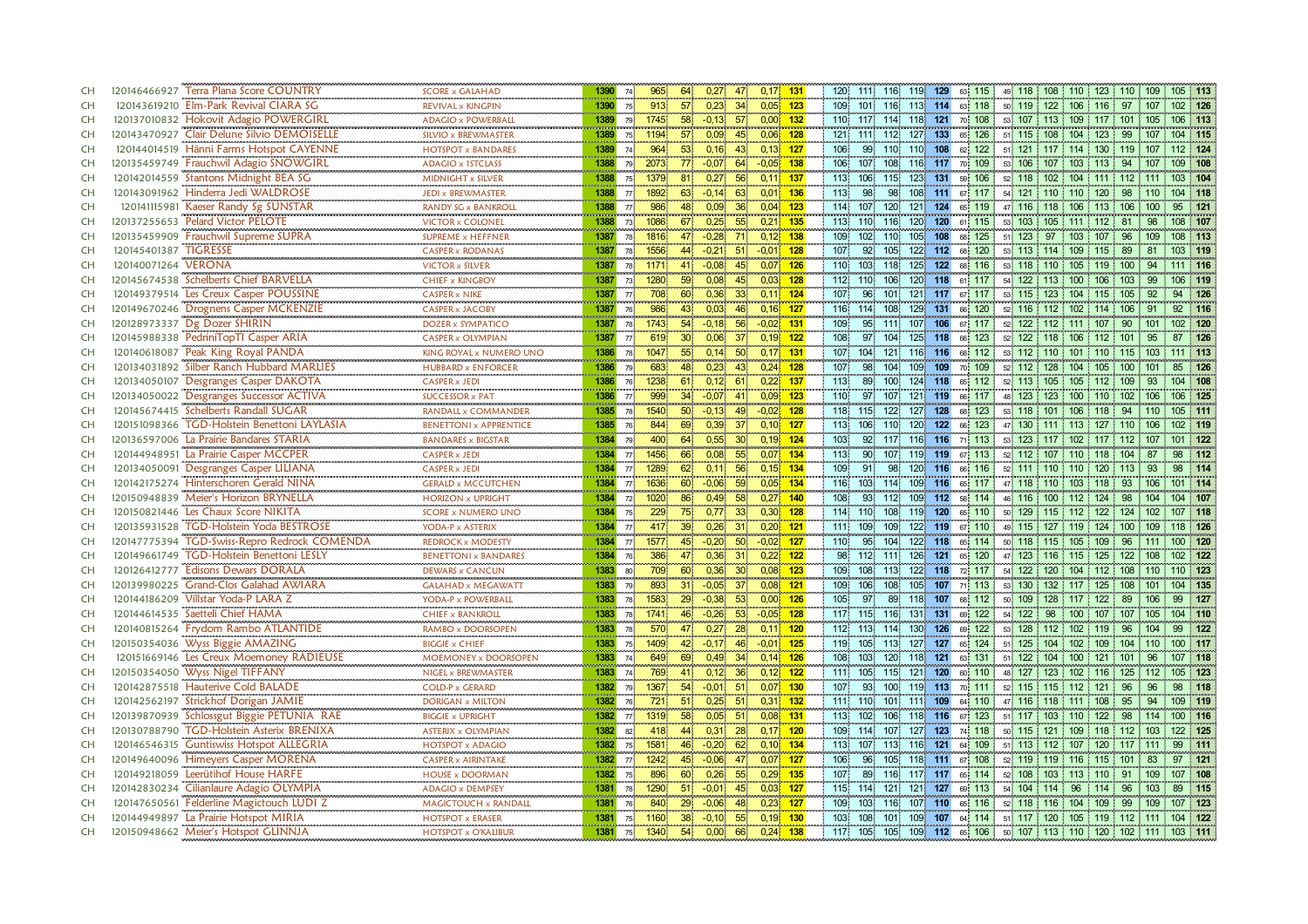| <b>CH</b>       | 120146466927 Terra Plana Score COUNTRY                                             | <b>SCORE x GALAHAD</b>                               | 1390                      | 74                            | $0,17$ 131<br>64<br>0,27<br>965<br>47                                                         |                  | 120 111 116 119 129<br>49 118 108 110 123 110 109 105 113<br>63 115                                                                                                           |
|-----------------|------------------------------------------------------------------------------------|------------------------------------------------------|---------------------------|-------------------------------|-----------------------------------------------------------------------------------------------|------------------|-------------------------------------------------------------------------------------------------------------------------------------------------------------------------------|
| <b>CH</b>       | 120143619210 Elm-Park Revival CIARA SG                                             | <b>REVIVAL x KINGPIN</b>                             | 1390                      | 75                            | 57<br>0,23<br>34<br>$0.05$ 123<br>913                                                         |                  | 109 101 116 113 114 63 118<br>50 119 122 106 116 97 107 102 126                                                                                                               |
| <b>CH</b>       | 120137010832 Hokovit Adagio POWERGIRL                                              | <b>ADAGIO x POWERBALL</b>                            | 1389                      | $79^{\circ}$                  | 58<br>$0.00$ 132<br>1745<br>$-0,13$<br>-57                                                    |                  | 118 121<br>110<br>117.<br>114<br>70 108<br>53 107 113 109 117 101 105<br>106 113                                                                                              |
| <b>CH</b>       | 120143470927 Clair Delune Silvio DEMOISELLE                                        | SILVIO x BREWMASTER                                  | 1389                      | 75                            | $0,06$ 128<br>1194<br>57 <sup>°</sup><br>0,09<br>45 <sup>1</sup>                              |                  | 121 111 112<br>127 133<br>65 126<br>51 115 108 104 123<br>99 107<br>104 115                                                                                                   |
| <b>CH</b>       | 120144014519 Hänni Farms Hotspot CAYENNE                                           | <b>HOTSPOT x BANDARES</b>                            | 1389                      | 74                            | 964<br>53 <sup>°</sup><br>0,16<br>$0,13$ 127<br>43                                            |                  | 106<br>99<br>110<br>110 108<br>62 122<br>51 121 117 114 130 119 107<br>112 124                                                                                                |
| <b>CH</b>       | 120135459749 Frauchwil Adagio SNOWGIRL                                             | ADAGIO x 15TCLASS                                    | 1388                      | 79 <sup>1</sup>               | $-0.05$ 138<br>77<br>$-0.07$<br>2073<br>64                                                    |                  | 106<br>107<br>108<br>116 117<br>70 109<br>53 106 107 103 113<br>94<br>109 108<br>107                                                                                          |
| <b>CH</b>       | 120142014559 Stantons Midnight BEA SG                                              | MIDNIGHT x SILVER                                    | 1388                      | 75 <sup>1</sup>               | 0,27<br>1379<br>81<br>56<br>0,11                                                              | $\overline{137}$ | 115<br>123 131<br>59 106<br>52 118 102 104 111 112 111<br>103 104<br>113<br>106                                                                                               |
| <b>CH</b>       | 120143091962 Hinderra Jedi WALDROSE                                                | JEDI x BREWMASTER                                    | 1388                      | 77 <sup>1</sup>               | $0,01$ 136<br>$-0,14$<br>63<br>1892<br>63                                                     |                  | 113<br>98<br>108 111<br>54 121 110 110<br>98.<br>67 117<br>120<br>98 110<br>104 118                                                                                           |
| <b>CH</b>       | 120141115981 Kaeser Randy Sg SUNSTAR                                               | RANDY SG x BANKROLL                                  | 1388                      | 77 <sup>1</sup>               | 986<br>48<br>0,09<br>36<br>0,04                                                               | 123              | 114<br>120<br>121<br>124<br>107<br>65 119<br>116 118 106<br>113<br>106<br>100<br>95 121<br>47                                                                                 |
| <b>CH</b>       | 120137255653 Pelard Victor PELOTE                                                  | <b>VICTOR x COLONEL</b>                              | 1388                      | . <b>.</b><br>73 <sup>1</sup> | $\frac{1}{0.21}$ 135<br>67<br>0,25<br>55<br>1086                                              |                  | 110.<br>120 120<br>61 115<br>113<br>116<br>53 103 105 111 112<br>81<br>98<br>108 107                                                                                          |
| <b>CH</b>       | 120135459909 Frauchwil Supreme SUPRA                                               | SUPREME x HEFFNER<br>                                | 1387                      |                               | $-0.28$<br>$0,12$ 138<br>78 1816<br>47<br>71                                                  |                  | 109<br>108<br>102 <sub>1</sub><br>110<br>105<br>68 125<br>51 123<br>97 103 107<br>96<br>109<br>108 113                                                                        |
| <b>CH</b>       | 120145401387 TIGRESSE                                                              | <b>CASPER x RODANAS</b>                              | 1387                      | 78 <sup>1</sup>               | $-0.01$ 128<br>44<br>$-0,21$<br>1556<br>$51^{\circ}$                                          |                  | 107<br>92<br>68 120<br>89<br>103 119<br>105<br>122 112<br>53 113 114 109<br>115<br>81                                                                                         |
| <b>CH</b>       | 120140071264 VERONA                                                                | <b>VICTOR x SILVER</b>                               | 1387                      |                               | 78 1171<br>$-0,08$<br>$0,07$ 126<br>41<br>45.                                                 |                  | 110<br>125<br>103<br>118<br>122<br>68 116<br>53 118 110 105 119 100<br>94<br>111 116                                                                                          |
| <b>CH</b>       | 120145674538 Schelberts Chief BARVELLA<br><u>.</u>                                 | <b>CHIEF x KINGBOY</b><br>                           | 1387                      | 73                            | 1280<br>59 <sup>°</sup><br>0,08<br>45 <sub>1</sub><br>0,03                                    | 128              | 112<br>110<br>120 118<br>54 122<br>113 100 106<br>106 119<br>106<br>61 117<br>103 <sup>1</sup><br>99                                                                          |
| CH              | 120149379514 Les Creux Casper POUSSINE                                             | <b>CASPER x NIKE</b><br>,,,,,,,,,,,,,,,,,,,,,        | 1387                      | 77                            | 708<br>$\begin{array}{c} 60 \\ 43 \end{array}$<br>0,36<br>$0,11$ 124<br>-33                   |                  | 94 126<br>107<br>96.<br>101<br>121 117 67 117<br>53 115 123 104 115 105<br>92                                                                                                 |
| CH              | 120149670246 Drognens Casper MCKENZIE                                              | <b>CASPER x JACOBY</b>                               | 1387                      | 76                            | 0,03<br>$0,16$ 127<br>986<br>46                                                               |                  | 92 116<br>129 131<br>66 120<br>52 116 112 102 114 106<br>116 114 108<br>91                                                                                                    |
| CH              | 120128973337 Dg Dozer SHIRIN                                                       | <b>DOZER x SYMPATICO</b><br>anananana mananananana   | 1387                      | 78                            | 1743<br>54 <sup>°</sup><br>$-0,18$<br>56<br>$-0,02$ 131                                       |                  | 109<br>95 111<br>107 106 67 117<br>52 122 112 111 107 90 101<br>102 120                                                                                                       |
| CH              | 120145988338 PedriniTopTI Casper ARIA                                              | CASPER x OLYMPIAN                                    | 1387                      | $77 -$                        | 30 <sup>1</sup><br>$0.19 - 122$<br>619<br>0,06                                                |                  | 108<br>97<br>125 118<br>87 126<br>104.<br>66 123<br>52 122 118 106<br>112 101<br>95                                                                                           |
| CH              | 120140618087 Peak King Royal PANDA                                                 | KING ROYAL x NUMERO UNO                              | 1386                      | 78 <sup>1</sup>               | 55 <sub>1</sub><br>0.14<br>$0.17$ 131<br>1047<br>50 <sup>1</sup>                              |                  | 107<br>104<br>121.<br>116 116<br>68 112<br>53 112 110 101 110 115<br>111 113<br>103                                                                                           |
| CH              | 120134031892 Silber Ranch Hubbard MARLIES                                          | <b>HUBBARD x ENFORCER</b>                            | 1386                      | 79                            | 683<br>0.23<br>$0.24$ 128<br>48<br>43                                                         |                  | 107<br>98<br>104<br>109<br>70 109<br>109<br>52 112 128<br>104 105 100 101<br>85 126                                                                                           |
| CH              | 120134050107 Desgranges Casper DAKOTA                                              | <b>CASPER x JEDI</b>                                 | 1386<br><b>CONTRACTOR</b> | 76 <sup>1</sup>               | 1238<br>0,12<br>$0,22$ 137<br>61<br>61                                                        |                  | 113<br>89<br>124 118<br>100<br>65 112<br>52 113 105 105 112<br>109<br>93<br>104 108                                                                                           |
| CH              | 120134050022 Desgranges Successor ACTIVA                                           | <b>SUCCESSOR x PAT</b>                               | 1386                      | 77                            | $0.09$ 123<br>999<br>34 <sup>°</sup><br>$-0,07$<br>41.                                        |                  | 110<br>97<br>107<br>121 119 66 117<br>48 123 123 100 110 102<br>106<br>106 125                                                                                                |
| CH              | 120145674415 Schelberts Randall SUGAR                                              | RANDALL x COMMANDER<br>BENETTONI x APPRENTICE        | 1385                      | 78 <sup>1</sup>               | $-0,13$<br>$-0.02$<br>1540<br>50 <sup>°</sup><br>49                                           | 128              | 118<br>115<br>122<br>127<br>128<br>123<br>53 118 101<br>106<br>105 111<br>68<br>118<br>94<br>110                                                                              |
| <b>CH</b>       | 120151098366 TGD-Holstein Benettoni LAYLASIA                                       |                                                      | 1385                      | 76                            | $0,10$ 127<br>844<br>0,39<br>69<br>37 <sub>1</sub>                                            |                  | 113<br>120<br>122<br>66 123<br>47 130 111 113<br>102 119<br>106<br>110<br>127<br>106<br>$\frac{110}{110}$                                                                     |
| CH              | 120136597006 La Prairie Bandares STARIA                                            | <b>BANDARES x BIGSTAR</b>                            | 1384                      | 79                            | 0,55<br>400<br>64<br>30 <sup>°</sup><br>$0,19$ 124                                            |                  | 103<br>$92^{\circ}$<br>117 116 116 71 113<br>53 123 117 102<br>117 112 107<br>101 122                                                                                         |
| <b>CH</b>       | 120144948951 La Prairie Casper MCCPER                                              | <b>CASPER x JEDI</b>                                 | 1384                      | $77^{\circ}$                  | $0.07$ 134<br>1456<br>66<br>0.08<br>55                                                        |                  | 113<br>90<br>119 119<br>107<br>67 113<br>52 112 107 110<br>118<br>104<br>98<br>112<br>87                                                                                      |
| <b>CH</b>       | 120134050091 Desgranges Casper LILIANA                                             | <b>CASPER x JEDI</b>                                 | 1384                      | 77 <sup>1</sup>               | $0,15$ 134<br>1289<br>62 <sub>1</sub><br>0,11<br>561                                          |                  | 109<br>98 114<br>91.<br>98.<br>120 116 66 116<br>52 111 110 110 120 113<br>93                                                                                                 |
| <b>CH</b>       | 120142175274 Hinterschoren Gerald NINA                                             | <b>GERALD x MCCUTCHEN</b>                            | 1384                      | 77 <sup>1</sup>               | $0,05$ 134<br>60<br>$-0.06$<br>1636<br>59                                                     |                  | 116<br>109 116<br>103 114<br>65 117<br>47 118 110 103 118<br>93<br>101 114<br>106                                                                                             |
| <b>CH</b>       | 120150948839 Meier's Horizon BRYNELLA                                              | <b>HORIZON x UPRIGHT</b>                             | 1384                      | 72 <sup>1</sup>               | 0,49<br>$0,27$ 140<br>1020<br>86<br>58                                                        |                  | 108<br>93<br>112<br>109 112 58 114<br>46 116 100 112 124 98<br>104<br>104 107                                                                                                 |
| <b>CH</b>       | 120150821446 Les Chaux Score NIKITA                                                | <b>SCORE x NUMERO UNO</b>                            | 1384                      | 75 <sup>1</sup>               | 229<br>0,77<br>$0,30$ 128<br>75<br>33 <sup>°</sup>                                            |                  | 114<br>110<br>108<br>119 120<br>65 110<br>50 129 115 112 122 124 102<br>107 118                                                                                               |
| <b>CH</b>       | <b>TGD-Holstein Yoda BESTROSE</b><br>120135931528                                  | YODA-P x ASTERIX                                     | 1384                      | 77 <sup>1</sup>               | $0,20$ 121<br>0,26<br>39 <sup>1</sup><br>417<br>31                                            |                  | 122 119<br>67 110<br>49 115 127 119<br>124 100 109<br>111<br>109<br>109<br>118 126                                                                                            |
| <b>CH</b>       | <b>TGD-Swiss-Repro Redrock COMENDA</b><br>120147775394                             | REDROCK x MODESTY                                    | 1384                      | 77 <sup>1</sup>               | $-0.02$ 127<br>1577<br>45<br>$-0,20$<br>50                                                    |                  | 110<br>95<br>122 118<br>104<br>65 114<br>50 118 115 105<br>109<br>96 111<br>100 120                                                                                           |
| <b>CH</b>       | <b>TGD-Holstein Benettoni LESLY</b><br>120149661749                                | <b>BENETTONI x BANDARES</b>                          | 1384                      | 76                            | 386<br>47<br>0,36<br>$0,22$ 122<br>31                                                         |                  | 98 112<br>1111<br>126 121<br>65 120<br>47 123 116 115 125 122 108<br>102 122                                                                                                  |
| <b>CH</b>       | 120126412777 Edisons Dewars DORALA                                                 | <b>DEWARS x CANCUN</b>                               | 1383                      | 80                            | 709<br>60<br>0,36<br>30 <sup>1</sup><br>0,08                                                  | 123              | 109 108<br>122 118<br>72 117<br>54 122 120 104 112 108 110<br>110 123<br>113                                                                                                  |
| <b>CH</b>       | 120139980225<br>Grand-Clos Galahad AWIARA                                          | <b>GALAHAD x MEGAWATT</b>                            | 1383                      | 79                            | $-0.05$<br>$0.08$ 121<br>893<br>31 <sup>1</sup><br>37 <sup>1</sup>                            |                  | 109<br>106<br>105<br>108.<br>107 71 113<br>53 130 132 117 125 108 101 104 135                                                                                                 |
| <b>CH</b>       | 120144186209 Villstar Yoda-P LARA Z                                                | YODA-P x POWERBALL                                   | 1383                      | 78 <sup>1</sup>               | 29<br>$-0.38$<br>53 <sup>°</sup><br>$0,00$ 126<br>1583                                        |                  | 105<br>97<br>89.<br>118 107<br>68 112<br>50 109 128 117 122<br>89<br>99 127<br>106                                                                                            |
| CH              | 120144614535 Saetteli Chief HAMA                                                   | <b>CHIEF x BANKROLL</b>                              | 1383                      | 78 <sup>1</sup>               | $-0,26$<br>$-0,05$ 128<br>1741<br>53 <sup>1</sup><br>46                                       |                  | 117 115<br>116<br>131 131<br>69 122<br>54 122<br>98 100 107 107<br>105<br>104 110                                                                                             |
| CH              | 120140815264 Frydom Rambo ATLANTIDE                                                | RAMBO x DOORSOPEN                                    | 1383                      | 78 <sub>1</sub>               | 570<br>0,27<br>$0,11$ 120<br>47.<br>28                                                        |                  | 112 113<br>114<br>130 126<br>53 128 112 102<br>119<br>96<br>99 122<br>69 122<br>104                                                                                           |
| CH              | 120150354036 Wyss Biggie AMAZING                                                   | <b>BIGGIE x CHIEF</b>                                | 1383                      | 75                            | $-0,01$ 125<br>1409<br>42<br>$-0,17$<br>46                                                    |                  | 119<br>105<br>127 127<br>65 124<br>51 125 104 102<br>100 117<br>113<br>109 104 110                                                                                            |
| CH              | 120151669146 Les Creux Moemoney RADIEUSE                                           | MOEMONEY x DOORSOPEN                                 | 1383                      | 74                            | $0,14$ 126<br>649<br>69<br>0,49<br>34                                                         |                  | 108<br>103<br>122 104 100<br>120<br>118<br>121<br>63 131<br>121<br>101<br>96<br>107 118<br>51.                                                                                |
| CH              | 120150354050 Wyss Nigel TIFFANY<br>120142875518 Hauterive Cold BALADE              | NIGEL x BREWMASTER<br><b>COLD-P x GERARD</b>         | 1383<br>1382              | 74                            | 769<br>0,12<br>$0,12$ 122<br>41<br>36 <sup>1</sup><br>$0.07 - 130$<br>54 <sup>°</sup><br>51   |                  | 111<br>105<br>115<br>121 120<br>48 127<br>123 102<br>116 125 112<br>105 123<br>60 110<br>107<br>119 113<br>96<br>98<br>93.<br>$100^\circ$<br>70 111<br>121<br>96<br>118       |
| <b>CH</b>       |                                                                                    |                                                      |                           | 79                            | 1367<br>$-0.01$                                                                               |                  | 52 115 115 112                                                                                                                                                                |
| CH<br><b>CH</b> | 120142562197 Strickhof Dorigan JAMIE<br>120139870939 Schlossgut Biggie PETUNIA RAE | <b>DORIGAN x MILTON</b><br><b>BIGGIE x UPRIGHT</b>   | 1382<br>1382              | 76<br>77                      | 721<br>51<br>0,25<br>$0,31$ 132<br>51.<br>58 <sup>1</sup><br>0.05<br>$0.08$ 131<br>1319<br>51 |                  | 111 110<br>101 111 109 64 110<br>47 116 118 111 108 95<br>94<br>109 119<br>113<br>118 116<br>67 123<br>51 117 103 110 122<br>98<br>102 <sub>1</sub><br>106.<br>114<br>100 116 |
| CH              | 120130788790 TGD-Holstein Asterix BRENIXA                                          |                                                      |                           |                               | $0,17$ 120<br>418<br>0,31<br>28<br>44                                                         |                  | 109<br>114<br>127<br>123<br>74 118<br>50 115 121 109 118 112                                                                                                                  |
| <b>CH</b>       | 120146546315 Guntiswiss Hotspot ALLEGRIA                                           | <b>ASTERIX x OLYMPIAN</b><br><b>HOTSPOT x ADAGIO</b> | 1382<br>1382              | 82 <sup>1</sup><br>75         | $-0,20$<br>$0,10$ 134<br>1581<br>46<br>62                                                     |                  | 107<br>103<br>122 125<br>113 107<br>113<br>64 109<br>$51$ 113 112 107 120 117 111<br>99 111<br>116 121                                                                        |
| <b>CH</b>       | 120149640096 Himeyers Casper MORENA                                                | <b>CASPER x AIRINTAKE</b>                            | 1382                      | 77 <sup>1</sup>               | $0,07$ 127<br>1242<br>45<br>$-0.06$<br>47                                                     |                  | 106<br>105<br>118 111 67 108<br>97 121<br>96<br>52 119 119 116 115 101<br>83                                                                                                  |
| <b>CH</b>       | 120149218059 Leerütihof House HARFE                                                | <b>HOUSE x DOORMAN</b>                               | 1382                      | 75                            | 896<br>60<br>0,26<br>$0,29$ 135<br>55                                                         |                  | 107<br>116<br>117 117<br>107 108<br>89<br>65 114<br>108<br>103 113<br>110 <sup>1</sup><br>91<br>109<br>52 <sup>1</sup>                                                        |
| <b>CH</b>       | 120142830234 Cilianlaure Adagio OLYMPIA                                            | <br><b>ADAGIO x DEMPSEY</b>                          | 1381                      | 78                            | $-0,01$<br>0,03<br>1290<br>51<br>45                                                           | 127              | 115 114<br>121<br>127<br>54 104 114<br>89 115<br>121<br>69 113<br>96<br>96 :<br>103<br>114                                                                                    |
| <b>CH</b>       | 120147650561 Felderline Magictouch LUDI Z                                          | MAGICTOUCH x RANDALL                                 | 1381                      | <b>76</b>                     | 840<br>$29^{\circ}$<br>$-0,06$<br>48<br>0,23                                                  | 127              | 107 110<br>109<br>109 103<br>116<br>65 116<br>52 118 116 104<br>109<br>99<br>107 123                                                                                          |
| <b>CH</b>       | 120144949897 La Prairie Hotspot MIRIA                                              | <b>HOTSPOT x ERASER</b>                              | 1381                      |                               | 75 1160<br>38 <sup>1</sup><br>$-0,10$<br>0.19<br>55 <sub>1</sub>                              | 130              | 103<br>108<br>101<br>109 107 64 114 51 117 120 105 119 112 111 104 122                                                                                                        |
| <b>CH</b>       | 120150948662 Meier's Hotspot GLINNJA                                               | <b>HOTSPOT x O'KALIBUR</b>                           |                           |                               | 1381 75 1340<br>54<br>$0,24$ 138<br>0,00<br>66                                                |                  | 117 105<br>105 109 112 65 106 50 107 113 110 120 102 111 103 111                                                                                                              |
|                 |                                                                                    |                                                      |                           |                               |                                                                                               |                  |                                                                                                                                                                               |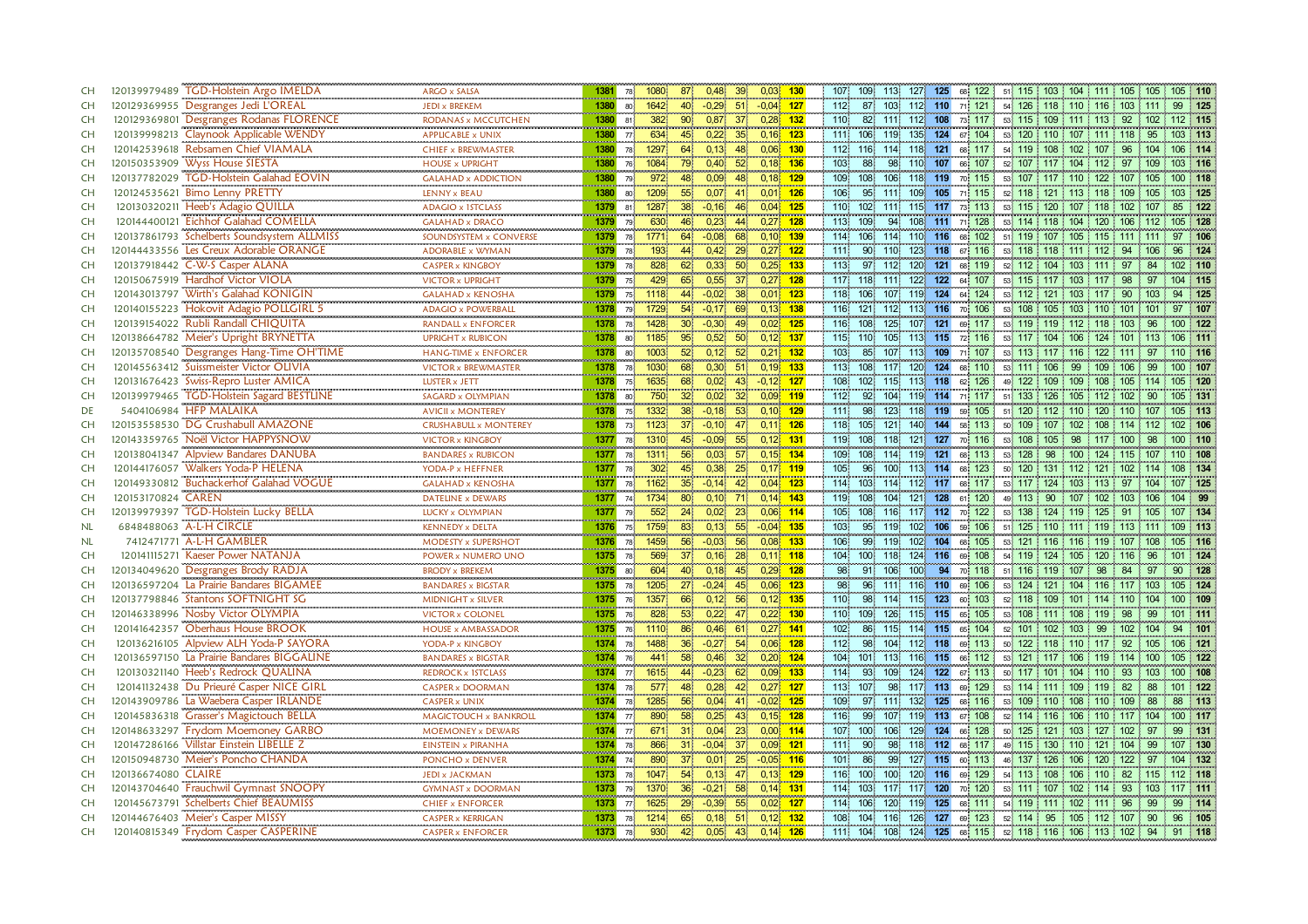| <b>CH</b> | 120139979489 TGD-Holstein Argo IMELDA<br><b>ARGO x SALSA</b>            |                                                                    | 1381 78         | 1080<br>871                          | 0,48<br>39 <sup>1</sup>    | $0,03$ 130   |     | 107 109                     | 113 127 125 68 122         |                            |                                                     | 51 115 103 104 111 105 105 |                    |           | 105 110     |
|-----------|-------------------------------------------------------------------------|--------------------------------------------------------------------|-----------------|--------------------------------------|----------------------------|--------------|-----|-----------------------------|----------------------------|----------------------------|-----------------------------------------------------|----------------------------|--------------------|-----------|-------------|
| CH        | 120129369955 Desgranges Jedi L'OREAL<br>JEDI x BREKEM                   |                                                                    | 1380 80         | 1642<br>40                           | $-0.29$<br>51'             | $-0.04$ 127  |     | $112 -$<br>- 87             | 103 112 110 71 121         |                            |                                                     | 54 126 118 110 116 103 111 |                    | 99        | 125         |
| <b>CH</b> | 120129369801 Desgranges Rodanas FLORENCE                                | RODANAS x MCCUTCHEN<br>1380                                        | 81 <sup>1</sup> | 382<br>$90^{\circ}$                  | 0,87<br>37 <sup>°</sup>    | $0.28$ 132   |     | 110<br>82                   | 111 112 108                |                            | 73 117                                              | 53 115 109 111 113 92 102  |                    |           | 112 115     |
| <b>CH</b> | 120139998213 Claynook Applicable WENDY<br><b>APPLICABLE x UNIX</b>      | 1380                                                               | 77 <sup>1</sup> | 634<br>45                            | 0,22<br>35 <sup>°</sup>    | $0,16$ 123   |     | 111 106                     | 119                        | 135 124 67 104             |                                                     | 53 120 110 107 111 118     |                    | 95        | 103 113     |
| <b>CH</b> | 120142539618 Rebsamen Chief VIAMALA                                     | 1380<br><b>CHIEF x BREWMASTER</b>                                  | <b>78</b>       | 1297<br>64                           | 0,13<br>48                 | $0,06$ 130   |     |                             | 112 116 114 118 121 68 117 |                            |                                                     | 54 119 108 102 107 96 104  |                    |           | 106 114     |
| <b>CH</b> | 120150353909 Wyss House SIESTA<br><b>HOUSE x UPRIGHT</b>                | 1380                                                               | 76 <sup>1</sup> | 1084<br>79.                          | 52<br>0,40                 | $0,18$ 136   |     | 103 <sub>1</sub><br>88      | 98<br>110                  | 107                        | 66 107                                              | 52 107 117 104 112         | 97                 | 109       | 103 116     |
| <b>CH</b> | <br>120137782029 TGD-Holstein Galahad EOVIN                             | 1380<br><b>GALAHAD x ADDICTION</b>                                 | 79              | 972<br>48                            | 0,09<br>48                 | $0,18$ 129   |     | 109 108                     | 106 118 119                |                            | 70 115                                              | 53 107 117 110 122 107 105 |                    |           | 100 118     |
| <b>CH</b> | 120124535621 Bimo Lenny PRETTY<br>LENNY x BEAU                          | 1380                                                               | 80              | 55<br>1209                           | 0,07<br>41                 | $0,01$ 126   |     | 95<br>106                   | 111.                       | 109 105 71 115             |                                                     | 52 118 121 113 118 109 105 |                    |           | 103 125     |
| CH        | 120130320211 Heeb's Adagio QUILLA<br>ADAGIO x 15TCLASS                  | 1379                                                               | 81              | 1287<br>38 <sup>1</sup>              | $-0,16$<br>46              | 0,04         | 125 | 110 102                     | 111                        | 115 117 73 113             |                                                     | 53 115 120 107 118 102 107 |                    | 85        | 122         |
| CH        | 120144400121 Eichhof Galahad COMELLA<br><b>GALAHAD x DRACO</b>          | 1379                                                               | 79              | 630<br>46                            | 0,23<br>44 <sup>′</sup>    | $0,27$ 128   |     | 109<br>113                  | 94                         | 108 111 71 128             |                                                     | 53 114 118 104 120 106 112 |                    |           | 105 128     |
| CH        | 120137861793 Schelberts Soundsystem ALLMISS                             | 1379<br>SOUNDSYSTEM x CONVERSE                                     | 78              | 1771<br>64                           | 68<br>$-0,08$              | $0.10$ 139   |     | 114 106                     | 114                        | 110 116                    | 68 102                                              | 51 119 107 105 115 111 111 |                    |           | 97 106      |
| CH        | 120144433556 Les Creux Adorable ORANGE<br><b>ADORABLE x WYMAN</b>       | 1379                                                               | 78.             | 193<br>44                            | 0,42<br>29                 | $0,27$ 122   |     | 111 90                      | 110 123 118 67 116         |                            |                                                     | 53 118 118 111 112 94 106  |                    | 96        | 124         |
| <b>CH</b> | 120137918442 C-W-S Casper ALANA<br><b>CASPER x KINGBOY</b>              | 1379                                                               | 78 <sup>1</sup> | 828<br>62                            | 0,33<br>50 <sup>1</sup>    | $0.25$ 133   |     | 97<br>113                   | 112 120 121 68 119         |                            |                                                     | 52 112 104 103 111 97      |                    | 84        | 102 110     |
| <b>CH</b> | 120150675919 Hardhof Victor VIOLA<br><b>VICTOR x UPRIGHT</b>            | 1379                                                               | 75 <sup>1</sup> | 429<br>65                            | 0,55<br>37 <sup>1</sup>    | $0.27$ 128   |     | 117 118                     | 111                        | 122 122                    | 64 107                                              | 53 115 117 103             | 117<br>98          | -97       | 104 115     |
| <b>CH</b> | <br>Wirth's Galahad KONIGIN<br>120143013797                             | 1379<br><b>GALAHAD x KENOSHA</b>                                   | 75              | 1118<br>44                           | $-0.02$<br>38 <sub>1</sub> | $0,01$ 123   |     | 118 106                     | 107 119                    | $124$<br>64                | 124                                                 | 53 112 121 103 117         | -90                |           | 125         |
| <b>CH</b> | 120140155223 Hokovit Adagio POLLGIRL 5                                  | <br><b>ADAGIO x POWERBALL</b>                                      | 1378 79         | $\frac{1}{1729}$<br>54 <sup>2</sup>  | 69<br>$-0,17$              | $0,13$ 138   |     |                             | 116 121 112 113 116 70 106 |                            |                                                     | 53 108 105 103 110 101 101 |                    | 97        | 107         |
| <b>CH</b> | 120139154022 Rubli Randall CHIQUITA                                     | ,,,,,,,,,,,,,,,,,,,,,,,,,,,,,,,,,,,,<br>RANDALL x ENFORCER<br>1378 | 78.             | an an air<br>30 <sup>1</sup><br>1428 | $-0,30$<br>49              | $0,02$ 125   |     | 116 108                     | 125                        | 107 121 69 117             |                                                     | 53 119 119 112 118 103     |                    | 96        | 100 122     |
| <b>CH</b> | 120138664782 Meier's Upright BRYNETTA<br><b>UPRIGHT x RUBICON</b>       | 1378                                                               |                 | 80 1185<br>95 <sup>1</sup>           | 0,52<br>50                 | $0,12$ 137   |     | 115 110                     | 105 113 115 72 116         |                            |                                                     | 53 117 104 106 124 101 113 |                    |           | 106 111     |
| <b>CH</b> | 120135708540 Desgranges Hang-Time OH'TIME                               | <b>HANG-TIME x ENFORCER</b><br>1378                                | 80              | 1003<br>52 <sup>1</sup>              | 0.12<br>$52^{\circ}$       | $0.21$ 132   |     | 103<br>85                   | 107                        | 113 109                    | 71 107                                              | 53 113 117 116 122 111     |                    | -97       | 110 116     |
| <b>CH</b> | 120145563412 Suissmeister Victor OLIVIA                                 | <b>VICTOR x BREWMASTER</b><br>1378                                 |                 | 78 1030<br>68                        | 0,30<br>51                 | $0,19$ 133   |     | 113<br>108                  | 117                        | 120 124 68 110             |                                                     | 53 111 106 99              | 109 106            | -99       | 100 107     |
| <b>CH</b> | 120131676423 Swiss-Repro Luster AMICA<br>LUSTER x JETT                  | 1378                                                               | 75 <sup>1</sup> | 1635<br>68                           | 0,02<br>43                 | $-0.12$ 127  |     | 108.<br>$102^{\circ}$       | 115                        | 113 118<br>62 <sup>1</sup> | 126<br>49                                           | 122 109 109                | 108 105 114        |           | 105 120     |
| <b>CH</b> | 120139979465 TGD-Holstein Sagard BESTLINE<br>SAGARD x OLYMPIAN          | 1378                                                               | 80 <sub>1</sub> | 750<br>32 <sup>2</sup>               | 0,02<br>32 <sup>1</sup>    | $0.09$ 119   |     | 92<br>112                   | 104 119 114 71 117         |                            |                                                     | 51 133 126 105 112 102     |                    | 90        | 105 131     |
| DE        | 5404106984 HFP MALAIKA<br><b>AVICII x MONTEREY</b>                      | 1378<br>                                                           | 75 <sup>1</sup> | 1332<br>38 <sup>1</sup>              | 53<br>$-0,18$              | $0,10$ 129   |     | 98<br>$111 -$               | 123                        | 118 119                    | 59 105<br>51 120                                    | 112 110                    | 120<br>110         | 107       | 105 113     |
| <b>CH</b> | 120153558530 DG Crushabull AMAZONE                                      | <b>CRUSHABULL x MONTEREY</b><br>1378                               | 73 <sup>°</sup> | 1123<br>37 <sub>1</sub>              | $-0,10$<br>-47,            | $0,11$ 126   |     | 118 105                     | 121.                       | 140 144 58 113             |                                                     | 50 109 107 102             | 108 114 112        |           | $102 - 106$ |
| CH        | 120143359765 Noël Victor HAPPYSNOW<br><b>VICTOR x KINGBOY</b>           | 1377                                                               |                 | 78 1310<br>45                        | $-0,09$<br>55 <sub>1</sub> | $0,12$ 131   |     | 119 108                     | 118 121 127 70 116         |                            |                                                     | 53 108 105 98              | $117$ 100          | 98        | 100 110     |
| CH        | 120138041347 Alpview Bandares DANUBA<br>                                | 1377<br><b>BANDARES x RUBICON</b>                                  | 78              | 1311<br>$56^{\circ}$                 | 0.03<br>57                 | $0.15 - 134$ |     | $109 -$<br>108 <sup>1</sup> | 114                        | 119 121                    | 68 113<br>53 128                                    |                            | 98 100 124 115 107 |           | 110 108     |
| CH        | 120144176057 Walkers Yoda-P HELENA<br>YODA-P x HEFFNER                  | 1377                                                               | <b>78</b>       | 302<br>45                            | 0,38<br>$25^{\circ}$       | $0.17$ 119   |     | 96<br>105                   | 100                        | 113 114 68 123             |                                                     | 50 120 131 112 121 102 114 |                    |           | 108 134     |
| CH        | 120149330812 Buchackerhof Galahad VOGUE                                 | 1377<br><b>GALAHAD x KENOSHA</b>                                   |                 | 35 <sup>°</sup><br>78 1162           | $-0,14$<br>42              | $0,04$ 123   |     | 114 103                     | 114 112 117 68 117         |                            |                                                     | 53 117 124 103 113 97 104  |                    |           | 107 125     |
| CH        | 120153170824 CAREN<br>DATELINE x DEWARS                                 | 1377                                                               | 74 <sup>1</sup> | 1734<br>80                           | 0,10<br>71'                | $0.14$ 143   |     | 119 108                     | 104                        | 121 128                    | 61 120                                              | 49 113 90 107 102 103 106  |                    |           | 104 99      |
| CH        | 120139979397 TGD-Holstein Lucky BELLA<br><b>LUCKY x OLYMPIAN</b>        | 1377                                                               | 79              | 552<br>24                            | 0,02<br>23 <sup>1</sup>    | $0.06$ 114   |     | 105<br>108                  | 116 117 112                |                            | 70 122                                              | 53 138 124 119 125 91 105  |                    |           | 107 134     |
| <b>NL</b> | 6848488063 A-L-H CIRCLE<br><b>KENNEDY x DELTA</b>                       |                                                                    | 1376 75         | 1759<br>83                           | 55<br>0,13                 | $-0.04$ 135  |     | 103 <sub>1</sub><br>95      | 119                        | 102 106                    | 59 106                                              | 51 125 110 111 119 113 111 |                    |           | 109 113     |
| <b>NL</b> | 7412471771 A-L-H GAMBLER                                                | 1376<br>MODESTY x SUPERSHOT                                        | <b>78</b>       | 1459<br>56                           | $-0.03$<br>56              | $0,08$ 133   |     | 106<br>99                   | 119                        | 102 104 68 105             |                                                     | 53 121 116 116 119 107 108 |                    |           | 105 116     |
| <b>CH</b> | 120141115271 Kaeser Power NATANJA                                       | POWER x NUMERO UNO<br>1375                                         | 78              | 569<br>37 <sup>°</sup>               | 0,16<br>28                 | $0,11$ 118   |     | 104 100                     | 118                        | 124 116                    | 69 108                                              | 54 119 124 105 120 116     |                    | 96        | 101 124     |
| <b>CH</b> | 120134049620 Desgranges Brody RADJA<br><b>BRODY x BREKEM</b>            | 1375                                                               | 80              | 604<br>40                            | 0,18<br>45                 | $0,29$ 128   |     | 98<br>91                    | 106                        | 100 94                     | 70 118                                              | 51 116 119 107 98          | 84                 | 97        | 90 128      |
| CH        | 120136597204 La Prairie Bandares BIGAMEE<br><b>BANDARES x BIGSTAR</b>   | 1375                                                               | <b>78</b>       | 1205<br>$27^{\circ}$                 | $-0,24$<br>45              | $0.06$ 123   |     | 98<br>96.                   | 111                        | 116 110                    | 69 106                                              | 53 124 121 104 116 117 103 |                    |           | 105 124     |
| <b>CH</b> | 120137798846 Stantons SOFTNIGHT SG<br>MIDNIGHT x SILVER                 | 1375                                                               | 76              | 1357<br>66                           | 56<br>0,12                 | $0,12$ 135   |     | 98<br>110                   | 114                        | 115 123                    | 60 103                                              | 52 118 109 101 114 110 104 |                    |           | 100 109     |
| <b>CH</b> | 120146338996 Nosby Victor OLYMPIA<br>VICTOR x COLONEL                   | 1375                                                               | 76              | 828<br>53 <sup>°</sup>               | 0,22<br>47                 | $0,22$ 130   |     | 110 109                     | 126                        | 115 115                    | 65 105                                              | 53 108 111 108 119 98      |                    | 99        | 101 111     |
| <b>CH</b> | 120141642357 Oberhaus House BROOK                                       | 1375<br><b>HOUSE x AMBASSADOR</b>                                  | 76              | 1110<br>86                           | 0,46<br>61                 | $0,27$ 141   |     | 102 <sub>1</sub><br>86      | 115 114 115                |                            | 65 104                                              | 52 101 102 103 99          | 102 104            |           | 94 101      |
| <b>CH</b> | 120136216105 Alpview ALH Yoda-P SAYORA<br>YODA-P x KINGBOY              | 1374                                                               | 78 <sup>1</sup> | 1488<br>36 <sup>1</sup>              | 54<br>$-0,27$              | $0,06$ 128   |     | 112<br>98                   | 104                        | 112 118                    | 69 113                                              | 50 122 118 110 117 92 105  |                    |           | 106 121     |
| <b>CH</b> | 120136597150 La Prairie Bandares BIGGALINE<br><b>BANDARES x BIGSTAR</b> | 1374                                                               | 76              | 441<br>58                            | 32<br>0,46                 | $0,20$ 124   |     | 104<br>101                  | 113                        | 116 115                    | 66 112                                              | 53 121 117 106 119 114 100 |                    |           | 105 122     |
| <b>CH</b> | 120130321140 Heeb's Redrock QUALINA<br>REDROCK x 1STCLASS               | 1374                                                               | 77 <sup>1</sup> | 1615<br>44                           | $-0,23$<br>62              | $0,09$ 133   |     | 93<br>114                   | 109                        | 124 122 67 113             |                                                     | 50 117 101 104 110 93 103  |                    |           | 100 108     |
| CH        | 120141132438 Du Prieuré Casper NICE GIRL<br><b>CASPER x DOORMAN</b><br> | 1374                                                               | 78.             | 577<br>48                            | 0,28<br>42                 | $0,27$ 127   |     | 113 107                     | 98                         | 117 113                    | 69 129                                              | 53 114 111 109 119         | 82                 | 88<br>101 | 122         |
| CH        | 120143909786 La Waebera Casper IRLANDE<br><b>CASPER x UNIX</b>          |                                                                    | 1374 78         | 1285<br>56                           | 0,04<br>41                 | $-0.02$ 125  |     | 109 <sub>1</sub>            | 97 111 132 125 68 116      |                            |                                                     | 53 109 110 108 110 109     |                    | -88<br>88 | 113         |
| CH        | 120145836318 Grasser's Magictouch BELLA                                 | MAGICTOUCH x BANKROLL<br>1374                                      | 77              | 58<br>890                            | 0.25<br>43.                | $0.15$ 128   |     | 99<br>116                   | 107                        | 119 113                    | 67 108                                              | 52 114 116 106 110 117 104 |                    |           | 100 117     |
| CH        | 120148633297 Frydom Moemoney GARBO                                      | MOEMONEY x DEWARS<br>1374                                          | 77 <sup>1</sup> | 671<br>31 <sup>°</sup>               | 0,04<br>23                 | $0,00$ 114   |     | 107 100                     | 106                        | 129 124 66 128             |                                                     | 50 125 121 103 127 102     |                    | 97        | 99 131      |
| CH        | 120147286166 Villstar Einstein LIBELLE Z<br><b>EINSTEIN x PIRANHA</b>   |                                                                    | 1374 78         | 31<br>866                            | 37<br>$-0.04$              | $0,09$ 121   |     | 90<br>111                   | 98                         | 118 112                    | 68 117                                              | 49 115 130 110 121 104 99  |                    |           | 107 130     |
| CH        | 120150948730 Meier's Poncho CHANDA<br>PONCHO x DENVER                   |                                                                    | 1374 74         | 890<br>37 <sup>°</sup>               | 25<br>0,01                 | $-0.05$ 116  |     | 86<br>101                   | 99                         | 127 115 60 113             |                                                     | 46 137 126 106 120 122     |                    | 97        | 104 132     |
| <b>CH</b> | 120136674080 CLAIRE<br><b>JEDI x JACKMAN</b><br>.                       | 1373                                                               | 78              | 1047<br>54 <sup>°</sup>              | 0.13<br>47                 | $0,13$ 129   |     | 116 100                     | 100                        | 120 116                    | 69 129                                              | 54 113 108 106 110         | 82 115             |           | 112 118     |
| <b>CH</b> | 120143704640 Frauchwil Gymnast SNOOPY                                   | <b>GYMNAST x DOORMAN</b><br>1373                                   | 79              | 1370<br>36 <sup>°</sup>              | $-0,21$<br>58              | $0,14$ 131   |     | 114 103                     | 117<br>117                 | 120                        | 70 120                                              | 53 111 107 102 114         | 93                 | 103       | $117$ 111   |
| <b>CH</b> | 120145673791 Schelberts Chief BEAUMISS<br><b>CHIEF x ENFORCER</b>       |                                                                    | 1373 77 1625    | $29^{\circ}$                         | $-0.39$<br>55 <sub>1</sub> | $0,02$ 127   |     | 114 106                     | 120                        | 119 125                    | 68 111                                              | 54 119 111 102 111         | 96                 | 99        | 99 114      |
| <b>CH</b> | 120144676403 Meier's Casper MISSY<br><b>CASPER x KERRIGAN</b>           | 1373                                                               | 78              | 1214<br>65                           | 0,18<br>51 <sup>°</sup>    | 0.12         | 132 | 108 104                     | 116                        | 126 127 69 123             |                                                     | 52 114 95 105 112 107 90   |                    |           | 96 105      |
| <b>CH</b> | 120140815349 Frydom Casper CASPERINE<br><b>CASPER x ENFORCER</b>        |                                                                    | 1373 78         | 930 42                               | $0,05$ 43                  | $0,14$ 126   |     | 111 104                     |                            |                            | 108 124 125 68 115 52 118 116 106 113 102 94 91 118 |                            |                    |           |             |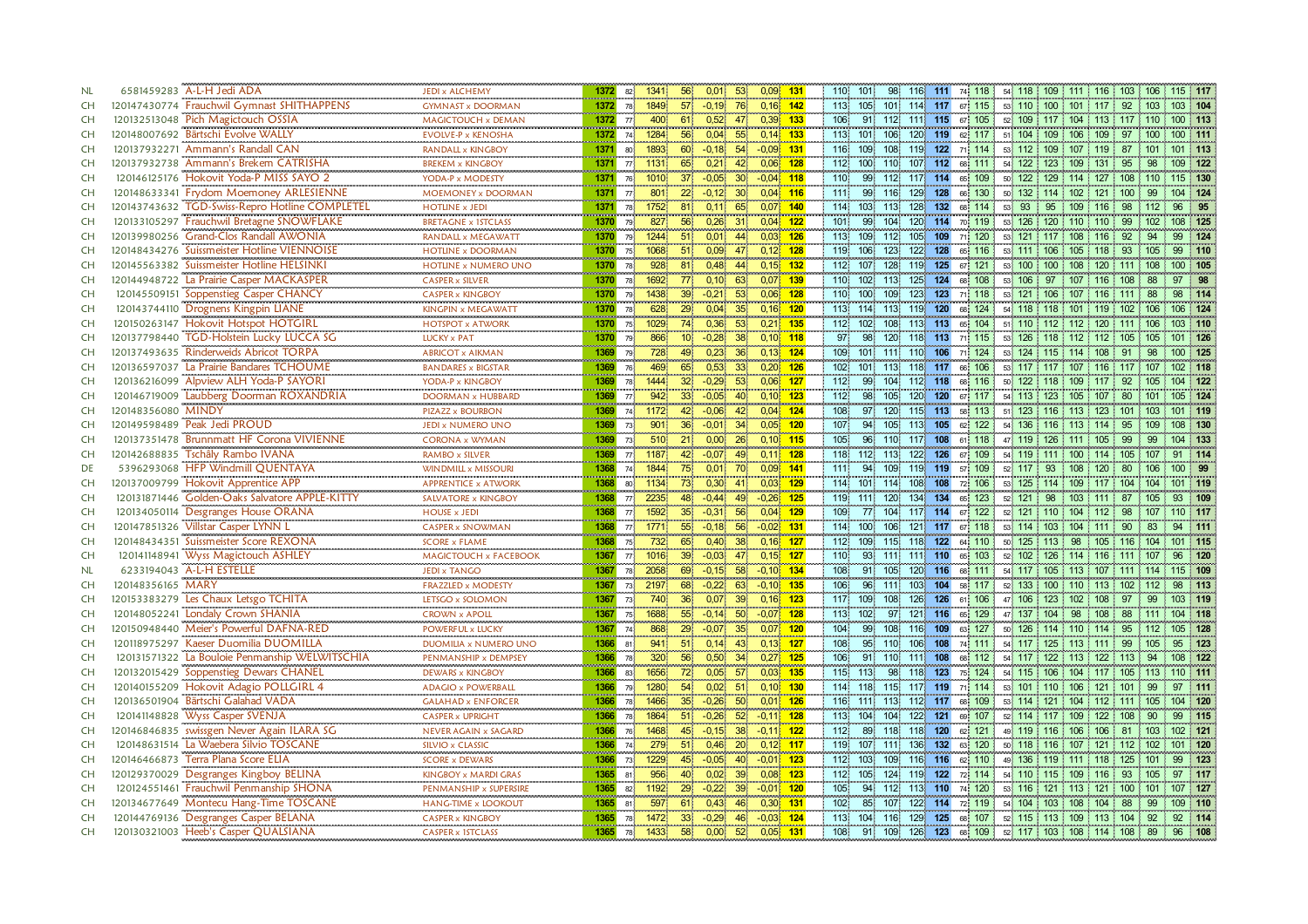| NL        |                    | 6581459283 A-L-H Jedi ADA                                                                                               | <b>JEDI x ALCHEMY</b>                                  | 1372 | 82 <sup>1</sup> | 56<br>0,01<br>$0,09$ 131<br>1341<br>53 <sub>1</sub>                  |            | 98 116 111 74 118<br>54 118 109 111 116 103 106 115 117<br>110 101                                                   |
|-----------|--------------------|-------------------------------------------------------------------------------------------------------------------------|--------------------------------------------------------|------|-----------------|----------------------------------------------------------------------|------------|----------------------------------------------------------------------------------------------------------------------|
| <b>CH</b> |                    | 120147430774 Frauchwil Gymnast SHITHAPPENS                                                                              | <br><b>GYMNAST x DOORMAN</b>                           | 1372 | 78              | 1849<br>57 <sup>2</sup><br>$-0,19$<br>76<br>$0,16$ 142               |            | 113 105 101 114 117 67 115<br>53 110 100 101 117 92 103 103 104                                                      |
| CH        |                    | 120132513048 Pich Magictouch OSSIA                                                                                      | MAGICTOUCH x DEMAN                                     | 1372 | 77              | 0.52<br>$0.39$ 133<br>400<br>61<br>47                                |            | 106<br>111 115 67 105<br>91 112<br>52 109 117 104 113 117 110<br>$100$ 113                                           |
| <b>CH</b> |                    | 120148007692 Bärtschi Evolve WALLY                                                                                      | <b>EVOLVE-P x KENOSHA</b>                              | 1372 | 74              | $0,14$ 133<br>1284<br>56<br>0,04<br>55                               |            | 113<br>101<br>120 119<br>51 104 109 106 109 97<br>106<br>62 117<br>100 111<br>100                                    |
| <b>CH</b> |                    | 120137932271 Ammann's Randall CAN                                                                                       | RANDALL x KINGBOY                                      | 1371 | 80 <sup>1</sup> | 1893<br>$-0,18$<br>54<br>$-0,09$ 131<br>60                           |            | 116<br>109.<br>108<br>119 122<br>71 114<br>53 112 109 107 119 87<br>101 113<br>$-101$                                |
| <b>CH</b> |                    | 120137932738 Ammann's Brekem CATRISHA                                                                                   | BREKEM x KINGBOY                                       | 1371 | 77 <sup>1</sup> | 0,06<br>$1131$<br>65<br>0,21<br>42                                   | 128        | 112<br>100<br>107 112<br>110<br>68 111<br>54 122 123 109 131<br>109 122<br>95<br>98                                  |
| CH        |                    | 120146125176 Hokovit Yoda-P MISS SAYO 2                                                                                 | YODA-P x MODESTY                                       | 1371 | 76              | 37 <sup>2</sup><br>$-0,05$<br>$-0.04$ 118<br>1010<br>30 <sup>°</sup> |            | 115 130<br>99<br>112<br>117 114 65 109<br>50 122 129 114 127 108 110<br>110                                          |
| <b>CH</b> |                    | 120148633341 Frydom Moemoney ARLESIENNE                                                                                 | MOEMONEY x DOORMAN                                     | 1371 | 77 <sup>1</sup> | 22<br>$0,04$ 116<br>801<br>$-0,12$<br>30 <sup>1</sup>                |            | 111.<br>99<br>116<br>129 128<br>66 130<br>132 114 102<br>121<br>99<br>104 124<br>100<br>50 <sup>1</sup>              |
| <b>CH</b> | 120143743632       | <b>TGD-Swiss-Repro Hotline COMPLETEL</b>                                                                                | <b>HOTLINE x JEDI</b>                                  | 1371 | 78 <sup>1</sup> | 1752<br>81 <sup>1</sup><br>0,11<br>0.07<br>65                        | 140        | 114<br>128 132<br>93<br>103.<br>113 <sub>1</sub><br>68 114<br>95<br>109<br>116<br>98<br>96<br>95<br>112<br>53.       |
| <b>CH</b> |                    | 120133105297 Frauchwil Bretagne SNOWFLAKE                                                                               | <b>BRETAGNE x 1STCLASS</b>                             | 1370 | 79              | $0,04$ 122<br>827<br>56 <sup>1</sup><br>0,26<br>-31                  |            | 101<br>99<br>104<br>120 114 70 119<br>99<br>108 125<br>53 126 120 110 110<br>102 <sub>2</sub>                        |
| <b>CH</b> |                    | 120139980256 Grand-Clos Randall AWONIA                                                                                  | RANDALL x MEGAWATT                                     | 1370 | 79.             | 51.<br>0,01<br>$0.03$ 126<br>1244<br>44                              |            | 113<br>109<br>71 120<br>53 121<br>124<br>109<br>112<br>105<br>$117 \cdot 108$<br>116<br>92<br>94<br>99               |
| <b>CH</b> |                    | 120148434276 Suissmeister Hotline VIENNOISE                                                                             | <br><b>HOTLINE x DOORMAN</b>                           | 1370 | 75 <sup>1</sup> | $0,12$ 128<br>0,09<br>51<br>1068<br>471                              |            | 119<br>53 111 106 105 118 93<br>99 110<br>106<br>123<br>122<br>128<br>65 116<br>105                                  |
| <b>CH</b> |                    | 120145563382 Suissmeister Hotline HELSINKI                                                                              | HOTLINE x NUMERO UNO                                   | 1370 | 78 <sup>1</sup> | 928<br>$0,15$ 132<br>81<br>0,48<br>44                                |            | 112<br>107<br>119<br>125<br>67 121<br>53 100 100 108 120 111<br>128<br>108<br>100 105                                |
| <b>CH</b> |                    | 120144948722 La Prairie Casper MACKASPER                                                                                | <b>CASPER x SILVER</b>                                 | 1370 | 78              | 1692<br>77 <sub>1</sub><br>0,10<br>63<br>$0,07$ 139                  |            | 110<br>102.<br>113<br>125 124<br>68 108<br>53 106<br>97<br>107<br>116<br>108<br>88<br>97                             |
| <b>CH</b> |                    |                                                                                                                         | <br><b>CASPER x KINGBOY</b>                            | 1370 | 79              | 1438<br>39 <sup>°</sup><br>$-0,21$<br>53 <sub>1</sub><br>$0,06$ 128  |            | 123<br>71 118<br>53 121<br>98 114<br>110<br>100 <sub>1</sub><br>109<br>123<br>$106$ 107<br><b>116</b><br>1111<br>-88 |
| <b>CH</b> |                    | 1201454916722 La France Caper MACKANTER<br>120145509151 Soppenstieg Caper CHANCY<br>120143744110 Drognens Kingpin LIANE | ,,,,,,,,,,,,,,,,,,,,,,,,,,,<br>KINGPIN x MEGAWATT      | 1370 | 78              | 29 <sup>°</sup><br>0,04<br>0,16<br>628                               | 120        | 119 120<br>68 124<br>106 124<br>113 114 113<br>54 118 118 101 119 102 106                                            |
| <b>CH</b> |                    | 120150263147 Hokovit Hotspot HOTGIRL                                                                                    | ---------------------------<br><b>HOTSPOT x ATWORK</b> | 1370 | 75 <sup>1</sup> | $0,21$ 135<br>74<br>0,36<br>53<br>1029                               |            | 112 102<br>108 113 113 65 104<br>51 110 112 112 120 111 106<br>103 110                                               |
| <b>CH</b> |                    | 120137798440 TGD-Holstein Lucky LUCCA SG                                                                                | LUCKY x PAT                                            | 1370 | 79              | 866<br>10 <sup>°</sup><br>$-0.28$<br>$0,10$ 118                      |            | 97<br>98<br>120<br>118 113<br>101 126<br>71 115<br>53 126 118 112 112 105<br>105                                     |
| <b>CH</b> |                    | 120137493635 Rinderweids Abricot TORPA                                                                                  | <br><b>ABRICOT x AIKMAN</b>                            | 1369 | 79              | 728<br>49<br>0.23<br>36 <sup>1</sup><br>0.13                         | 124        | 106<br>109<br>101 111<br>$110^{\circ}$<br>71 124<br>53 124 115 114 108<br>91<br>98<br>100 125                        |
| <b>CH</b> |                    | 120136597037 La Prairie Bandares TCHOUME                                                                                | <b>BANDARES x BIGSTAR</b>                              | 1369 | 76 <sub>1</sub> | $0,20$ 126<br>469<br>0,53<br>33 <sup>1</sup><br>65.                  |            | 102<br>101<br>118 117<br>66 106<br>113<br>53 117 117 107 116 117 107<br>102 118                                      |
| <b>CH</b> |                    | 120136216099 Alpview ALH Yoda-P SAYORI                                                                                  | YODA-P x KINGBOY                                       | 1369 | 78.             | 1444<br>0,06<br>32 <sub>1</sub><br>$-0,29$<br>53 <sup>°</sup>        | <u>127</u> | $112$<br>99<br>104<br>112 118<br>50 122<br>92<br>104 122<br>68 116<br>118<br>109<br>-117<br>105                      |
| <b>CH</b> |                    | 120146719009 Laubberg Doorman ROXANDRIA                                                                                 | <b>DOORMAN x HUBBARD</b>                               | 1369 | 77 <sup>1</sup> | $-0,05$<br>0,10<br>942<br>33 <sup>1</sup><br>40                      | 123        | 120 120 67 117<br>105 124<br>112<br>98.<br>105<br>54 113 123 105<br>107<br>80<br>101                                 |
| <b>CH</b> | 120148356080 MINDY |                                                                                                                         | PIZAZZ x BOURBON<br>                                   | 1369 | 74              | 1172<br>42<br>$-0.06$<br>0,04<br>42 <sub>1</sub>                     | 124        | 108<br>120<br>115 113<br>51 123<br>116 113<br>101 119<br>97<br>113<br>123<br>101<br>103<br>58                        |
| CH        |                    | 120149598489 Peak Jedi PROUD                                                                                            | JEDI x NUMERO UNO                                      | 1369 | 73.             | 0,05<br>901<br>$-0,01$<br>34<br>36 <sub>1</sub>                      | 120        | 107<br>94 105<br>62 122<br>108 130<br>113<br>105<br>54 136 116 113 114<br>95<br>109                                  |
| CH        |                    | 120137351478 Brunnmatt HF Corona VIVIENNE                                                                               | <b>CORONA x WYMAN</b>                                  | 1369 | 73              | 510<br>21 <sup>2</sup><br>0,00<br>$0,10$ 115<br>26                   |            | 105<br>96 110 117 108 61 118<br>47 119 126 111 105<br>99<br>99<br>104 133                                            |
| CH        |                    | 120142688835 Tschâly Rambo IVANA                                                                                        | <b>RAMBO x SILVER</b>                                  | 1369 | 77.             | 1187<br>42<br>$-0.07$<br>49<br>$0.11$ 128                            |            | 118<br>122<br>112<br>113<br>126<br>67 109<br>54 119 111 100<br>114 105<br>107<br>91 114                              |
| DE        |                    | 5396293068 HFP Windmill QUENTAYA                                                                                        | WINDMILL x MISSOURI                                    | 1368 |                 | $0.09 - 141$<br>74 1844<br>$75^{\circ}$<br>0,01<br>70.               |            | 94<br>111.<br>119 119<br>108<br>80<br>100 99<br>109.<br>57 109<br>$52 \quad 117$<br>93<br>120<br>106                 |
| CH        |                    | 120137009799 Hokovit Apprentice APP                                                                                     | <b>APPRENTICE x ATWORK</b>                             | 1368 |                 | $0,03$ 129<br>80 1134<br>73<br>0,30<br>41.                           |            | 114 101 114<br>108<br>72 106<br>53 125 114 109 117 104<br>108<br>104<br>101 119                                      |
| CH        |                    | 120131871446 Golden-Oaks Salvatore APPLE-KITTY                                                                          | SALVATORE x KINGBOY                                    | 1368 | 77 <sup>1</sup> | $-0.26$ 125<br>2235<br>48<br>$-0,44$<br>49                           |            | 119 111 120<br>134 134<br>65 123<br>52 121 98 103 111<br>87<br>105<br>93 109                                         |
| CH        |                    | 120134050114 Desgranges House ORANA                                                                                     | <b>HOUSE x JEDI</b>                                    | 1368 | 77 <sup>1</sup> | $0,04$ 129<br>1592<br>35 <sup>°</sup><br>$-0,31$<br>56.              |            | 109<br>77<br>104<br>117 114 67 122<br>52 121 110 104 112 98<br>110 117<br>107                                        |
| CH        |                    | 120147851326 Villstar Casper LYNN L                                                                                     | <b>CASPER x SNOWMAN</b>                                | 1368 | 77 <sup>1</sup> | 1771<br>$-0.02$ 131<br>55 <sup>1</sup><br>$-0,18$<br>56              |            | 114<br>121 117 67 118<br>94 111<br>100<br>106<br>53 114 103 104<br>111<br>90<br>83                                   |
| CH        |                    | 120148434351 Suissmeister Score REXONA                                                                                  | <b>SCORE x FLAME</b>                                   | 1368 | 75 <sup>1</sup> | $0,16$ 127<br>732<br>65<br>0,40<br>38 <sup>1</sup>                   |            | 112 109<br>115 118 122<br>101 115<br>64 110<br>50 125 113 98<br>105 116 104                                          |
| <b>CH</b> |                    | 120141148941 Wyss Magictouch ASHLEY                                                                                     | MAGICTOUCH x FACEBOOK                                  | 1367 |                 | 39 <sup>1</sup><br>$0,15$ 127<br>77 1016<br>$-0.03$<br>47            |            | 110<br>111 110<br>65 103<br>52 102 126 114 116 111<br>96 120<br>93<br>111<br>107                                     |
| <b>NL</b> |                    | 6233194043 A-L-H ESTELLE                                                                                                | <b>JEDI x TANGO</b>                                    | 1367 |                 | 78 2058<br>69<br>$-0,15$<br>58<br>$-0,10$ 134                        |            | 108<br>91<br>105<br>120 116 68 111<br>54 117 105 113 107<br>115 109<br>$111$ 114                                     |
| CH        | 120148356165 MARY  |                                                                                                                         | <b>FRAZZLED x MODESTY</b>                              | 1367 | 73 <sup>2</sup> | 68<br>$-0.22$<br>$-0.10$ 135<br>2197<br>63                           |            | 106<br>96'<br>111.<br>103 104<br>58 117<br>52 133 100 110 113 102 112<br>98 113                                      |
| CH        |                    | 120153383279 Les Chaux Letsgo TCHITA                                                                                    | LETSGO x SOLOMON                                       | 1367 | 73 <sup>1</sup> | 740<br>0,07<br>39<br>$0,16$ 123<br>36 <sup>1</sup>                   |            | 117<br>109<br>126 126<br>47 106 123 102 108 97<br>108<br>61 106<br>99<br>103 119                                     |
| CH        |                    | 120148052241 Londaly Crown SHANIA                                                                                       | <b>CROWN x APOLL</b>                                   | 1367 | 75 <sup>1</sup> | $-0,14$<br>1688<br>55<br>50<br>$-0.07$ 128                           |            | 113<br>102<br>121 116<br>65 129<br>47 137 104<br>98<br>$108$ 88 111<br>97<br>104 118                                 |
| CH        |                    | 120150948440 Meier's Powerful DAFNA-RED                                                                                 | POWERFUL x LUCKY                                       | 1367 | 74              | $0,07$ 120<br>868<br>29 <sup>1</sup><br>$-0,07$<br>35 <sup>°</sup>   |            | 104<br>99<br>116 109<br>95 112<br>105 128<br>108<br>63 127<br>50 126 114 110 114                                     |
| CH        |                    | 120118975297 Kaeser Duomilia DUOMILLA                                                                                   | DUOMILIA x NUMERO UNO                                  | 1366 | 81 <sup>1</sup> | $0,13$ 127<br>941<br>51<br>0,14<br>43                                |            | 108<br>95<br>106 108<br>74 111<br>54 117 125 113<br>99<br>105<br>95 123<br>$110^\circ$<br>111                        |
| <b>CH</b> |                    | 120131571322 La Bouloie Penmanship WELWITSCHIA                                                                          | PENMANSHIP x DEMPSEY                                   | 1366 | 78              | 320<br>$0,27$ 125<br>56<br>0,50<br>34 <sup>1</sup>                   |            | 106<br>91<br>110<br>111<br>108<br>68 112<br>54 117<br>122 113<br>122<br>113<br>94<br>108 122                         |
| <b>CH</b> |                    | 120132015429 Soppenstieg Dewars CHANEL                                                                                  | <b>DEWARS x KINGBOY</b>                                | 1366 | 83              | 0,05<br>$0,03$ 135<br>1656<br>72<br>57                               |            | 115<br>113<br>98.<br>118 123<br>75 124<br>54 115 106 104<br>117 105 113<br>110 111                                   |
| <b>CH</b> |                    | 120140155209 Hokovit Adagio POLLGIRL 4                                                                                  | <b>ADAGIO x POWERBALL</b><br>                          | 1366 | 79 <sup>1</sup> | 54 <sup>°</sup><br>$0.10 - 130$<br>1280<br>0.02<br>51                |            | 114 118<br>115<br>117 119<br>97 111<br>71 114<br>53 101<br>$110 \t106$<br>121<br>101<br>99                           |
| CH        |                    | 120136501904 Bärtschi Galahad VADA                                                                                      | <b>GALAHAD x ENFORCER</b>                              | 1366 | 78              | $-0,26$<br>$0,01$ 126<br>1466<br>35 <sub>1</sub><br>50               |            | 116 111 113<br>104 120<br>112 117 68 109<br>53 114 121 104 112 111 105                                               |
| <b>CH</b> |                    | 120141148828 Wyss Casper SVENJA                                                                                         | <b>CASPER x UPRIGHT</b>                                | 1366 | 78.             | 51 <sup>°</sup><br>$-0,26$<br>$-0.11$ 128<br>1864<br>52 <sub>1</sub> |            | 99 115<br>$113 -$<br>104<br>104<br>122 121<br>69 107<br>52 114 117 109 122 108<br>90                                 |
| <b>CH</b> |                    | 120146846835 swissgen Never Again ILARA SG                                                                              | NEVER AGAIN x SAGARD                                   | 1366 | 76              | 1468<br>$-0,11$ 122<br>45 <sup>1</sup><br>$-0,15$<br>38              |            | 112<br>89<br>118 120<br>62 121<br>118<br>49 119 116 106 106 81<br>103<br>102 121                                     |
| <b>CH</b> |                    | 120148631514 La Waebera Silvio TOSCANE                                                                                  | SILVIO x CLASSIC                                       | 1366 | 74 <sup>1</sup> | 279<br>51<br>0,46<br>20 <sub>1</sub><br>$0,12$ 117                   |            | 119<br>136 132<br>63 120<br>101 120<br>107 <sup>1</sup><br>111<br>50 118 116 107 121<br>102<br>112                   |
| <b>CH</b> |                    | 120146466873 Terra Plana Score ELIA                                                                                     | <b>SCORE x DEWARS</b>                                  | 1366 | 73 <sup>1</sup> | $-0,01$ 123<br>1229<br>$-0,05$<br>40<br>45                           |            | 112<br>116 116<br>62 110<br>99 123<br>103<br>109<br>49 136 119 111 118 125<br>101                                    |
| <b>CH</b> |                    | 120129370029 Desgranges Kingboy BELINA                                                                                  | KINGBOY x MARDI GRAS                                   | 1365 | 81              | 956<br>40<br>0,02<br>0,08                                            | 123        | 119<br>112 105<br>124<br>122<br>114<br>115 109<br>93<br>97 117<br>54 110<br>116<br>105<br>72 <sup>1</sup>            |
| <b>CH</b> |                    | 120124551461 Frauchwil Penmanship SHONA                                                                                 | PENMANSHIP x SUPERSIRE                                 | 1365 | 82 <sup>1</sup> | $-0,22$<br>1192<br>29<br>39<br>$-0.01$                               | 120        | 105<br>94 112<br>113 110<br>74 120<br>53 116 121 113 121<br>107 127<br>$100$ 101                                     |
| <b>CH</b> |                    | 120134677649 Montecu Hang-Time TOSCANE                                                                                  | <b>HANG-TIME x LOOKOUT</b>                             | 1365 | 81              | 597<br>61<br>0,43<br>0.30<br>46                                      | 131        | 102 <sub>1</sub><br>85<br>107<br>122 114 72 119<br>54 104 103 108<br>104<br>88<br>99<br>109 110                      |
| <b>CH</b> |                    | 120144769136 Desgranges Casper BELANA                                                                                   | <b>CASPER x KINGBOY</b>                                | 1365 |                 | 33 <sup>°</sup><br>$-0.29$<br>$-0.03$ 124<br>78 1472<br>46           |            | 129 125 68 107<br>113<br>104 116<br>52 115 113 109 113 104<br>92 114<br>92                                           |
| <b>CH</b> |                    | 120130321003 Heeb's Casper QUALSIANA                                                                                    | <b>CASPER x 1STCLASS</b>                               |      |                 | 1365 78 1433<br>$-58$<br>0,00<br>$0,05$ 131<br>52                    |            | 108<br>91 109 126 123 68 109 52 117 103 108 114 108 89 96 108                                                        |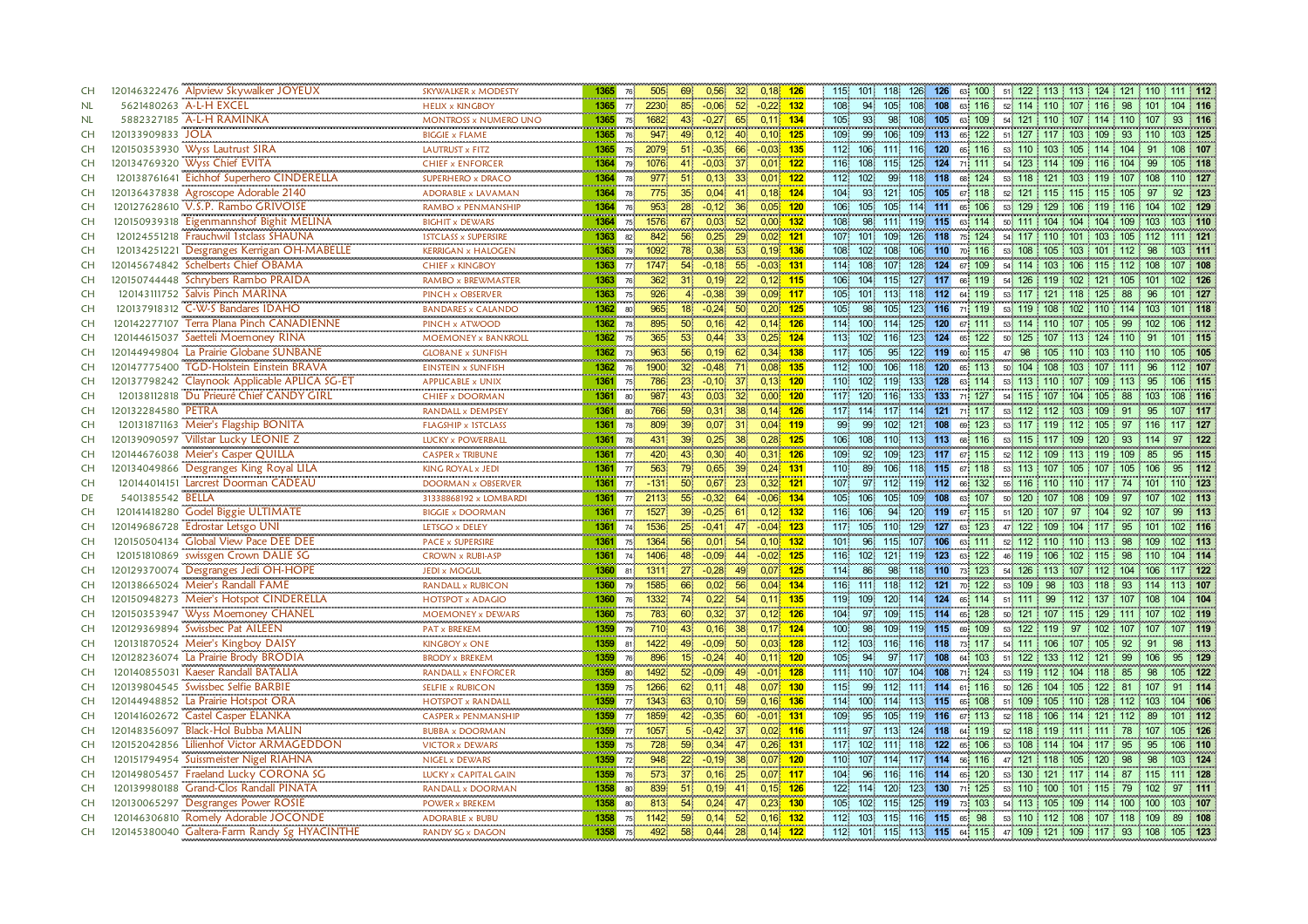| <b>CH</b> | 120146322476 Alpview Skywalker JOYEUX            | SKYWALKER x MODESTY                               | 1365                      | 76 <sup>1</sup> | 69<br>0,56<br>505<br>32                                          | $0,18$ 126      | 115 101 118<br>126 126 63 100 51 122 113 113 124 121 110 111 112                                              |
|-----------|--------------------------------------------------|---------------------------------------------------|---------------------------|-----------------|------------------------------------------------------------------|-----------------|---------------------------------------------------------------------------------------------------------------|
| NL        | 5621480263 A-L-H EXCEL                           | <br><b>HELIX x KINGBOY</b>                        | 1365                      |                 | 77 2230<br>$-0,06$<br>52 <sup>2</sup><br>85                      | $-0,22$ 132     | 108<br>94<br>105<br>108 108 63 116<br>52 114 110 107 116 98 101 104 116                                       |
| NL        | 5882327185 A-L-H RAMINKA                         | <b>MONTROSS x NUMERO UNO</b>                      | 1365                      | $75^{\circ}$    | 1682<br>$43^{\circ}$<br>$-0.27$<br>-65                           | $0,11$ 134      | 105<br>108 105 63 109<br>93.<br>98<br>54 121 110 107 114 110 107<br>93 116                                    |
| <b>CH</b> | 120133909833 JOLA                                | <b>BIGGIE x FLAME</b>                             | 1365                      | 76 <sup>1</sup> | 947<br>49<br>0,12<br>40                                          | $0,10$ 125      | 109<br>99<br>106<br>109 113<br>103 125<br>65 122<br>51 127 117 103 109 93<br>$-110$                           |
| <b>CH</b> | 120150353930 Wyss Lautrust SIRA                  | LAUTRUST x FITZ                                   | 1365                      | 75 <sub>1</sub> | $-0,35$<br>2079<br>51 <sub>1</sub><br>66                         | $-0,03$ 135     | 112 106<br>111<br>116 120<br>53 110 103 105 114 104 91<br>65 116<br>108 107                                   |
| <b>CH</b> | 120134769320 Wyss Chief EVITA                    | <b>CHIEF x ENFORCER</b>                           | 1364                      | 79 <sup>1</sup> | $-0.03$<br>0,01<br>1076<br>41<br>37 <sub>5</sub>                 | 122             | 125<br>124<br>116<br>108<br>115<br>71 111<br>54 123 114 109 116 104<br>-99<br>105 118                         |
| <b>CH</b> | 120138761641 Eichhof Superhero CINDERELLA        | <br>SUPERHERO x DRACO                             | 1364                      | 78 <sup>1</sup> | 51<br>0,13<br>0,01<br>977<br>33 <sup>°</sup>                     | $\frac{1}{122}$ | 99<br>118 118 68 124<br>53 118 121 103 119 107 108<br>110 127<br>112 102                                      |
| <b>CH</b> | Agroscope Adorable 2140<br>120136437838          | <b>ADORABLE x LAVAMAN</b>                         | 1364                      | 78              | 35 <sub>1</sub><br>0,04<br>775<br>41                             | $0,18$ 124      | 104<br>93<br>105 105<br>92 123<br>121<br>67 118<br>52 121 115 115 115 105<br>97                               |
| <b>CH</b> | V.S.P. Rambo GRIVOISE<br>120127628610            | RAMBO x PENMANSHIP                                | 1364                      | 76 <sup>1</sup> | 953<br>$28^{\circ}$<br>$-0,12$<br>36<br>0,05                     | 120             | 106<br>114 111<br>105<br>105<br>65 106<br>53 129<br>129 106<br>119<br>$116$ 104<br>02 129                     |
| <b>CH</b> | Eigenmannshof Bighit MELINA<br>120150939318      | <b>BIGHIT x DEWARS</b>                            | 1364                      | 75 <sup>°</sup> | <b>CONTRACTOR</b><br>67<br>1576<br>0,03<br>52 <sub>1</sub>       | $0,00$ 132      | 108<br>98<br>111<br>119 115 63 114<br>50 111 104 104 104 109 103<br>103 110                                   |
| <b>CH</b> | 120124551218 Frauchwil 1stclass SHAUNA           | <b>1STCLASS x SUPERSIRE</b>                       | 1363                      | 82 <sub>1</sub> | 56<br>0,25<br>842<br>29                                          | $0,02$ 121      | 126 118<br>107 101<br>109<br>75 124<br>54 117 110 101 103 105 112<br>111 121                                  |
| <b>CH</b> | 120134251221 Desgranges Kerrigan OH-MABELLE      | <br><b>KERRIGAN x HALOGEN</b>                     | 1363                      | 79.             | 0,38<br>1092<br>78.<br>53 <sub>1</sub>                           | $0,19$ 136      | 108<br>102 <sub>1</sub><br>108<br>106 110<br>70 116<br>53 108 105 103 101 112<br>98<br>103 111                |
| <b>CH</b> | 120145674842 Schelberts Chief OBAMA              | <b>CHIEF x KINGBOY</b>                            | 1363                      | 77 <sup>1</sup> | 1747<br>54<br>$-0,18$<br>55 <sup>°</sup>                         | $-0.03$ 131     | 114 108<br>107<br>128<br>124 67 109<br>54 114 103 106 115 112<br>108<br>107 108                               |
| <b>CH</b> | 120150744448 Schrybers Rambo PRAIDA              | RAMBO x BREWMASTER                                | 1363                      | 76              | 362<br>31 <sub>1</sub><br>0,19<br>22 <sub>1</sub>                | $0,12$ 115      | 106 104<br>127 117<br>115<br>66 119<br>54 126 119 102<br>121 105 101<br>102 126                               |
| CH        | Salvis Pinch MARINA<br>120143111752              | <br>PINCH x OBSERVER                              | <b>CONTRACTOR</b><br>1363 | 75.             | 926<br>$-0,38$<br>39 <sup>1</sup><br>4.                          | $0,09$ 117      | 105 101 113<br>118 112 64 119<br>53 117 121 118 125<br>88<br>୍ରନ                                              |
| CH        | 120137918312 C-W-S Bandares IDAHO                | <br><b>BANDARES x CALANDO</b>                     | 1362                      | 80              | 18<br>$-0,24$<br>965<br>50 <sup>°</sup>                          | $0,20$ 125      | 123 116 71 119<br>105<br>98<br>53 119 108 102 110 114 103<br>105<br>101 118                                   |
| CH        | 120142277107<br>Terra Plana Pinch CANADIENNE     | PINCH x ATWOOD                                    | 1362                      | 78              | 895<br>50<br>0,16<br>42                                          | $0,14$ 126      | 114 100 114<br>125 120 67 111<br>53 114 110 107 105 99<br>102<br>106 112                                      |
| <b>CH</b> | 120144615037 Saetteli Moemoney RINA              | n na manana ang mga manang<br>MOEMONEY x BANKROLL | 1362                      | 75              | 365<br>53 <sup>1</sup><br>0.44<br>0.25                           | 124             | 123 124<br>113 102<br>116<br>65 122<br>50 125 107 113 124<br>$\pm$ 110<br>01 115<br>-91                       |
| CH        | 120144949804 La Prairie Globane SUNBANE          | <b>GLOBANE x SUNFISH</b>                          | 1362                      | 73 <sup>°</sup> | 963<br>56 <sup>1</sup><br>0.19<br>0.34<br>62 <sup>2</sup>        | 138             | 117 105<br>$95^{\circ}$<br>122 119<br>47 98<br>60 115<br>105 110 103 110<br>105 105<br>110                    |
| <b>CH</b> | 120147775400 TGD-Holstein Einstein BRAVA         | <b>EINSTEIN x SUNFISH</b>                         | 1362                      | 76              | 1900<br>32 <sup>2</sup><br>$-0,48$<br>71                         | $0.08$ 135      | 112 100<br>118 120<br>50 104<br>108 103<br>106<br>65 113<br>107 111<br>96<br>112 107                          |
| <b>CH</b> | Claynook Applicable APLICA SG-ET<br>120137798242 | <b>APPLICABLE x UNIX</b><br>                      | 1361<br><b>CONTRACTOR</b> | 75.             | 786<br>$-0,10$<br>0,13<br>23 <sup>1</sup><br>37 <sup>1</sup>     | 120             | 110<br>102<br>133 <sub>1</sub><br>128<br>63 114<br>119<br>53 113 110<br>95<br>06 115<br>107<br>$113 -$<br>109 |
| CH        | 120138112818 Du Prieuré Chief CANDY GIRL         | <b>CHIEF x DOORMAN</b>                            | 1361                      | 80              | 987<br>43<br>0,03<br>32 <sup>2</sup>                             | $0,00$ 120      | 117 120<br>133<br>133<br>71 127<br>88<br>108 116<br>116<br>54 115 107 104 105<br>103                          |
| <b>CH</b> | 120132284580 PETRA                               | RANDALL x DEMPSEY                                 | 1361                      | 80              | 0.14<br>766<br>809<br>59 <sub>.</sub><br>0,31<br>38 <sup>1</sup> | 126             | 117 114<br>114 121<br>71 117<br>117<br>53 112 112<br>103<br>91<br>95<br>107 117<br>109                        |
| <b>CH</b> | 120131871163 Meier's Flagship BONITA             | <b>FLAGSHIP x 1STCLASS</b>                        | $\frac{1}{1361}$          | 78              | 0,07<br>31<br>39                                                 | $0,04$ 119      | 99<br>99<br>102<br>121<br>108<br>69 123<br>117 127<br>53 117 119 112<br>105<br>97                             |
| <b>CH</b> | 120139090597 Villstar Lucky LEONIE Z             | <b>LUCKY x POWERBALL</b>                          | 1361                      | 78              | 0,25<br>431<br>39 <sup>°</sup><br>38                             | $0,28$ 125      | 106<br>108 110<br>113 113 68 116<br>53 115 117 109 120 93 114<br>122<br>97                                    |
| <b>CH</b> | 120144676038 Meier's Casper QUILLA               | <b>CASPER x TRIBUNE</b><br>                       | 1361                      | 77              | 420<br>43<br>0.30 <sup>1</sup><br>40                             | $0.31 - 126$    | 109<br>92<br>109<br>123 117 67 115<br>52 112 109 113 119 109<br>85<br>95<br>115                               |
| <b>CH</b> | 120134049866 Desgranges King Royal LILA          | KING ROYAL x JEDI                                 | 1361                      | 77 <sup>1</sup> | 0,65<br>563<br>79<br>39 <sup>1</sup>                             | $0,24$ 131      | 110<br>118 115 67 118<br>89<br>106<br>53 113 107 105 107 105 106<br>112<br>95                                 |
| <b>CH</b> | 120144014151 Larcrest Doorman CADEAU             | <b>DOORMAN x OBSERVER</b>                         | 1361                      | 77 <sup>1</sup> | $-131$<br>50 <sub>1</sub><br>0,67<br>23                          | $0,32$ 121      | 107<br>97 112<br>119 112 66 132<br>55 116 110 110 117 74 101<br>110 123                                       |
| DE        | 5401385542 BELLA                                 | 31338868192 x LOMBARDI                            | 1361                      | 77              | 55<br>$-0,32$<br>2113<br>64                                      | $-0.06$ 134     | 105 106<br>109<br>105<br>108<br>63 107<br>50 120 107 108 109 97 107<br>102 113                                |
| <b>CH</b> | 120141418280 Godel Biggie ULTIMATE               | <b>BIGGIE x DOORMAN</b>                           | 1361                      | 77 <sup>1</sup> | $-0,25$<br>1527<br>39 <sub>1</sub><br>61.                        | $0,12$ 132      | 120 119<br>116 106<br>94.<br>67 115<br>51 120 107 97 104 92 107<br>99 113                                     |
| <b>CH</b> | 120149686728 Edrostar Letsgo UNI                 | LETSGO x DELEY                                    | 1361                      | 74              | $-0.04$<br>1536<br>25 <sup>1</sup><br>$-0.41$<br>47              | 123             | 117 105<br>129<br>127 63 123<br>47 122 109 104<br>110<br>117<br>95<br>102 116<br>101                          |
| <b>CH</b> | 120150504134 Global View Pace DEE DEE            | <b>PACE x SUPERSIRE</b>                           | 1361                      | 75              | 1364<br>56<br>0,01<br>54                                         | $0,10$ 132      | 101<br>96<br>115<br>107 106<br>63 111<br>52 112 110 110 113<br>98<br>109<br>102 113                           |
| <b>CH</b> | 120151810869 swissgen Crown DALIE SG             | CROWN x RUBI-ASP                                  | 1361                      | 74              | 48<br>$-0,09$<br>1406<br>44                                      | $-0,02$ 125     | 116 102<br>121<br>119 123<br>63 122<br>46 119 106 102 115 98<br>104 114<br>110                                |
| <b>CH</b> | 120129370074 Desgranges Jedi OH-HOPE             | <b>JEDI x MOGUL</b>                               | 1360                      |                 | 81 1311<br>27 <sub>1</sub><br>$-0,28$<br>49                      | $0.07$ 125      | 86<br>114<br>98<br>118 110<br>73 123<br>54 126 113 107 112<br>117 122<br>104 106                              |
| <b>CH</b> | 120138665024 Meier's Randall FAME                | <b>RANDALL x RUBICON</b>                          | 1360                      | 79              | 0,02<br>1585<br>66<br>56                                         | $0,04$ 134      | 116 111 118<br>121<br>53 109 98 103 118<br>93<br>112<br>70 122<br>114<br>113 107                              |
| <b>CH</b> | 120150948273 Meier's Hotspot CINDERELLA          | <b>HOTSPOT x ADAGIO</b>                           | 1360                      | 76 <sup>1</sup> | 0,22<br>54<br>1332<br>74.                                        | $0,11$ 135      | 119<br>109<br>114 124<br>65 114<br>51 111 99 112 137 107 108<br>104 104<br>120 <sub>1</sub>                   |
| CH        | 120150353947 Wyss Moemoney CHANEL                | MOEMONEY x DEWARS                                 | 1360                      | 75.             | 0,32<br>783<br>60<br>37 <sup>2</sup>                             | $0,12$ 126      | 104<br>97<br>109<br>115 114<br>65 128<br>50 121 107 115 129 111 107<br>102 119                                |
| CH        | 120129369894 Swissbec Pat AILEEN                 | PAT x BREKEM                                      | 1359                      | 79              | 710<br>43<br>0,16<br>38 <sub>1</sub>                             | $0,17$ 124      | 100 <sub>1</sub><br>98<br>109<br>119 115<br>69 109<br>53 122 119 97 102 107 107<br>107 119                    |
| CH        | 120131870524 Meier's Kingboy DAISY               | <b>KINGBOY x ONE</b>                              | 1359                      | 81              | $-0,09$<br>1422<br>49<br>50                                      | $0,03$ 128      | 112 103<br>116 118<br>73 117<br>92<br>113<br>116<br>54 111 106 107 105<br>91<br>98                            |
| <b>CH</b> | 120128236074 La Prairie Brody BRODIA             | <b>BRODY x BREKEM</b>                             | 1359                      | 76.             | 896<br>15 <sub>15</sub><br>$-0,24$<br>40                         | $0,11$ 120      | 105<br>94<br>51 122 133 112<br>99<br>95<br>129<br>97<br>117<br>108<br>64 103<br>121<br>106                    |
| <b>CH</b> | 120140855031 Kaeser Randall BATALIA              | RANDALL x ENFORCER                                | 1359                      | 80 <sup>1</sup> | 1492<br>52 <sub>1</sub><br>$-0.09$<br>49                         | $-0.01$ 128     | 98<br>111 110<br>107<br>104 108<br>71 124<br>53 119 112 104 118 85<br>105 122                                 |
| <b>CH</b> | 120139804545 Swissbec Selfie BARBIE              | <b>SELFIE x RUBICON</b><br>                       | 1359                      | 75              | 62<br>1266<br>0,11<br>48                                         | $0.07$ 130      | 115<br>99.<br>112<br>111 114 61 116<br>50 126 104 105 122 81 107<br>91<br>114                                 |
| <b>CH</b> | 120144948852 La Prairie Hotspot ORA              | <b>HOTSPOT x RANDALL</b>                          | 1359                      |                 | 77 1343<br>63<br>0,10<br>59                                      | $0,16$ 136      | 113 115 65 108<br>114 100 114<br>51 109 105 110 128 112 103<br>104 106                                        |
| <b>CH</b> | 120141602672 Castel Casper ELANKA                | <b>CASPER x PENMANSHIP</b>                        | 1359                      | 77 <sup>1</sup> | $-0.35$<br>1859<br>$42^{\circ}$<br>60                            | $-0.01$ 131     | 109<br>95<br>105.<br>119 116<br>89<br>67 113<br>52 118 106 114 121 112<br>101 112                             |
| <b>CH</b> | 120148356097 Black-Hol Bubba MALIN               | <b>BUBBA x DOORMAN</b>                            | 1359                      | 77 <sup>1</sup> | 5 <sup>1</sup><br>$-0,42$<br>1057<br>37 <sup>°</sup>             | $0,02$ 116      | 111<br>97<br>113<br>124 118 64 119<br>52 118 119 111 111 78<br>105 126<br>107                                 |
| <b>CH</b> | 120152042856 Lilienhof Victor ARMAGEDDON         | <b>VICTOR x DEWARS</b>                            | 1359                      | 75 <sup>1</sup> | 59<br>0,34<br>728<br>47                                          | $0,26$ 131      | 117 102<br>111<br>118 122<br>65 106<br>53 108 114 104 117 95<br>106 110<br>95                                 |
| <b>CH</b> | 120151794954 Suissmeister Nigel RIAHNA           | NIGEL x DEWARS                                    | 1359                      | 72 <sup>1</sup> | 22<br>948<br>$-0,19$<br>38                                       | $0,07$ 120      | 110 107<br>117 114 56 116<br>47 121 118 105<br>103 124<br>114<br>120<br>98<br>98                              |
| <b>CH</b> | 120149805457 Fraeland Lucky CORONA SG            | <b>LUCKY x CAPITAL GAIN</b><br>                   | 1359                      | 76              | 573<br>37 <sup>1</sup><br>0,16<br>25                             | $0,07$ 117      | 104<br>96 <sup>1</sup><br>116 114<br>65 120<br>53 130<br>116<br>121 117<br>114<br>87 115<br>111 128           |
| <b>CH</b> | 120139980188 Grand-Clos Randall PINATA           | RANDALL x DOORMAN                                 | 1358                      | 80              | 0,19<br>0,15<br>51<br>839<br>41                                  | 126             | 122 114<br>120<br>123 130<br>71 125<br>53 110 100 101 115 79<br>97 111<br>102                                 |
| <b>CH</b> | 120130065297 Desgranges Power ROSIE              | <b>POWER x BREKEM</b>                             | 1358                      | 80              | 54<br>0,24<br>813<br>0,23<br>47                                  | 130             | 105 102<br>125 119<br>73 103<br>115<br>54 113 105 109 114 100 100<br>103 107                                  |
| <b>CH</b> | 120146306810 Romely Adorable JOCONDE             | <b>ADORABLE x BUBU</b>                            | 1358                      | 75 <sup>1</sup> | 1142<br>59<br>0.14<br>0.16<br>52 <sub>1</sub>                    | 132             | 112 103<br>115<br>116 115 65 98<br>53 110 112 108 107 118 109<br>89<br>108                                    |
| <b>CH</b> | 120145380040 Galtera-Farm Randy Sg HYACINTHE     | RANDY SG x DAGON                                  | 1358 75                   |                 | 492<br>58<br>$0,44$ 28                                           | $0,14$ 122      | 112 101 115 113 115 64 115 47 109 121 109 117 93 108 105 123                                                  |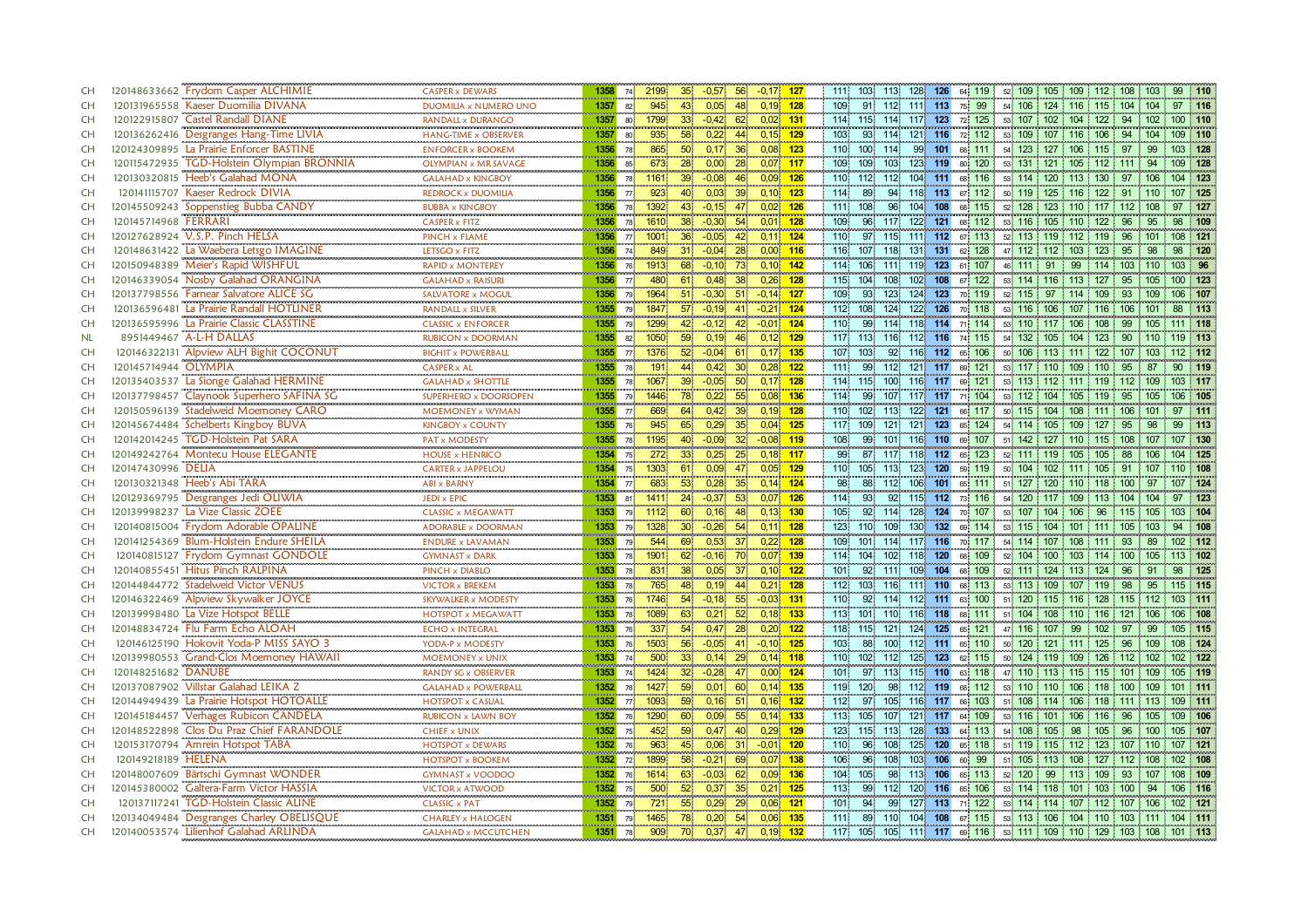| <b>CH</b> |                              | 120148633662 Frydom Casper ALCHIMIE        | CASPER x DEWARS              | 1358             |                 | 74 2199                  | 35 <sup>1</sup> | $-0.57$           | 56              | $-0.17$ 127 |                          | 111 103 113                          |                    |         | 128 126 64 119         |                                                       | $52\begin{pmatrix} 109 \\ 105 \\ 109 \end{pmatrix}$ 109 112 108 103 |           |                        | 99        | 110     |
|-----------|------------------------------|--------------------------------------------|------------------------------|------------------|-----------------|--------------------------|-----------------|-------------------|-----------------|-------------|--------------------------|--------------------------------------|--------------------|---------|------------------------|-------------------------------------------------------|---------------------------------------------------------------------|-----------|------------------------|-----------|---------|
| <b>CH</b> |                              | 120131965558 Kaeser Duomilia DIVANA        | DUOMILIA x NUMERO UNO        | 1357             | 82.             | 945                      | 43              | 0,05              | 48              | $0,19$ 128  | 109 <sub>1</sub>         | 91 112 111 113 75 99                 |                    |         |                        |                                                       | 54 106 124 116 115 104 104                                          |           |                        |           | 97 116  |
| CH        |                              | 120122915807 Castel Randall DIANE          | <b>RANDALL x DURANGO</b>     | 1357             | 80              | 1799                     | 33 <sup>1</sup> | $-0,42$           | 62 <sup>2</sup> | $0,02$ 131  |                          | 114 115 114                          |                    |         | 117 123 72 125         |                                                       | 53 107 102 104                                                      | 122       | -94<br>102             |           | 100 110 |
| <b>CH</b> |                              | 120136262416 Desgranges Hang-Time LIVIA    | HANG-TIME x OBSERVER         | 1357             | 80              | 935                      | 58              | 0,22              | 44              | $0,15$ 129  | 103                      | 93<br>114                            |                    |         | 121 116 72 112         |                                                       | 53 109 107 116 106                                                  |           | 94<br>104              |           | 109 110 |
| <b>CH</b> |                              | 120124309895 La Prairie Enforcer BASTINE   | <b>ENFORCER x BOOKEM</b>     | 1356             | 78.             | 865                      | 50 <sub>1</sub> | 0,17              | 36 <sup>°</sup> | $0,08$ 123  | 110                      | 100<br>114.                          |                    |         | 99 101 68 111          |                                                       | 54 123 127 106 115 97                                               |           | 99                     |           | 103 128 |
| <b>CH</b> |                              | 120115472935 TGD-Holstein Olympian BRONNIA | <b>OLYMPIAN x MR SAVAGE</b>  | 1356             | 85              | 673                      | 28              | 0,00              | 28              | $0,07$ 117  | 109                      | 109<br>103 <sub>1</sub>              | 123                | 119     | 120<br>80              |                                                       | 53 131 121 105                                                      | $112$ 111 | 94                     |           | 109 128 |
| CH        |                              | 120130320815 Heeb's Galahad MONA           | <br><b>GALAHAD x KINGBOY</b> | 1356 78          |                 | 1161                     | 39 <sub>1</sub> | $-0.08$           | 46              | $0.09$ 126  |                          | 110 112 112                          |                    |         | 104 111 68 116         |                                                       | 53 114 120 113 130 97 106                                           |           |                        |           | 104 123 |
| <b>CH</b> |                              | 120141115707 Kaeser Redrock DIVIA          | REDROCK x DUOMILIA           | 1356             | 77              | 923                      | 40              | 0,03              | 39              | $0,10$ 123  | 114                      | 94<br>89                             | 118 113            |         | 67 112                 |                                                       | 50 119 125 116                                                      | 122       | 91<br>110              |           | 107 125 |
| <b>CH</b> |                              | 120145509243 Soppenstieg Bubba CANDY       | <b>BUBBA x KINGBOY</b>       | 1356             | 78              | 1392                     | 43              | $-0,15$           | 0,02<br>47      | 126         | 111                      | 108<br>96                            | 104                | 108     | 68 115                 | 52 128                                                | 123 110                                                             | 117       | 112<br>108             | 97        | 127     |
| <b>CH</b> | 120145714968 FERRARI         |                                            | <b>CASPER x FITZ</b>         | 1356             | 78              | 000000<br>1610           | 38              | $-0,30$           | 54 <sub>1</sub> | $0,01$ 128  | <b>CONTRACTOR</b><br>109 | 96<br>117                            | 122                |         | 121 68 112             |                                                       | 53 116 105 110 122                                                  |           | 96<br>95               | 98        | $-109$  |
| <b>CH</b> |                              | 120127628924 V.S.P. Pinch HELSA            | PINCH x FLAME                | 1356             | $77^{\circ}$    | 1001                     | 36 <sub>1</sub> | $-0.05$           | 42              | $0,11$ 124  | $110 -$                  | 115 <sup>1</sup><br>97.              | 111                | 112     | 67 113                 |                                                       | 52 113 119 112                                                      | 119       | 96<br>101              |           | 108 121 |
| <b>CH</b> |                              | 120148631422 La Waebera Letsgo IMAGINE     | .<br>LETSGO x FITZ           | 1356             | 74 <sup>1</sup> | 849                      | -311            | $-0.04$           | 28              | $0,00$ 116  | 116                      | 107<br>118                           | 131 131            |         | 62 128                 |                                                       | 47 112 112 103 123                                                  |           | 95<br>98               | <b>QR</b> | 120     |
| <b>CH</b> |                              | 120150948389 Meier's Rapid WISHFUL         | <b>RAPID x MONTEREY</b>      | 1356             | 76              | 1913                     | 68              | $-0,10$           | 73              | $0,10$ 142  | 114                      | 106<br>1111                          | 119                | 123     | 61 107                 | 46 111 91                                             | 99                                                                  |           | 114 103 110            |           | 103 96  |
| <b>CH</b> |                              | 120146339054 Nosby Galahad ORANGINA        | <b>GALAHAD x RAISURI</b>     | 1356             | 77              | 480                      | -611            | 0,48              | 38 <sup>°</sup> | $0,26$ 128  | 115                      | 104 <sup>1</sup><br>108              | 102 <sup>1</sup>   | 108     | 122<br>67 <sup>1</sup> |                                                       | 53 114 116 113 127                                                  |           | 95<br>105              |           | 100 123 |
| CH        |                              | 120137798556 Farnear Salvatore ALICE SG    | <br>SALVATORE x MOGUL        | 1356 79          |                 | 1964                     | 511             | $-0,30$           | 51              | $-0,14$ 127 | 109.                     | 93.<br>123 <sub>1</sub>              | 124                |         | 123 70 119             |                                                       | 52 115 97 114 109                                                   |           | 93<br>109              |           |         |
| CH        |                              | 120136596481 La Prairie Randall HOTLINER   | <br>RANDALL x SILVER         |                  |                 | 1355 79 1847             | 571             | $-0,19$           | 41.             | $-0.21$ 124 |                          | 112 108 124 122 126 70 118           |                    |         |                        |                                                       | 53 116 106 107 116 106 101                                          |           |                        | 88        | - 113   |
| CH        |                              | 120136595996 La Prairie Classic CLASSTINE  | <b>CLASSIC x ENFORCER</b>    |                  |                 | 1355 79 1299             | 42              | $-0,12$           | 42              | $-0,01$ 124 | 110                      | 99                                   | 114 118 114 71 114 |         |                        |                                                       | 53 110 117 106 108 99 105                                           |           |                        |           | 111 118 |
| <b>NL</b> | 8951449467 A-L-H DALLAS      |                                            | RUBICON x DOORMAN            | 1355             | 82              | 1050                     | 59              | 0.19              | 46 <sup>1</sup> | $0,12$ 129  | 117 113                  | 116                                  | 112 116            |         | 74 115                 |                                                       | 54 132 105 104                                                      | 123       | 90                     |           | 19 113  |
| <b>CH</b> |                              | 120146322131 Alpview ALH Bighit COCONUT    | <b>BIGHIT x POWERBALL</b>    | 1355             | 77              | معالمته والمتعاد<br>1376 | 52 <sub>1</sub> | $-0.04$           | 61              | $0.17$ 135  | 107.                     | 103<br>92                            | 116 112            |         | 65 106                 |                                                       | 50 106 113 111 122                                                  |           | $107 -$<br>103         |           | 112 112 |
| CH        | 120145714944 OLYMPIA         |                                            | <b>CASPER x AL</b>           | 1355             | 78              | 191                      | 44              | 0.42              | 30 <sup>1</sup> | $0.28$ 122  | 111                      | 99<br>112                            |                    |         | 121 117 69 121         |                                                       | 53 117 110 109 110                                                  |           | 95<br>87               | 90        | 119     |
| CH        |                              | 120135403537 La Sionge Galahad HERMINE     | <b>GALAHAD x SHOTTLE</b>     | 1355             | 78              | 1067                     | 39 <sub>1</sub> | $-0.05$           | 50              | $0,17$ 128  | 114.                     | 100<br>115                           | 116 117            |         | 121<br>69              |                                                       | 53 113 112 111 119 112 109                                          |           |                        |           | 103 117 |
| <b>CH</b> |                              | 120137798457 Claynook Superhero SAFINA SG  | SUPERHERO x DOORSOPEN        | 1355             | 79              | 1446                     | 78              | 0,22              | 55              | $0.08$ 136  | 114                      | 99                                   |                    |         | 107 117 117 71 104     |                                                       | 53 112 104 105 119                                                  |           | 95<br>105              |           | 106 105 |
| <b>CH</b> |                              | 120150596139 Stadelweid Moemoney CARO      | MOEMONEY x WYMAN             | 1355             | 77              | 669<br>945               | 64              | 0.42              | 39              | $0,19$ 128  | 110                      | 102 <sup>1</sup><br>113 <sup>1</sup> | 122                | 121     | 117<br>66              | 50 115                                                | 104<br>108                                                          | 111       | 106<br>10 <sup>4</sup> |           | 1111    |
| <b>CH</b> |                              | 120145674484 Schelberts Kingboy BUVA       | <b>KINGBOY x COUNTY</b>      | $\frac{1}{1355}$ | 76              |                          | 65              | 0,29              | 35              | $0,04$ 125  | 117                      | 109<br>121                           | 121                | 123     | 124<br>65.             |                                                       | 54 114 105 109                                                      | 127       | 95<br>98               | 99        | 113     |
| <b>CH</b> |                              | 120142014245 TGD-Holstein Pat SARA         | PAT x MODESTY                | 1355 78          |                 | 1195                     | 40              | $-0.09$           | 32              | $-0,08$ 119 | 108                      | 99<br>101                            | 116 110            |         | 69 107                 |                                                       | 51 142 127 110 115 108 107                                          |           |                        |           | 107 130 |
| <b>CH</b> |                              | 120149242764 Montecu House ELEGANTE        | <b>HOUSE x HENRICO</b><br>   | 1354             | 75              | 272 <sup>1</sup>         | 33 <sup>°</sup> | 0.25              | 25              | $0,18$ 117  | 99                       | 87<br>117                            | 118 112            |         | 123<br>65              |                                                       | 52 111 119 105                                                      | 105       | 88<br>106              | 104       | 125     |
| <b>CH</b> | 120147430996 DELIA           |                                            | <b>CARTER x JAPPELOU</b>     | 1354 75          |                 | 1303                     | 61.             | 0,09              | 47              | $0,05$ 129  | 110 <sup>1</sup>         | 105<br>113                           | 123 120            |         | 59 119                 |                                                       | 50 104 102 111 105 91 107                                           |           |                        |           | 110 108 |
| <b>CH</b> | 120130321348 Heeb's Abi TARA |                                            | <b>ABI x BARNY</b>           | 1354             | 77              | 683                      | 53 <sup>1</sup> | 0,28              | 35 <sup>°</sup> | $0,14$ 124  | 98                       | 88<br>112                            |                    |         | 106 101 65 111         |                                                       | 51 127 120 110 118 100                                              |           | 97                     |           | 107 124 |
| <b>CH</b> |                              | 120129369795 Desgranges Jedi OLIWIA        | JEDI x EPIC                  | 1353             | 81 <sup>1</sup> | 1411                     | 24              | $-0,37$           | 53              | $0,07$ 126  | 114.                     | 93<br>92                             |                    |         | 115 112 73 116         |                                                       | 54 120 117 109 113 104 104                                          |           |                        |           | 97 123  |
| <b>CH</b> |                              | 120139998237 La Vize Classic ZOEE          | <b>CLASSIC x MEGAWATT</b>    | 1353             | 79.             | 1112                     | 60              | 0,16              | 48              | $0,13$ 130  | 105 <sup>1</sup>         | 92<br>114                            | 128 124            |         | 70 107                 |                                                       | 53 107 104 106 96                                                   |           | 115 105                |           | 103 104 |
| <b>CH</b> |                              | 120140815004 Frydom Adorable OPALINE       | <b>ADORABLE x DOORMAN</b>    | 1353             | 79              | 1328                     | 30 <sup>1</sup> | $-0,26$           | 54              | $0,11$ 128  | 123                      | 110<br>109                           | 130                | 132     | 69 114                 |                                                       | 53 115 104 101 111 105 103                                          |           |                        |           | 94 108  |
| <b>CH</b> |                              | 120141254369 Blum-Holstein Endure SHEILA   | <b>ENDURE x LAVAMAN</b>      | 1353             | 79              | 544                      | 69              | 0,53              | 37              | $0,22$ 128  | 109                      | 101<br>114                           | 117 116            |         | 70 117                 |                                                       | 54 114 107 108                                                      | 111       | 93<br>89               |           | 102 112 |
| <b>CH</b> | 120140815127                 | <b>Frydom Gymnast GONDOLE</b>              | <b>GYMNAST x DARK</b>        | 1353             | 78.             | 1901                     | 62              | $-0,16$           | 70              | $0,07$ 139  | 114 104                  | 102                                  | 118 120            |         | 68 109                 |                                                       | 52 104 100 103 114 100 105                                          |           |                        |           | 113 102 |
| <b>CH</b> |                              | 120140855451 Hitus Pinch RALPINA           | PINCH x DIABLO               | 1353             | 78              | 831                      | 38              | 0,05              | 37 <sup>1</sup> | $0,10$ 122  | 101                      | 92<br>1111                           | 109 104            |         | 68 109                 |                                                       | 52 111 124 113 124                                                  |           | 96<br>91               | 98        | 125     |
| <b>CH</b> |                              | 120144844772 Stadelweid Victor VENUS       | <b>VICTOR x BREKEM</b>       | 1353             | 78              | 765                      | 48              | 0,19              | 44              | $0,21$ 128  | 112 103                  | 116                                  | 111 110            |         | 68 113                 |                                                       | 53 113 109 107 119                                                  |           | 98<br>95               |           | 115 115 |
| <b>CH</b> |                              | 120146322469 Alpview Skywalker JOYCE       | SKYWALKER x MODESTY          | 1353             | 76 <b> </b>     | 1746                     | 54 <sup>°</sup> | $-0,18$           | 55              | $-0.03$ 131 | 110                      | 92<br>114                            | 112 111            |         | 63 100                 |                                                       | 51 120 115 116 128 115 112                                          |           |                        |           | 103 111 |
| CH        |                              | 120139998480 La Vize Hotspot BELLE         | <b>HOTSPOT x MEGAWATT</b>    | 1353             | 78.             | 1089                     | 63.             | 0,21              | 52              | $0,18$ 133  | 113                      | 101<br>110                           | 116 118            |         | 68 111                 |                                                       | 51 104 108 110 116 121 106                                          |           |                        |           | 106 108 |
| CH        |                              | 120148834724 Flu Farm Echo ALOAH           | <b>ECHO x INTEGRAL</b>       | 1353             | 76              | 337                      | 54 <sup>°</sup> | 0,47              | 28              | $0,20$ 122  | 118 115                  | 121                                  | 124 125            |         | 65 121                 |                                                       | 47 116 107 99 102                                                   |           | 97<br>99               |           | 105 115 |
| CH        |                              | 120146125190 Hokovit Yoda-P MISS SAYO 3    | YODA-P x MODESTY             | 1353             | 76 <b> </b>     | 1503                     | 56              | $-0,05$           | 411             | $-0,10$ 125 | 103 <sup>1</sup>         | 88<br>100                            | 112 111            |         | 65 110                 |                                                       | 50 120 121 111 125 96 109                                           |           |                        |           | 108 124 |
| CH        |                              | 120139980553 Grand-Clos Moemoney HAWAII    | MOEMONEY x UNIX              | 1353             | 74.             | 500                      | 33              | 0,14              | 29              | $0,14$ 118  | 110                      | 102<br>$112$                         | 125                | 123     | 62 115                 |                                                       | 50 124 119 109                                                      |           | 126 112 102            |           | 02 122  |
| <b>CH</b> | 120148251682 DANUBE          |                                            | <b>RANDY SG x OBSERVER</b>   | 1353             | 74 <sup>1</sup> | 1424                     | 32 <sub>2</sub> | $-0.28$           | 47              | $0,00$ 124  | $101 -$                  | 97<br>113                            | 115 110            |         | 63 118                 |                                                       | 47 110 113 115 115 101 109                                          |           |                        |           | 105 119 |
| <b>CH</b> |                              | 120137087902 Villstar Galahad LEIKA Z      | <b>GALAHAD x POWERBALL</b>   | 1352             | 78              | 1427                     | 59              | 0.01              | 60              | $0.14$ 135  | 119                      | 120 <sup>1</sup><br>98.              | 112 119            |         | 68 112                 |                                                       | 53 110 110 106                                                      |           | 118 100 109            |           | 1111    |
| CH        |                              | 120144949439 La Prairie Hotspot HOTOALLE   | <b>HOTSPOT x CASUAL</b>      |                  |                 | 1352 77 1093             | 59              | 0,16              | 51              | $0.16$ 132  | 112                      | 97<br>105                            |                    |         | 116 117 66 103         |                                                       | 51 108 114 106 118 111 113                                          |           |                        |           | 109 111 |
| CH        |                              | 120145184457 Verhages Rubicon CANDELA      | <b>RUBICON x LAWN BOY</b>    | 1352             | 76              | 1290                     | 60              | 0.09 <sup>°</sup> | 55 <sup>°</sup> | $0.14$ 133  | 113                      | 105 <sub>1</sub><br>107              |                    | 121 117 | 64 109                 |                                                       | 53 116 101 106 116                                                  |           | 96<br>105              |           | 109 106 |
| CH        |                              | 120148522898 Clos Du Praz Chief FARANDOLE  | <b>CHIEF x UNIX</b>          | 1352             | 75              | 452                      | 59              | 0,47              | 40              | $0,29$ 129  | 123                      | 115<br>113                           | 128                | 133     | 64 113                 |                                                       | 54 108 105 98                                                       | 105       | 96 100                 |           | 105 107 |
| CH        |                              | 120153170794 Amrein Hotspot TABA           | <b>HOTSPOT x DEWARS</b>      | 1352             | 76              | 963                      | 45 <sup>2</sup> | 0,06              | 31              | $-0.01$ 120 | 110                      | 96<br>108                            | 125                | 120     | 65 118                 |                                                       | 51 119 115 112 123 107 110                                          |           |                        |           | 107 121 |
| <b>CH</b> | 120149218189 HELENA          |                                            | <b>HOTSPOT x BOOKEM</b>      | 1352             | 72              | 1899                     | 58              | $-0,21$           | 69              | $0,07$ 138  | 106                      | 96<br>108                            | 103                | 106     | 99<br>60               |                                                       | 51 105 113 108                                                      |           | 127 112 108            |           | 102 108 |
| <b>CH</b> |                              | 120148007609 Bärtschi Gymnast WONDER       | <b>GYMNAST x VOODOO</b><br>  | 1352             | 76              | 1614                     | 63 <sup>1</sup> | $-0.03$           | 62              | $0,09$ 136  | 104                      | 98<br>105                            | 113                | 106     | 65 113                 | 52 120                                                | 99<br>113                                                           | 109       | 93 107                 |           | 108 109 |
| <b>CH</b> |                              | 120145380002 Galtera-Farm Victor HASSIA    | VICTOR x ATWOOD              | 1352             | 75              | 500                      | 52              | 0,37              | 35<br>0,21      | 125         | 113                      | 99<br>112                            | 120                |         | 116 65 106             |                                                       | 53 114 118 101                                                      | 103 100   | 94                     |           | 106 116 |
| <b>CH</b> |                              | 120137117241 TGD-Holstein Classic ALINE    | <b>CLASSIC x PAT</b>         | 1352             | 79              | 721                      | 55              | 0,29              | 29              | $0.06$ 121  | 101                      | 99<br>94                             |                    |         | 127 113 71 122         |                                                       | 53 114 114 107 112 107 106                                          |           |                        |           | 102 121 |
| <b>CH</b> |                              | 120134049484 Desgranges Charley OBELISQUE  | <b>CHARLEY x HALOGEN</b>     | 1351             | 79              | 1465                     | 78              | 0.20              | 54<br>0.06      | 135         | 1111                     | 89<br>110                            |                    |         | 104 108 67 115         |                                                       | 53 113 106 104 110 103 111                                          |           |                        |           | 104 111 |
| <b>CH</b> |                              | 120140053574 Lilienhof Galahad ARLINDA     | <b>GALAHAD x MCCUTCHEN</b>   | 1351 78          |                 | 909                      | $70^{\circ}$    | $0,37$ 47         |                 | $0,19$ 132  | 117                      | 105                                  |                    |         |                        | 105 111 117 69 116 53 111 109 110 129 103 108 101 113 |                                                                     |           |                        |           |         |